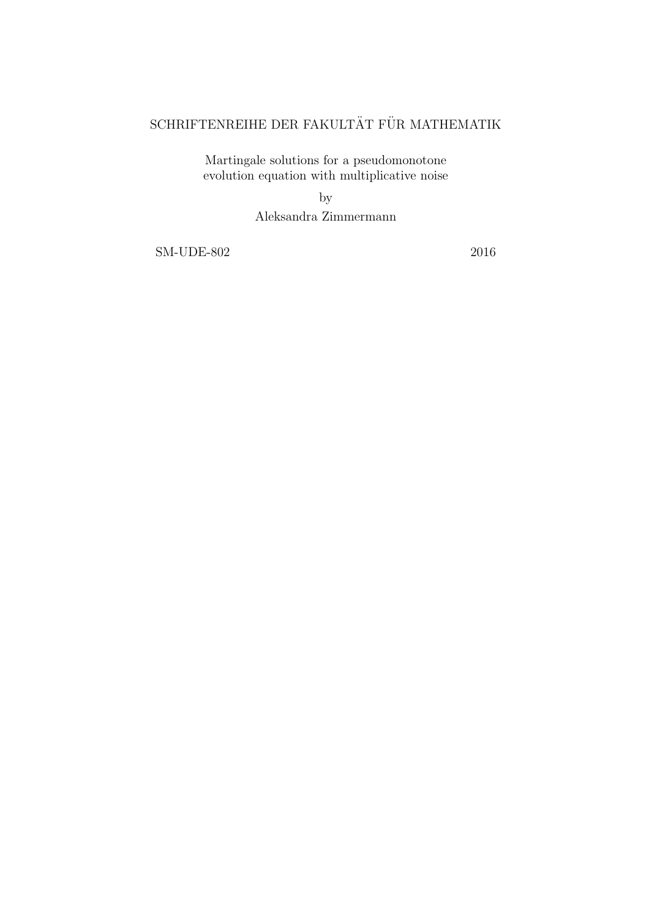# $\operatorname{SCHRIFTENREIHE}$ DER FAKULTÄT FÜR MATHEMATIK

Martingale solutions for a pseudomonotone evolution equation with multiplicative noise

by

Aleksandra Zimmermann

SM-UDE-802 2016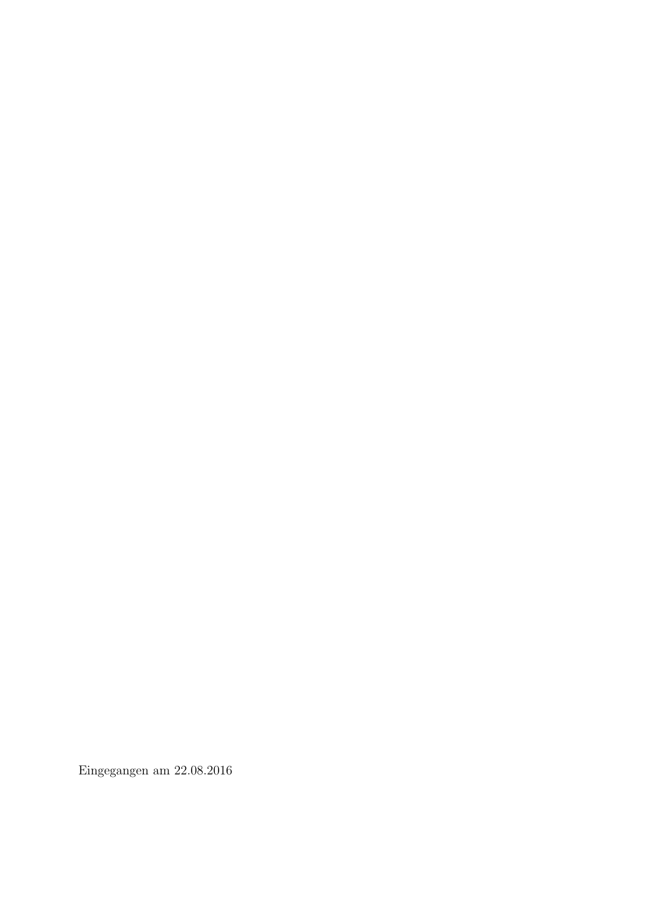Eingegangen am 22.08.2016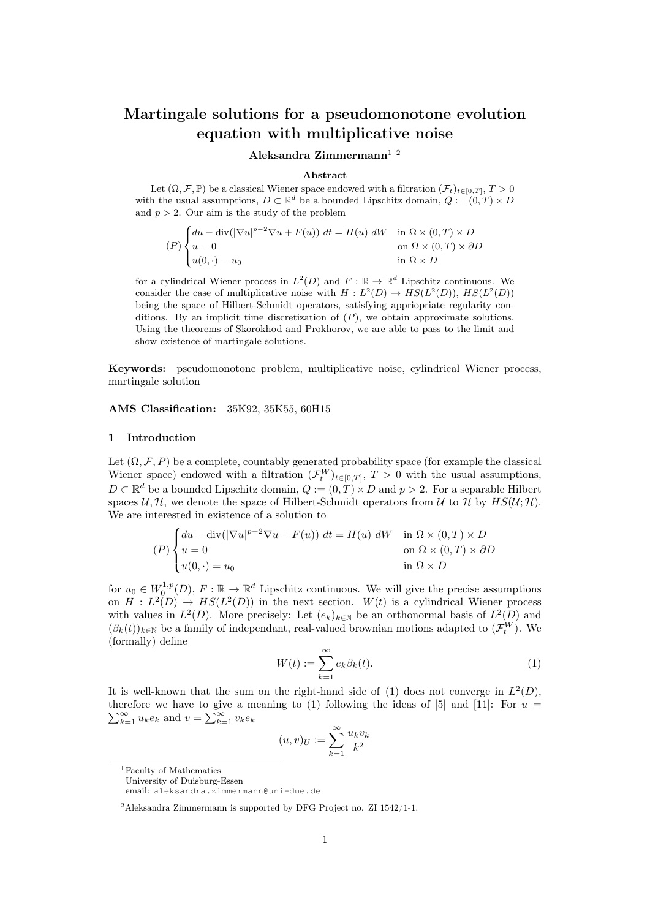## Martingale solutions for a pseudomonotone evolution equation with multiplicative noise

## Aleksandra Zimmermann $^{1/2}$

#### Abstract

Let  $(\Omega, \mathcal{F}, \mathbb{P})$  be a classical Wiener space endowed with a filtration  $(\mathcal{F}_t)_{t \in [0,T]}, T > 0$ with the usual assumptions,  $D \subset \mathbb{R}^d$  be a bounded Lipschitz domain,  $Q := (0, T) \times D$ and  $p > 2$ . Our aim is the study of the problem

$$
(P)\begin{cases} du - \operatorname{div}(|\nabla u|^{p-2}\nabla u + F(u)) dt = H(u) dW & \text{in } \Omega \times (0,T) \times D \\ u = 0 & \text{on } \Omega \times (0,T) \times \partial D \\ u(0, \cdot) = u_0 & \text{in } \Omega \times D \end{cases}
$$

for a cylindrical Wiener process in  $L^2(D)$  and  $F : \mathbb{R} \to \mathbb{R}^d$  Lipschitz continuous. We consider the case of multiplicative noise with  $H : L^2(D) \to HS(L^2(D))$ ,  $HS(L^2(D))$ being the space of Hilbert-Schmidt operators, satisfying appriopriate regularity conditions. By an implicit time discretization of  $(P)$ , we obtain approximate solutions. Using the theorems of Skorokhod and Prokhorov, we are able to pass to the limit and show existence of martingale solutions.

Keywords: pseudomonotone problem, multiplicative noise, cylindrical Wiener process, martingale solution

AMS Classification: 35K92, 35K55, 60H15

#### 1 Introduction

Let  $(\Omega, \mathcal{F}, P)$  be a complete, countably generated probability space (for example the classical Wiener space) endowed with a filtration  $(\mathcal{F}_t^W)_{t\in[0,T]}, T>0$  with the usual assumptions,  $D \subset \mathbb{R}^d$  be a bounded Lipschitz domain,  $Q := (0, T) \times D$  and  $p > 2$ . For a separable Hilbert spaces U, H, we denote the space of Hilbert-Schmidt operators from U to H by  $HS(U; \mathcal{H})$ . We are interested in existence of a solution to

$$
(P)\begin{cases} du - \operatorname{div}(|\nabla u|^{p-2}\nabla u + F(u)) dt = H(u) dW & \text{in } \Omega \times (0,T) \times D \\ u = 0 & \text{on } \Omega \times (0,T) \times \partial D \\ u(0, \cdot) = u_0 & \text{in } \Omega \times D \end{cases}
$$

for  $u_0 \in W_0^{1,p}(D)$ ,  $F: \mathbb{R} \to \mathbb{R}^d$  Lipschitz continuous. We will give the precise assumptions on  $H: L^2(D) \to HS(L^2(D))$  in the next section.  $W(t)$  is a cylindrical Wiener process with values in  $L^2(D)$ . More precisely: Let  $(e_k)_{k\in\mathbb{N}}$  be an orthonormal basis of  $L^2(D)$  and  $(\beta_k(t))_{k\in\mathbb{N}}$  be a family of independant, real-valued brownian motions adapted to  $(\mathcal{F}_t^W)$ . We (formally) define

$$
W(t) := \sum_{k=1}^{\infty} e_k \beta_k(t). \tag{1}
$$

It is well-known that the sum on the right-hand side of (1) does not converge in  $L^2(D)$ , therefore we have to give a meaning to (1) following the ideas of [5] and [11]: For  $u =$  $\sum_{k=1}^{\infty} u_k e_k$  and  $v = \sum_{k=1}^{\infty} v_k e_k$ 

$$
(u,v)_U:=\sum_{k=1}^\infty \frac{u_kv_k}{k^2}
$$

<sup>1</sup>Faculty of Mathematics

University of Duisburg-Essen

email: aleksandra.zimmermann@uni-due.de

<sup>2</sup>Aleksandra Zimmermann is supported by DFG Project no. ZI 1542/1-1.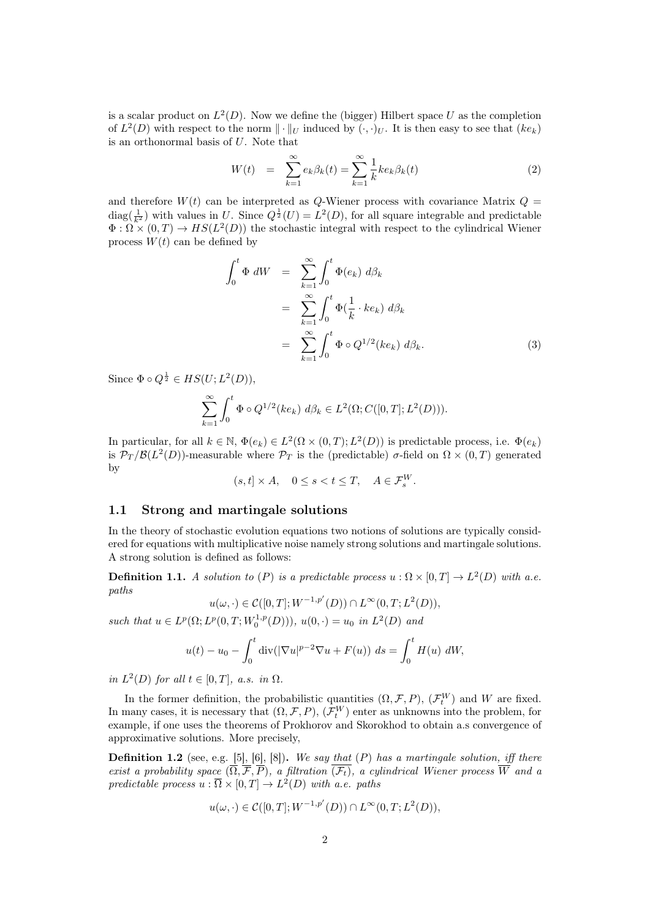is a scalar product on  $L^2(D)$ . Now we define the (bigger) Hilbert space U as the completion of  $L^2(D)$  with respect to the norm  $\|\cdot\|_U$  induced by  $(\cdot,\cdot)_U$ . It is then easy to see that  $(ke_k)$ is an orthonormal basis of U. Note that

$$
W(t) = \sum_{k=1}^{\infty} e_k \beta_k(t) = \sum_{k=1}^{\infty} \frac{1}{k} k e_k \beta_k(t)
$$
 (2)

and therefore  $W(t)$  can be interpreted as Q-Wiener process with covariance Matrix  $Q =$ diag( $\frac{1}{k^2}$ ) with values in U. Since  $Q^{\frac{1}{2}}(U) = L^2(D)$ , for all square integrable and predictable  $\Phi : \Omega \times (0,T) \to HS(L^2(D))$  the stochastic integral with respect to the cylindrical Wiener process  $W(t)$  can be defined by

$$
\int_0^t \Phi \, dW = \sum_{k=1}^\infty \int_0^t \Phi(e_k) \, d\beta_k
$$
  
= 
$$
\sum_{k=1}^\infty \int_0^t \Phi(\frac{1}{k} \cdot ke_k) \, d\beta_k
$$
  
= 
$$
\sum_{k=1}^\infty \int_0^t \Phi \circ Q^{1/2}(ke_k) \, d\beta_k.
$$
 (3)

Since  $\Phi \circ Q^{\frac{1}{2}} \in HS(U; L^2(D)),$ 

$$
\sum_{k=1}^{\infty} \int_0^t \Phi \circ Q^{1/2}(ke_k) \, d\beta_k \in L^2(\Omega; C([0, T]; L^2(D))).
$$

In particular, for all  $k \in \mathbb{N}$ ,  $\Phi(e_k) \in L^2(\Omega \times (0,T); L^2(D))$  is predictable process, i.e.  $\Phi(e_k)$ is  $\mathcal{P}_T/\mathcal{B}(L^2(D))$ -measurable where  $\mathcal{P}_T$  is the (predictable)  $\sigma$ -field on  $\Omega \times (0,T)$  generated by

$$
(s, t] \times A, \quad 0 \le s < t \le T, \quad A \in \mathcal{F}_s^W.
$$

## 1.1 Strong and martingale solutions

In the theory of stochastic evolution equations two notions of solutions are typically considered for equations with multiplicative noise namely strong solutions and martingale solutions. A strong solution is defined as follows:

**Definition 1.1.** A solution to (P) is a predictable process  $u : \Omega \times [0,T] \to L^2(D)$  with a.e. paths

$$
u(\omega,\cdot)\in \mathcal{C}([0,T];W^{-1,p'}(D))\cap L^{\infty}(0,T;L^2(D)),
$$

such that  $u \in L^p(\Omega; L^p(0,T; W_0^{1,p}(D))), u(0, \cdot) = u_0$  in  $L^2(D)$  and

$$
u(t) - u_0 - \int_0^t \text{div}(|\nabla u|^{p-2} \nabla u + F(u)) \, ds = \int_0^t H(u) \, dW,
$$

in  $L^2(D)$  for all  $t \in [0,T]$ , a.s. in  $\Omega$ .

In the former definition, the probabilistic quantities  $(\Omega, \mathcal{F}, P)$ ,  $(\mathcal{F}_t^W)$  and W are fixed. In many cases, it is necessary that  $(\Omega, \mathcal{F}, P)$ ,  $(\mathcal{F}_t^W)$  enter as unknowns into the problem, for example, if one uses the theorems of Prokhorov and Skorokhod to obtain a.s convergence of approximative solutions. More precisely,

**Definition 1.2** (see, e.g. [5], [6], [8]). We say that  $(P)$  has a martingale solution, iff there exist a probability space  $(\overline{\Omega}, \overline{\mathcal{F}}, \overline{P})$ , a filtration  $(\overline{\mathcal{F}_t})$ , a cylindrical Wiener process  $\overline{\overline{W}}$  and a predictable process  $u : \overline{\Omega} \times [0,T] \to L^2(D)$  with a.e. paths

$$
u(\omega, \cdot) \in \mathcal{C}([0,T]; W^{-1,p'}(D)) \cap L^{\infty}(0,T; L^2(D)),
$$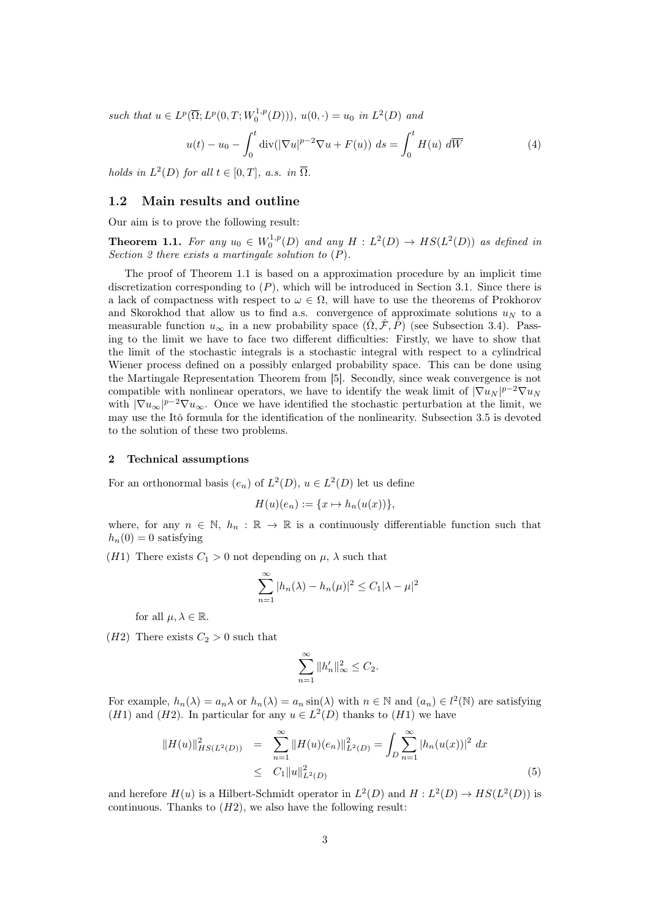such that  $u \in L^p(\overline{\Omega}; L^p(0,T; W_0^{1,p}(D))), u(0, \cdot) = u_0$  in  $L^2(D)$  and

$$
u(t) - u_0 - \int_0^t \operatorname{div}(|\nabla u|^{p-2} \nabla u + F(u)) ds = \int_0^t H(u) d\overline{W}
$$
 (4)

holds in  $L^2(D)$  for all  $t \in [0,T]$ , a.s. in  $\overline{\Omega}$ .

#### 1.2 Main results and outline

Our aim is to prove the following result:

**Theorem 1.1.** For any  $u_0 \in W_0^{1,p}(D)$  and any  $H : L^2(D) \to HS(L^2(D))$  as defined in Section 2 there exists a martingale solution to  $(P)$ .

The proof of Theorem 1.1 is based on a approximation procedure by an implicit time discretization corresponding to  $(P)$ , which will be introduced in Section 3.1. Since there is a lack of compactness with respect to  $\omega \in \Omega$ , will have to use the theorems of Prokhorov and Skorokhod that allow us to find a.s. convergence of approximate solutions  $u_N$  to a measurable function  $u_{\infty}$  in a new probability space  $(\Omega, \mathcal{F}, P)$  (see Subsection 3.4). Passing to the limit we have to face two different difficulties: Firstly, we have to show that the limit of the stochastic integrals is a stochastic integral with respect to a cylindrical Wiener process defined on a possibly enlarged probability space. This can be done using the Martingale Representation Theorem from [5]. Secondly, since weak convergence is not compatible with nonlinear operators, we have to identify the weak limit of  $|\nabla u_N|^{p-2} \nabla u_N$ with  $|\nabla u_{\infty}|^{p-2} \nabla u_{\infty}$ . Once we have identified the stochastic perturbation at the limit, we may use the Itô formula for the identification of the nonlinearity. Subsection 3.5 is devoted to the solution of these two problems.

#### 2 Technical assumptions

For an orthonormal basis  $(e_n)$  of  $L^2(D)$ ,  $u \in L^2(D)$  let us define

$$
H(u)(e_n) := \{x \mapsto h_n(u(x))\},\
$$

where, for any  $n \in \mathbb{N}$ ,  $h_n : \mathbb{R} \to \mathbb{R}$  is a continuously differentiable function such that  $h_n(0) = 0$  satisfying

(H1) There exists  $C_1 > 0$  not depending on  $\mu$ ,  $\lambda$  such that

$$
\sum_{n=1}^{\infty} |h_n(\lambda) - h_n(\mu)|^2 \le C_1 |\lambda - \mu|^2
$$

for all  $\mu, \lambda \in \mathbb{R}$ .

(*H2*) There exists  $C_2 > 0$  such that

$$
\sum_{n=1}^{\infty} \|h'_n\|_{\infty}^2 \le C_2.
$$

For example,  $h_n(\lambda) = a_n \lambda$  or  $h_n(\lambda) = a_n \sin(\lambda)$  with  $n \in \mathbb{N}$  and  $(a_n) \in l^2(\mathbb{N})$  are satisfying (*H*1) and (*H*2). In particular for any  $u \in L^2(D)$  thanks to (*H*1) we have

$$
||H(u)||_{HS(L^{2}(D))}^{2} = \sum_{n=1}^{\infty} ||H(u)(e_{n})||_{L^{2}(D)}^{2} = \int_{D} \sum_{n=1}^{\infty} |h_{n}(u(x))|^{2} dx
$$
  
 
$$
\leq C_{1} ||u||_{L^{2}(D)}^{2}
$$
 (5)

and herefore  $H(u)$  is a Hilbert-Schmidt operator in  $L^2(D)$  and  $H: L^2(D) \to HS(L^2(D))$  is continuous. Thanks to  $(H2)$ , we also have the following result: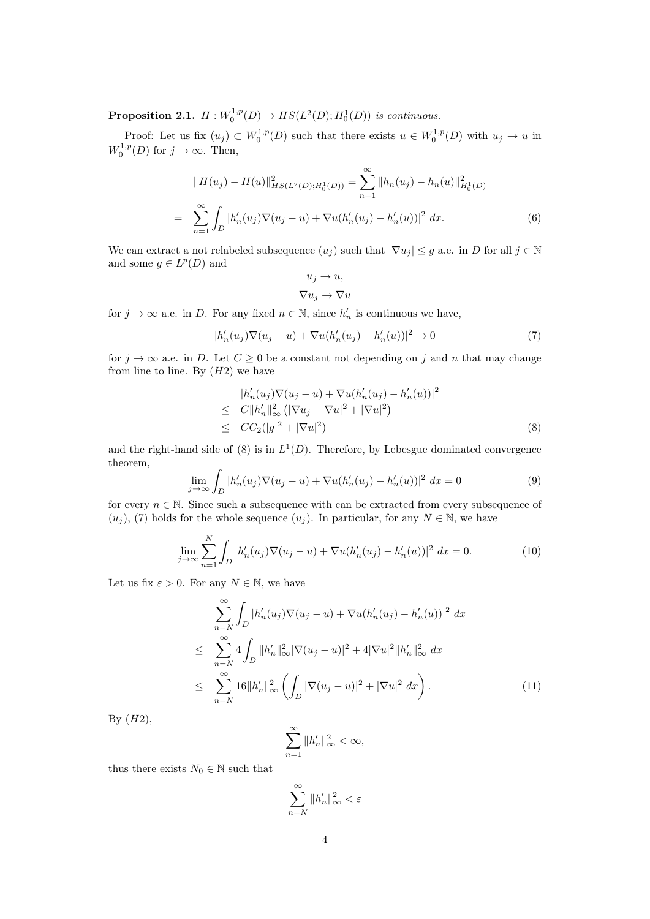**Proposition 2.1.**  $H: W_0^{1,p}(D) \to HS(L^2(D); H_0^1(D))$  is continuous.

Proof: Let us fix  $(u_j) \subset W_0^{1,p}(D)$  such that there exists  $u \in W_0^{1,p}(D)$  with  $u_j \to u$  in  $W_0^{1,p}(D)$  for  $j \to \infty$ . Then,

$$
||H(u_j) - H(u)||_{HS(L^2(D);H_0^1(D))}^2 = \sum_{n=1}^{\infty} ||h_n(u_j) - h_n(u)||_{H_0^1(D)}^2
$$
  
= 
$$
\sum_{n=1}^{\infty} \int_D |h'_n(u_j)\nabla(u_j - u) + \nabla u(h'_n(u_j) - h'_n(u))|^2 dx.
$$
 (6)

We can extract a not relabeled subsequence  $(u_j)$  such that  $|\nabla u_j| \leq g$  a.e. in D for all  $j \in \mathbb{N}$ and some  $g \in L^p(D)$  and

$$
u_j \to u,
$$
  

$$
\nabla u_j \to \nabla u
$$

for  $j \to \infty$  a.e. in D. For any fixed  $n \in \mathbb{N}$ , since  $h'_n$  is continuous we have,

$$
|h'_n(u_j)\nabla(u_j - u) + \nabla u(h'_n(u_j) - h'_n(u))|^2 \to 0
$$
\n(7)

for  $j \to \infty$  a.e. in D. Let  $C \geq 0$  be a constant not depending on j and n that may change from line to line. By  $(H2)$  we have

$$
|h'_{n}(u_{j})\nabla(u_{j}-u)+\nabla u(h'_{n}(u_{j})-h'_{n}(u))|^{2}
$$
  
\n
$$
\leq C||h'_{n}||_{\infty}^{2} (|\nabla u_{j}-\nabla u|^{2}+|\nabla u|^{2})
$$
  
\n
$$
\leq CC_{2}(|g|^{2}+|\nabla u|^{2})
$$
\n(8)

and the right-hand side of (8) is in  $L^1(D)$ . Therefore, by Lebesgue dominated convergence theorem,

$$
\lim_{j \to \infty} \int_{D} |h'_n(u_j) \nabla (u_j - u) + \nabla u (h'_n(u_j) - h'_n(u))|^2 dx = 0
$$
\n(9)

for every  $n \in \mathbb{N}$ . Since such a subsequence with can be extracted from every subsequence of  $(u_i)$ , (7) holds for the whole sequence  $(u_i)$ . In particular, for any  $N \in \mathbb{N}$ , we have

$$
\lim_{j \to \infty} \sum_{n=1}^{N} \int_{D} |h'_n(u_j) \nabla (u_j - u) + \nabla u (h'_n(u_j) - h'_n(u))|^2 dx = 0.
$$
 (10)

Let us fix  $\varepsilon > 0$ . For any  $N \in \mathbb{N}$ , we have

$$
\sum_{n=N}^{\infty} \int_{D} |h'_n(u_j) \nabla (u_j - u) + \nabla u (h'_n(u_j) - h'_n(u))|^2 dx
$$
  
\n
$$
\leq \sum_{n=N}^{\infty} 4 \int_{D} ||h'_n||_{\infty}^2 |\nabla (u_j - u)|^2 + 4|\nabla u|^2 ||h'_n||_{\infty}^2 dx
$$
  
\n
$$
\leq \sum_{n=N}^{\infty} 16 ||h'_n||_{\infty}^2 \left( \int_{D} |\nabla (u_j - u)|^2 + |\nabla u|^2 dx \right).
$$
 (11)

By  $(H2)$ ,

$$
\sum_{n=1}^{\infty} \|h'_n\|_{\infty}^2 < \infty,
$$

thus there exists  $N_0 \in \mathbb{N}$  such that

$$
\sum_{n=N}^{\infty} \|h'_n\|_{\infty}^2 < \varepsilon
$$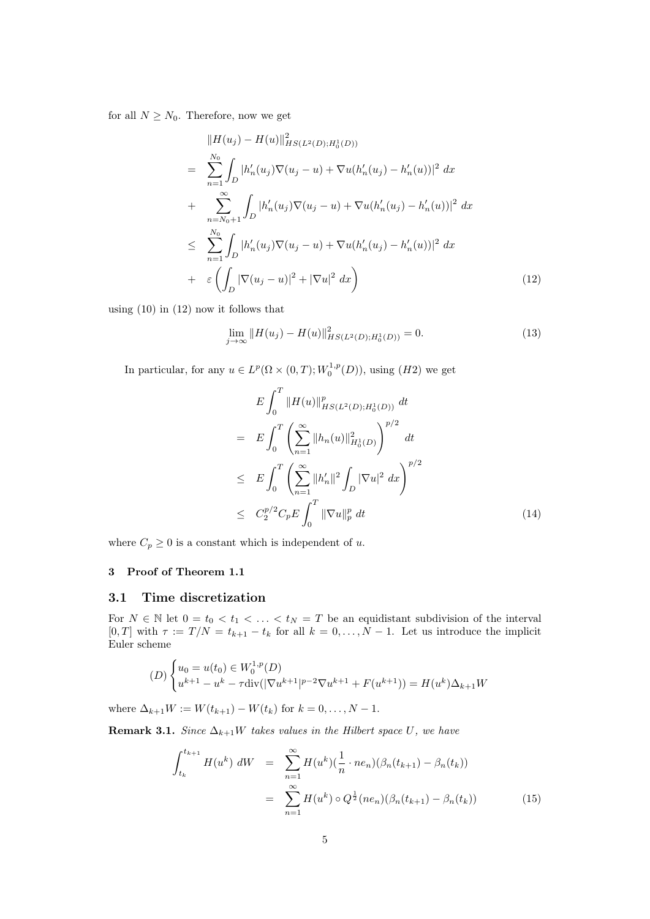for all  $N \geq N_0$ . Therefore, now we get

$$
\|H(u_j) - H(u)\|_{HS(L^2(D);H_0^1(D))}^2
$$
\n
$$
= \sum_{n=1}^{N_0} \int_D |h'_n(u_j)\nabla(u_j - u) + \nabla u(h'_n(u_j) - h'_n(u))|^2 dx
$$
\n
$$
+ \sum_{n=N_0+1}^{\infty} \int_D |h'_n(u_j)\nabla(u_j - u) + \nabla u(h'_n(u_j) - h'_n(u))|^2 dx
$$
\n
$$
\leq \sum_{n=1}^{N_0} \int_D |h'_n(u_j)\nabla(u_j - u) + \nabla u(h'_n(u_j) - h'_n(u))|^2 dx
$$
\n
$$
+ \varepsilon \left( \int_D |\nabla(u_j - u)|^2 + |\nabla u|^2 dx \right) \tag{12}
$$

using (10) in (12) now it follows that

$$
\lim_{j \to \infty} ||H(u_j) - H(u)||_{HS(L^2(D);H_0^1(D))}^2 = 0.
$$
\n(13)

In particular, for any  $u \in L^p(\Omega \times (0,T); W_0^{1,p}(D))$ , using  $(H2)$  we get

$$
E \int_0^T \|H(u)\|_{HS(L^2(D);H_0^1(D))}^p dt
$$
  
\n
$$
= E \int_0^T \left( \sum_{n=1}^\infty \|h_n(u)\|_{H_0^1(D)}^2 \right)^{p/2} dt
$$
  
\n
$$
\leq E \int_0^T \left( \sum_{n=1}^\infty \|h'_n\|^2 \int_D |\nabla u|^2 dx \right)^{p/2}
$$
  
\n
$$
\leq C_2^{p/2} C_p E \int_0^T \|\nabla u\|_p^p dt
$$
 (14)

where  $C_p \geq 0$  is a constant which is independent of u.

## 3 Proof of Theorem 1.1

## 3.1 Time discretization

For  $N \in \mathbb{N}$  let  $0 = t_0 < t_1 < \ldots < t_N = T$  be an equidistant subdivision of the interval [0, T] with  $\tau := T/N = t_{k+1} - t_k$  for all  $k = 0, \ldots, N-1$ . Let us introduce the implicit Euler scheme

$$
(D)\begin{cases}u_0 = u(t_0) \in W_0^{1,p}(D) \\ u^{k+1} - u^k - \tau \text{div}(|\nabla u^{k+1}|^{p-2} \nabla u^{k+1} + F(u^{k+1})) = H(u^k)\Delta_{k+1}W\end{cases}
$$

where  $\Delta_{k+1}W := W(t_{k+1}) - W(t_k)$  for  $k = 0, ..., N - 1$ .

**Remark 3.1.** Since  $\Delta_{k+1}W$  takes values in the Hilbert space U, we have

$$
\int_{t_k}^{t_{k+1}} H(u^k) dW = \sum_{n=1}^{\infty} H(u^k) \left(\frac{1}{n} \cdot ne_n\right) \left(\beta_n(t_{k+1}) - \beta_n(t_k)\right)
$$

$$
= \sum_{n=1}^{\infty} H(u^k) \circ Q^{\frac{1}{2}}(ne_n) \left(\beta_n(t_{k+1}) - \beta_n(t_k)\right) \tag{15}
$$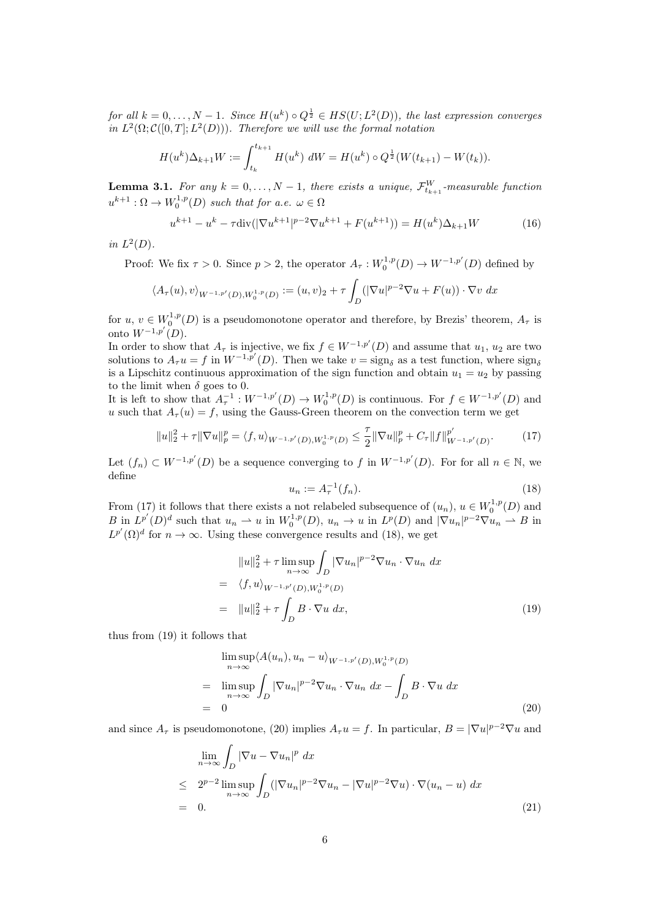for all  $k = 0, ..., N - 1$ . Since  $H(u^k) \circ Q^{\frac{1}{2}} \in HS(U; L^2(D))$ , the last expression converges in  $L^2(\Omega; \mathcal{C}([0,T]; L^2(D)))$ . Therefore we will use the formal notation

$$
H(u^k)\Delta_{k+1}W := \int_{t_k}^{t_{k+1}} H(u^k) \, dW = H(u^k) \circ Q^{\frac{1}{2}}(W(t_{k+1}) - W(t_k)).
$$

**Lemma 3.1.** For any  $k = 0, ..., N - 1$ , there exists a unique,  $\mathcal{F}_{t_{k+1}}^W$ -measurable function  $u^{k+1} : \Omega \to W_0^{1,p}(D)$  such that for a.e.  $\omega \in \Omega$ 

$$
u^{k+1} - u^k - \tau \operatorname{div}(|\nabla u^{k+1}|^{p-2} \nabla u^{k+1} + F(u^{k+1})) = H(u^k) \Delta_{k+1} W \tag{16}
$$

in  $L^2(D)$ .

Proof: We fix  $\tau > 0$ . Since  $p > 2$ , the operator  $A_{\tau}: W_0^{1,p}(D) \to W^{-1,p'}(D)$  defined by

$$
\langle A_{\tau}(u), v \rangle_{W^{-1,p'}(D), W_0^{1,p}(D)} := (u, v)_2 + \tau \int_D (|\nabla u|^{p-2} \nabla u + F(u)) \cdot \nabla v \, dx
$$

for  $u, v \in W_0^{1,p}(D)$  is a pseudomonotone operator and therefore, by Brezis' theorem,  $A_{\tau}$  is onto  $W^{-1,p'}(D)$ .

In order to show that  $A_{\tau}$  is injective, we fix  $f \in W^{-1,p'}(D)$  and assume that  $u_1, u_2$  are two solutions to  $A_{\tau}u = f$  in  $W^{-1,p'}(D)$ . Then we take  $v = \text{sign}_{\delta}$  as a test function, where  $\text{sign}_{\delta}$ is a Lipschitz continuous approximation of the sign function and obtain  $u_1 = u_2$  by passing to the limit when  $\delta$  goes to 0.

It is left to show that  $A_{\tau}^{-1}: W^{-1,p'}(D) \to W_0^{1,p}(D)$  is continuous. For  $f \in W^{-1,p'}(D)$  and u such that  $A_{\tau}(u) = f$ , using the Gauss-Green theorem on the convection term we get

$$
||u||_2^2 + \tau ||\nabla u||_p^p = \langle f, u \rangle_{W^{-1,p'}(D), W_0^{1,p}(D)} \le \frac{\tau}{2} ||\nabla u||_p^p + C_{\tau} ||f||_{W^{-1,p'}(D)}^{p'}.
$$
 (17)

Let  $(f_n) \subset W^{-1,p'}(D)$  be a sequence converging to f in  $W^{-1,p'}(D)$ . For for all  $n \in \mathbb{N}$ , we define

$$
u_n := A_\tau^{-1}(f_n). \tag{18}
$$

From (17) it follows that there exists a not relabeled subsequence of  $(u_n)$ ,  $u \in W_0^{1,p}(D)$  and B in  $L^{p'}(D)^d$  such that  $u_n \rightharpoonup u$  in  $W_0^{1,p}(D)$ ,  $u_n \to u$  in  $L^p(D)$  and  $|\nabla u_n|^{p-2} \nabla u_n \rightharpoonup B$  in  $L^{p'}(\Omega)^d$  for  $n \to \infty$ . Using these convergence results and (18), we get

$$
||u||_2^2 + \tau \limsup_{n \to \infty} \int_D |\nabla u_n|^{p-2} \nabla u_n \cdot \nabla u_n dx
$$
  
=  $\langle f, u \rangle_{W^{-1,p'}(D), W_0^{1,p}(D)}$   
=  $||u||_2^2 + \tau \int_D B \cdot \nabla u dx,$  (19)

thus from (19) it follows that

$$
\limsup_{n \to \infty} \langle A(u_n), u_n - u \rangle_{W^{-1,p'}(D), W_0^{1,p}(D)}
$$
\n
$$
= \limsup_{n \to \infty} \int_D |\nabla u_n|^{p-2} \nabla u_n \cdot \nabla u_n dx - \int_D B \cdot \nabla u dx
$$
\n
$$
= 0
$$
\n(20)

and since  $A_{\tau}$  is pseudomonotone, (20) implies  $A_{\tau}u = f$ . In particular,  $B = |\nabla u|^{p-2}\nabla u$  and

$$
\lim_{n \to \infty} \int_{D} |\nabla u - \nabla u_n|^p dx
$$
\n
$$
\leq 2^{p-2} \limsup_{n \to \infty} \int_{D} (|\nabla u_n|^{p-2} \nabla u_n - |\nabla u|^{p-2} \nabla u) \cdot \nabla (u_n - u) dx
$$
\n
$$
= 0.
$$
\n(21)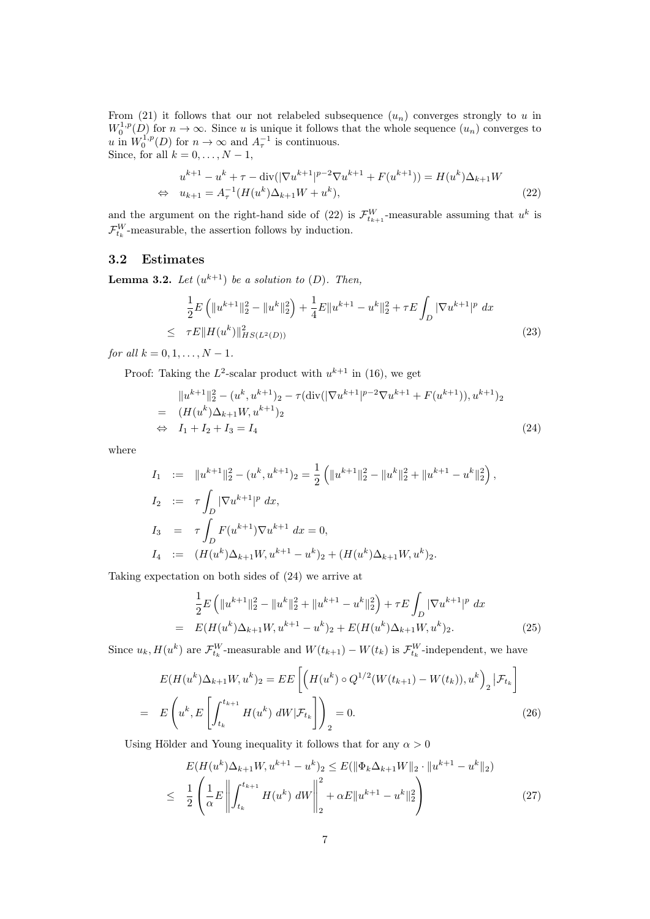From (21) it follows that our not relabeled subsequence  $(u_n)$  converges strongly to u in  $W_0^{1,p}(D)$  for  $n \to \infty$ . Since u is unique it follows that the whole sequence  $(u_n)$  converges to u in  $W_0^{1,p}(D)$  for  $n \to \infty$  and  $A_{\tau}^{-1}$  is continuous. Since, for all  $k = 0, \ldots, N - 1$ ,

$$
u^{k+1} - u^k + \tau - \text{div}(|\nabla u^{k+1}|^{p-2} \nabla u^{k+1} + F(u^{k+1})) = H(u^k) \Delta_{k+1} W
$$
  
\n
$$
\Leftrightarrow u_{k+1} = A_\tau^{-1} (H(u^k) \Delta_{k+1} W + u^k),
$$
\n(22)

and the argument on the right-hand side of (22) is  $\mathcal{F}_{t_{k+1}}^W$ -measurable assuming that  $u^k$  is  $\mathcal{F}^W_{t_k}$ -measurable, the assertion follows by induction.

## 3.2 Estimates

**Lemma 3.2.** Let  $(u^{k+1})$  be a solution to  $(D)$ . Then,

$$
\frac{1}{2}E\left(\|u^{k+1}\|_{2}^{2}-\|u^{k}\|_{2}^{2}\right)+\frac{1}{4}E\|u^{k+1}-u^{k}\|_{2}^{2}+\tau E\int_{D}|\nabla u^{k+1}|^{p} dx
$$
\n
$$
\leq \tau E\|H(u^{k})\|_{HS(L^{2}(D))}^{2}
$$
\n(23)

for all  $k = 0, 1, ..., N - 1$ .

Proof: Taking the  $L^2$ -scalar product with  $u^{k+1}$  in (16), we get

$$
||u^{k+1}||_2^2 - (u^k, u^{k+1})_2 - \tau(\text{div}(|\nabla u^{k+1}|^{p-2}\nabla u^{k+1} + F(u^{k+1})), u^{k+1})_2
$$
  
=  $(H(u^k)\Delta_{k+1}W, u^{k+1})_2$   
 $\Leftrightarrow I_1 + I_2 + I_3 = I_4$  (24)

where

$$
I_1 := \|u^{k+1}\|_2^2 - (u^k, u^{k+1})_2 = \frac{1}{2} (||u^{k+1}||_2^2 - ||u^k||_2^2 + ||u^{k+1} - u^k||_2^2),
$$
  
\n
$$
I_2 := \tau \int_D |\nabla u^{k+1}|^p dx,
$$
  
\n
$$
I_3 = \tau \int_D F(u^{k+1}) \nabla u^{k+1} dx = 0,
$$
  
\n
$$
I_4 := (H(u^k) \Delta_{k+1} W, u^{k+1} - u^k)_2 + (H(u^k) \Delta_{k+1} W, u^k)_2.
$$

Taking expectation on both sides of (24) we arrive at

$$
\frac{1}{2}E\left(\|u^{k+1}\|_{2}^{2} - \|u^{k}\|_{2}^{2} + \|u^{k+1} - u^{k}\|_{2}^{2}\right) + \tau E\int_{D} |\nabla u^{k+1}|^{p} dx
$$
\n
$$
= E(H(u^{k})\Delta_{k+1}W, u^{k+1} - u^{k})_{2} + E(H(u^{k})\Delta_{k+1}W, u^{k})_{2}.
$$
\n(25)

Since  $u_k$ ,  $H(u^k)$  are  $\mathcal{F}_{t_k}^W$ -measurable and  $W(t_{k+1}) - W(t_k)$  is  $\mathcal{F}_{t_k}^W$ -independent, we have

$$
E(H(u^k)\Delta_{k+1}W, u^k)_2 = EE\left[\left(H(u^k) \circ Q^{1/2}(W(t_{k+1}) - W(t_k)), u^k\right)_2 | \mathcal{F}_{t_k}\right]
$$
  
= 
$$
E\left(u^k, E\left[\int_{t_k}^{t_{k+1}} H(u^k) dW | \mathcal{F}_{t_k}\right]\right)_2 = 0.
$$
 (26)

Using Hölder and Young inequality it follows that for any  $\alpha > 0$ 

$$
E(H(u^k)\Delta_{k+1}W, u^{k+1} - u^k)_2 \le E(\|\Phi_k\Delta_{k+1}W\|_2 \cdot \|u^{k+1} - u^k\|_2)
$$
  

$$
\le \frac{1}{2} \left(\frac{1}{\alpha}E \left\| \int_{t_k}^{t_{k+1}} H(u^k) \ dW \right\|_2^2 + \alpha E \|u^{k+1} - u^k\|_2^2\right)
$$
 (27)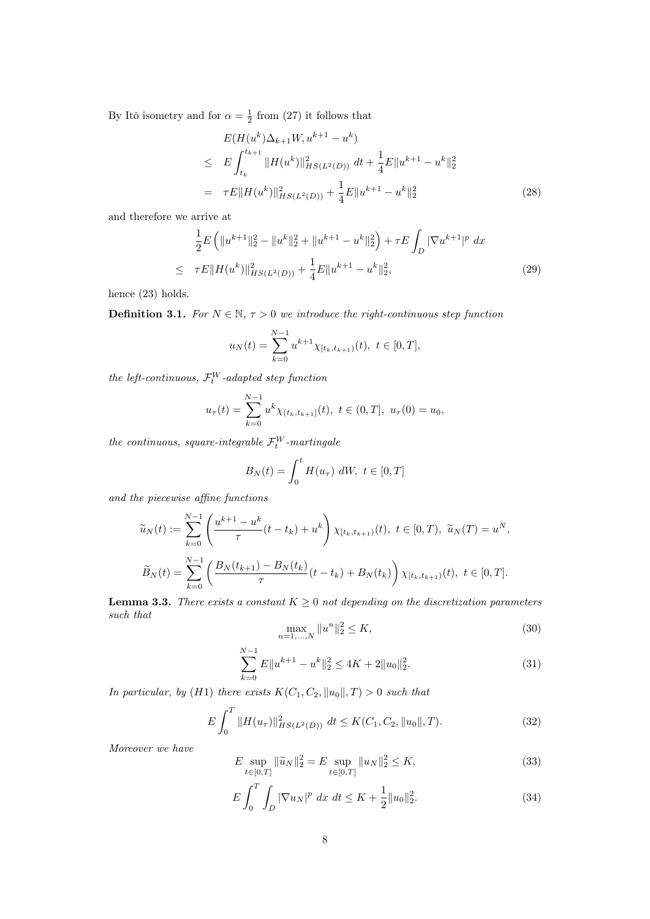By Itô isometry and for  $\alpha = \frac{1}{2}$  from (27) it follows that

$$
E(H(u^k)\Delta_{k+1}W, u^{k+1} - u^k)
$$
  
\n
$$
\leq E \int_{t_k}^{t_{k+1}} \|H(u^k)\|_{HS(L^2(D))}^2 dt + \frac{1}{4} E \|u^{k+1} - u^k\|_2^2
$$
  
\n
$$
= \tau E \|H(u^k)\|_{HS(L^2(D))}^2 + \frac{1}{4} E \|u^{k+1} - u^k\|_2^2
$$
\n(28)

and therefore we arrive at

$$
\frac{1}{2}E\left(\|u^{k+1}\|_{2}^{2}-\|u^{k}\|_{2}^{2}+\|u^{k+1}-u^{k}\|_{2}^{2}\right)+\tau E\int_{D}|\nabla u^{k+1}|^{p} dx
$$
\n
$$
\leq \tau E\|H(u^{k})\|_{HS(L^{2}(D))}^{2}+\frac{1}{4}E\|u^{k+1}-u^{k}\|_{2}^{2},
$$
\n(29)

hence (23) holds.

**Definition 3.1.** For  $N \in \mathbb{N}$ ,  $\tau > 0$  we introduce the right-continuous step function

$$
u_N(t) = \sum_{k=0}^{N-1} u^{k+1} \chi_{[t_k, t_{k+1})}(t), \ t \in [0, T],
$$

the left-continuous,  $\mathcal{F}_t^W$ -adapted step function

$$
u_{\tau}(t) = \sum_{k=0}^{N-1} u^k \chi_{(t_k, t_{k+1}]}(t), \ t \in (0, T], \ u_{\tau}(0) = u_0,
$$

the continuous, square-integrable  $\mathcal{F}_t^W$ -martingale

$$
B_N(t) = \int_0^t H(u_\tau) dW, \ t \in [0, T]
$$

and the piecewise affine functions

$$
\widetilde{u}_N(t) := \sum_{k=0}^{N-1} \left( \frac{u^{k+1} - u^k}{\tau} (t - t_k) + u^k \right) \chi_{[t_k, t_{k+1})}(t), \ t \in [0, T), \ \widetilde{u}_N(T) = u^N,
$$
\n
$$
\widetilde{B}_N(t) = \sum_{k=0}^{N-1} \left( \frac{B_N(t_{k+1}) - B_N(t_k)}{\tau} (t - t_k) + B_N(t_k) \right) \chi_{[t_k, t_{k+1})}(t), \ t \in [0, T].
$$

**Lemma 3.3.** There exists a constant  $K \geq 0$  not depending on the discretization parameters such that

$$
\max_{n=1,\dots,N} \|u^n\|_2^2 \le K,\tag{30}
$$

$$
\sum_{k=0}^{N-1} E||u^{k+1} - u^k||_2^2 \le 4K + 2||u_0||_2^2.
$$
\n(31)

In particular, by (H1) there exists  $K(C_1, C_2, ||u_0||, T) > 0$  such that

$$
E\int_0^T \|H(u_\tau)\|_{HS(L^2(D))}^2 \ dt \le K(C_1, C_2, \|u_0\|, T). \tag{32}
$$

Moreover we have

$$
E \sup_{t \in [0,T]} \|\widetilde{u}_N\|_2^2 = E \sup_{t \in [0,T]} \|u_N\|_2^2 \le K,\tag{33}
$$

$$
E\int_{0}^{T}\int_{D}|\nabla u_{N}|^{p} dx dt \leq K + \frac{1}{2}||u_{0}||_{2}^{2}.
$$
 (34)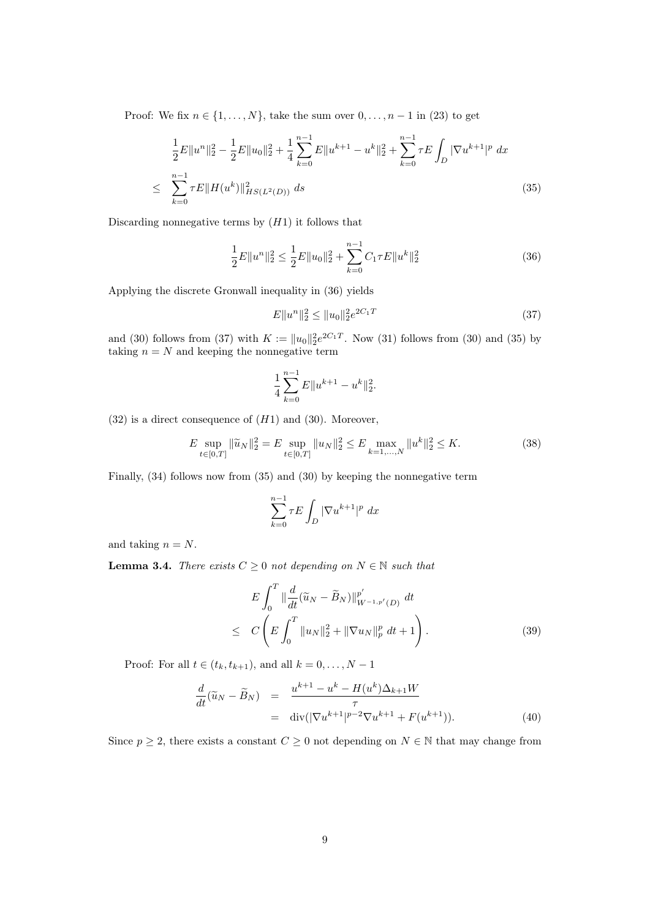Proof: We fix  $n \in \{1, \ldots, N\}$ , take the sum over  $0, \ldots, n-1$  in (23) to get

$$
\frac{1}{2}E\|u^n\|_2^2 - \frac{1}{2}E\|u_0\|_2^2 + \frac{1}{4}\sum_{k=0}^{n-1}E\|u^{k+1} - u^k\|_2^2 + \sum_{k=0}^{n-1}\tau E\int_D|\nabla u^{k+1}|^p dx
$$
\n
$$
\leq \sum_{k=0}^{n-1}\tau E\|H(u^k)\|_{HS(L^2(D))}^2 ds \tag{35}
$$

Discarding nonnegative terms by  $(H1)$  it follows that

$$
\frac{1}{2}E\|u^n\|_2^2 \le \frac{1}{2}E\|u_0\|_2^2 + \sum_{k=0}^{n-1} C_1 \tau E\|u^k\|_2^2
$$
\n(36)

Applying the discrete Gronwall inequality in (36) yields

$$
E \|u^n\|_2^2 \le \|u_0\|_2^2 e^{2C_1 T} \tag{37}
$$

and (30) follows from (37) with  $K := ||u_0||_2^2 e^{2C_1T}$ . Now (31) follows from (30) and (35) by taking  $n = N$  and keeping the nonnegative term

$$
\frac{1}{4} \sum_{k=0}^{n-1} E||u^{k+1} - u^k||_2^2.
$$

 $(32)$  is a direct consequence of  $(H1)$  and  $(30)$ . Moreover,

$$
E \sup_{t \in [0,T]} \|\widetilde{u}_N\|_2^2 = E \sup_{t \in [0,T]} \|u_N\|_2^2 \le E \max_{k=1,\dots,N} \|u^k\|_2^2 \le K. \tag{38}
$$

Finally, (34) follows now from (35) and (30) by keeping the nonnegative term

$$
\sum_{k=0}^{n-1} \tau E \int_D |\nabla u^{k+1}|^p dx
$$

and taking  $n = N$ .

**Lemma 3.4.** There exists  $C \geq 0$  not depending on  $N \in \mathbb{N}$  such that

$$
E\int_0^T \|\frac{d}{dt}(\widetilde{u}_N - \widetilde{B}_N)\|_{W^{-1,p'}(D)}^{p'} dt
$$
  
 
$$
\leq C\left(E\int_0^T \|u_N\|_2^2 + \|\nabla u_N\|_p^p dt + 1\right).
$$
 (39)

Proof: For all  $t \in (t_k, t_{k+1})$ , and all  $k = 0, \ldots, N-1$ 

$$
\frac{d}{dt}(\widetilde{u}_N - \widetilde{B}_N) = \frac{u^{k+1} - u^k - H(u^k)\Delta_{k+1}W}{\tau} \n= \text{div}(|\nabla u^{k+1}|^{p-2}\nabla u^{k+1} + F(u^{k+1})).
$$
\n(40)

Since  $p \geq 2$ , there exists a constant  $C \geq 0$  not depending on  $N \in \mathbb{N}$  that may change from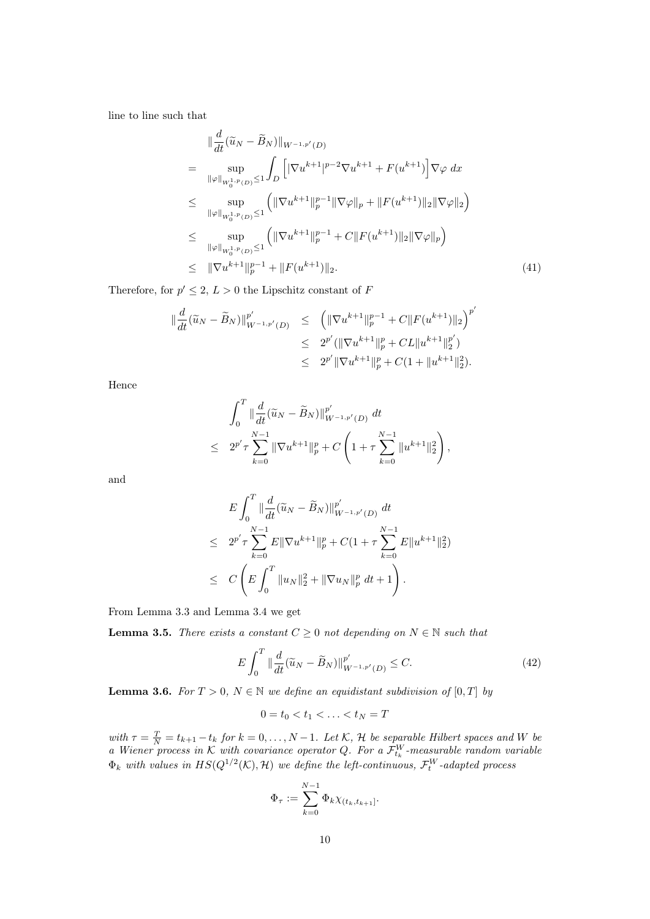line to line such that

$$
\|\frac{d}{dt}(\widetilde{u}_N - \widetilde{B}_N)\|_{W^{-1,p'}(D)}
$$
\n
$$
= \sup_{\|\varphi\|_{W_0^{1,p}(D)} \le 1} \int_D \left[ |\nabla u^{k+1}|^{p-2} \nabla u^{k+1} + F(u^{k+1}) \right] \nabla \varphi \, dx
$$
\n
$$
\le \sup_{\|\varphi\|_{W_0^{1,p}(D)} \le 1} \left( \|\nabla u^{k+1}\|_p^{p-1} \|\nabla \varphi\|_p + \|F(u^{k+1})\|_2 \|\nabla \varphi\|_2 \right)
$$
\n
$$
\le \sup_{\|\varphi\|_{W_0^{1,p}(D)} \le 1} \left( \|\nabla u^{k+1}\|_p^{p-1} + C \|F(u^{k+1})\|_2 \|\nabla \varphi\|_p \right)
$$
\n
$$
\le \|\nabla u^{k+1}\|_p^{p-1} + \|F(u^{k+1})\|_2. \tag{41}
$$

Therefore, for  $p' \leq 2$ ,  $L > 0$  the Lipschitz constant of F

 $\overline{a}$ 

$$
\begin{array}{rcl}\n\|\frac{d}{dt}(\widetilde{u}_N - \widetilde{B}_N)\|_{W^{-1,p'}(D)}^{p'} & \leq & \left(\|\nabla u^{k+1}\|_{p}^{p-1} + C\|F(u^{k+1})\|_{2}\right)^{p'} \\
& \leq & 2^{p'}(\|\nabla u^{k+1}\|_{p}^{p} + CL\|u^{k+1}\|_{2}^{p'}) \\
& \leq & 2^{p'}\|\nabla u^{k+1}\|_{p}^{p} + C(1 + \|u^{k+1}\|_{2}^{2}).\n\end{array}
$$

Hence

$$
\int_0^T \|\frac{d}{dt}(\widetilde{u}_N - \widetilde{B}_N)\|_{W^{-1,p'}(D)}^{p'} dt
$$
  
\n
$$
\leq 2^{p'}\tau \sum_{k=0}^{N-1} \|\nabla u^{k+1}\|_p^p + C \left(1 + \tau \sum_{k=0}^{N-1} \|u^{k+1}\|_2^2\right),
$$

and

$$
E\int_0^T \|\frac{d}{dt}(\widetilde{u}_N - \widetilde{B}_N)\|_{W^{-1,p'}(D)}^{p'} dt
$$
  
\n
$$
\leq 2^{p'}\tau \sum_{k=0}^{N-1} E\|\nabla u^{k+1}\|_p^p + C(1 + \tau \sum_{k=0}^{N-1} E\|u^{k+1}\|_2^2)
$$
  
\n
$$
\leq C\left(E\int_0^T \|u_N\|_2^2 + \|\nabla u_N\|_p^p dt + 1\right).
$$

From Lemma 3.3 and Lemma 3.4 we get

**Lemma 3.5.** There exists a constant  $C \geq 0$  not depending on  $N \in \mathbb{N}$  such that

$$
E\int_{0}^{T} \|\frac{d}{dt}(\widetilde{u}_{N} - \widetilde{B}_{N})\|_{W^{-1,p'}(D)}^{p'} \le C.
$$
\n(42)

**Lemma 3.6.** For  $T > 0$ ,  $N \in \mathbb{N}$  we define an equidistant subdivision of  $[0, T]$  by

$$
0=t_0
$$

with  $\tau = \frac{T}{N} = t_{k+1} - t_k$  for  $k = 0, \ldots, N-1$ . Let K, H be separable Hilbert spaces and W be a Wiener process in K with covariance operator Q. For a  $\mathcal{F}_{t_k}^W$ -measurable random variable  $\Phi_k$  with values in  $HS(Q^{1/2}(\mathcal{K}), \mathcal{H})$  we define the left-continuous,  $\mathcal{F}_t^W$ -adapted process

$$
\Phi_{\tau} := \sum_{k=0}^{N-1} \Phi_k \chi_{(t_k, t_{k+1}]}.
$$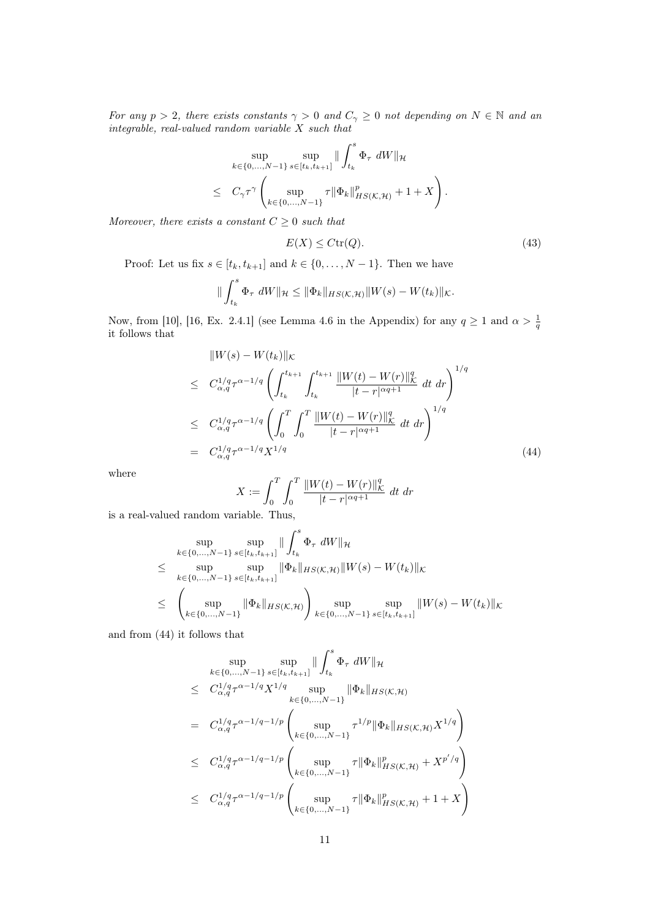For any  $p > 2$ , there exists constants  $\gamma > 0$  and  $C_{\gamma} \ge 0$  not depending on  $N \in \mathbb{N}$  and an  $integral,~real-valued~random~variable~X~such~that$ 

$$
\sup_{k \in \{0, ..., N-1\}} \sup_{s \in [t_k, t_{k+1}]} \| \int_{t_k}^s \Phi_{\tau} dW \|_{\mathcal{H}}
$$
  

$$
\leq C_{\gamma} \tau^{\gamma} \left( \sup_{k \in \{0, ..., N-1\}} \tau \| \Phi_k \|_{HS(\mathcal{K}, \mathcal{H})}^p + 1 + X \right).
$$

Moreover, there exists a constant  $C \geq 0$  such that

$$
E(X) \leq C \text{tr}(Q). \tag{43}
$$

Proof: Let us fix  $s \in [t_k, t_{k+1}]$  and  $k \in \{0, ..., N-1\}$ . Then we have

$$
\|\int_{t_k}^s \Phi_{\tau} dW\|_{\mathcal{H}} \leq \|\Phi_k\|_{HS(\mathcal{K},\mathcal{H})} \|W(s) - W(t_k)\|_{\mathcal{K}}.
$$

Now, from [10], [16, Ex. 2.4.1] (see Lemma 4.6 in the Appendix) for any  $q \ge 1$  and  $\alpha > \frac{1}{q}$ it follows that

$$
\|W(s) - W(t_k)\|_{\mathcal{K}}
$$
\n
$$
\leq C_{\alpha,q}^{1/q} \tau^{\alpha - 1/q} \left( \int_{t_k}^{t_{k+1}} \int_{t_k}^{t_{k+1}} \frac{\|W(t) - W(r)\|_{\mathcal{K}}^q}{|t - r|^{\alpha q + 1}} \, dt \, dr \right)^{1/q}
$$
\n
$$
\leq C_{\alpha,q}^{1/q} \tau^{\alpha - 1/q} \left( \int_0^T \int_0^T \frac{\|W(t) - W(r)\|_{\mathcal{K}}^q}{|t - r|^{\alpha q + 1}} \, dt \, dr \right)^{1/q}
$$
\n
$$
= C_{\alpha,q}^{1/q} \tau^{\alpha - 1/q} X^{1/q} \tag{44}
$$

where

$$
X := \int_0^T \int_0^T \frac{\|W(t) - W(r)\|_{\mathcal{K}}^q}{|t - r|^{\alpha q + 1}} dt dr
$$

is a real-valued random variable. Thus,

$$
\sup_{k \in \{0, ..., N-1\}} \sup_{s \in [t_k, t_{k+1}]} \| \int_{t_k}^s \Phi_{\tau} dW \|_{\mathcal{H}}
$$
\n
$$
\leq \sup_{k \in \{0, ..., N-1\}} \sup_{s \in [t_k, t_{k+1}]} \| \Phi_k \|_{HS(\mathcal{K}, \mathcal{H})} \| W(s) - W(t_k) \|_{\mathcal{K}}
$$
\n
$$
\leq \left( \sup_{k \in \{0, ..., N-1\}} \| \Phi_k \|_{HS(\mathcal{K}, \mathcal{H})} \right) \sup_{k \in \{0, ..., N-1\}} \sup_{s \in [t_k, t_{k+1}]} \| W(s) - W(t_k) \|_{\mathcal{K}}
$$

and from (44) it follows that

$$
\sup_{k \in \{0, ..., N-1\}} \sup_{s \in [t_k, t_{k+1}]} \| \int_{t_k}^s \Phi_{\tau} dW \|_{\mathcal{H}}
$$
\n
$$
\leq C_{\alpha, q}^{1/q} \tau^{\alpha - 1/q} X^{1/q} \sup_{k \in \{0, ..., N-1\}} \| \Phi_k \|_{HS(\mathcal{K}, \mathcal{H})}
$$
\n
$$
= C_{\alpha, q}^{1/q} \tau^{\alpha - 1/q - 1/p} \left( \sup_{k \in \{0, ..., N-1\}} \tau^{1/p} \| \Phi_k \|_{HS(\mathcal{K}, \mathcal{H})} X^{1/q} \right)
$$
\n
$$
\leq C_{\alpha, q}^{1/q} \tau^{\alpha - 1/q - 1/p} \left( \sup_{k \in \{0, ..., N-1\}} \tau \| \Phi_k \|_{HS(\mathcal{K}, \mathcal{H})}^p + X^{p'/q} \right)
$$
\n
$$
\leq C_{\alpha, q}^{1/q} \tau^{\alpha - 1/q - 1/p} \left( \sup_{k \in \{0, ..., N-1\}} \tau \| \Phi_k \|_{HS(\mathcal{K}, \mathcal{H})}^p + 1 + X \right)
$$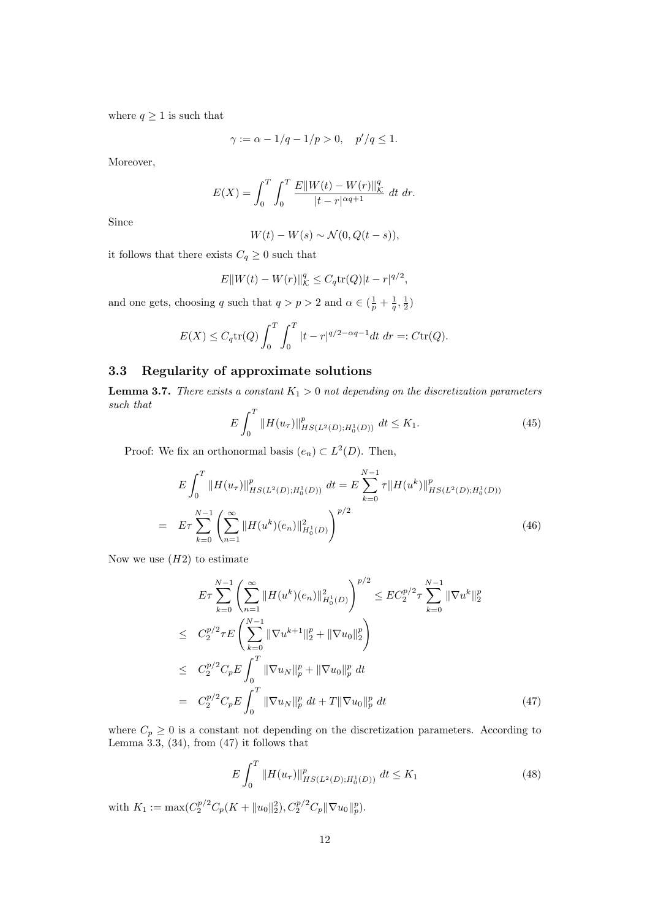where  $q \geq 1$  is such that

$$
\gamma := \alpha - 1/q - 1/p > 0, \quad p'/q \le 1.
$$

Moreover,

$$
E(X) = \int_0^T \int_0^T \frac{E\|W(t) - W(r)\|_{K}^q}{|t - r|^{\alpha q + 1}} dt \, dr.
$$

Since

$$
W(t) - W(s) \sim \mathcal{N}(0, Q(t - s)),
$$

it follows that there exists  $C_q \geq 0$  such that

$$
E||W(t) - W(r)||_{K}^{q} \leq C_{q} \text{tr}(Q)|t - r|^{q/2},
$$

and one gets, choosing q such that  $q > p > 2$  and  $\alpha \in (\frac{1}{p} + \frac{1}{q}, \frac{1}{2})$ 

$$
E(X) \le C_q \text{tr}(Q) \int_0^T \int_0^T |t-r|^{q/2 - \alpha q - 1} dt \, dr =: C \text{tr}(Q).
$$

## 3.3 Regularity of approximate solutions

**Lemma 3.7.** There exists a constant  $K_1 > 0$  not depending on the discretization parameters such that

$$
E\int_{0}^{T} \|H(u_{\tau})\|_{HS(L^{2}(D);H_{0}^{1}(D))}^{p} \, dt \le K_{1}.
$$
\n(45)

Proof: We fix an orthonormal basis  $(e_n) \subset L^2(D)$ . Then,

$$
E \int_0^T \|H(u_\tau)\|_{HS(L^2(D);H_0^1(D))}^p \, dt = E \sum_{k=0}^{N-1} \tau \|H(u^k)\|_{HS(L^2(D);H_0^1(D))}^p
$$
\n
$$
= E \tau \sum_{k=0}^{N-1} \left( \sum_{n=1}^\infty \|H(u^k)(e_n)\|_{H_0^1(D)}^2 \right)^{p/2} \tag{46}
$$

Now we use  $(H2)$  to estimate

$$
E\tau \sum_{k=0}^{N-1} \left( \sum_{n=1}^{\infty} \|H(u^k)(e_n)\|_{H_0^1(D)}^2 \right)^{p/2} \leq EC_2^{p/2} \tau \sum_{k=0}^{N-1} \|\nabla u^k\|_2^p
$$
  
\n
$$
\leq C_2^{p/2} \tau E \left( \sum_{k=0}^{N-1} \|\nabla u^{k+1}\|_2^p + \|\nabla u_0\|_2^p \right)
$$
  
\n
$$
\leq C_2^{p/2} C_p E \int_0^T \|\nabla u_N\|_p^p + \|\nabla u_0\|_p^p dt
$$
  
\n
$$
= C_2^{p/2} C_p E \int_0^T \|\nabla u_N\|_p^p dt + T \|\nabla u_0\|_p^p dt
$$
 (47)

where  $C_p \geq 0$  is a constant not depending on the discretization parameters. According to Lemma  $3.3, (34)$ , from  $(47)$  it follows that

$$
E\int_{0}^{T} \|H(u_{\tau})\|_{HS(L^{2}(D);H_{0}^{1}(D))}^{p} \, dt \leq K_{1}
$$
\n<sup>(48)</sup>

with  $K_1 := \max(C_2^{p/2}C_p(K + \|u_0\|_2^2), C_2^{p/2}C_p \|\nabla u_0\|_p^p)$ .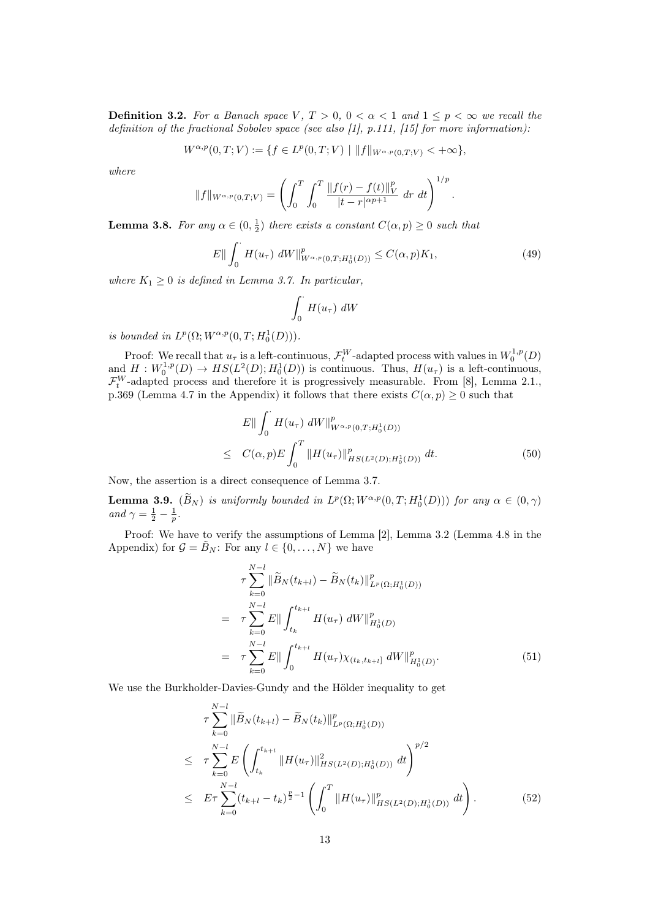**Definition 3.2.** For a Banach space V,  $T > 0$ ,  $0 < \alpha < 1$  and  $1 \le p < \infty$  we recall the definition of the fractional Sobolev space (see also [1], p.111, [15] for more information):

$$
W^{\alpha,p}(0,T;V) := \{ f \in L^p(0,T;V) \mid ||f||_{W^{\alpha,p}(0,T;V)} < +\infty \},
$$

where

$$
||f||_{W^{\alpha,p}(0,T;V)} = \left(\int_0^T \int_0^T \frac{||f(r) - f(t)||_V^p}{|t - r|^{\alpha p + 1}} dr dt\right)^{1/p}
$$

**Lemma 3.8.** For any  $\alpha \in (0, \frac{1}{2})$  there exists a constant  $C(\alpha, p) \geq 0$  such that

$$
E\|\int_0^{\cdot} H(u_\tau) \, dW\|_{W^{\alpha,p}(0,T;H_0^1(D))}^p \le C(\alpha, p)K_1,\tag{49}
$$

.

where  $K_1 \geq 0$  is defined in Lemma 3.7. In particular,

$$
\int_0^\cdot H(u_\tau) \ dW
$$

is bounded in  $L^p(\Omega; W^{\alpha,p}(0,T; H_0^1(D)))$ .

Proof: We recall that  $u_{\tau}$  is a left-continuous,  $\mathcal{F}_{t}^{W}$ -adapted process with values in  $W_{0}^{1,p}(D)$ and  $H: W_0^{1,p}(D) \to HS(L^2(D); H_0^1(D))$  is continuous. Thus,  $H(u_\tau)$  is a left-continuous,  $\mathcal{F}_t^W$ -adapted process and therefore it is progressively measurable. From [8], Lemma 2.1., p.369 (Lemma 4.7 in the Appendix) it follows that there exists  $C(\alpha, p) \geq 0$  such that

$$
E\| \int_0^{\cdot} H(u_\tau) \, dW \|_{W^{\alpha,p}(0,T;H_0^1(D))}^p
$$
  
\n
$$
\leq C(\alpha, p) E \int_0^T \| H(u_\tau) \|_{HS(L^2(D);H_0^1(D))}^p \, dt. \tag{50}
$$

Now, the assertion is a direct consequence of Lemma 3.7.

**Lemma 3.9.**  $(B_N)$  is uniformly bounded in  $L^p(\Omega; W^{\alpha,p}(0,T; H_0^1(D)))$  for any  $\alpha \in (0,\gamma)$ and  $\gamma = \frac{1}{2} - \frac{1}{p}$ .

Proof: We have to verify the assumptions of Lemma [2], Lemma 3.2 (Lemma 4.8 in the Appendix) for  $\mathcal{G} = \mathcal{B}_N$ : For any  $l \in \{0, \ldots, N\}$  we have

$$
\tau \sum_{k=0}^{N-l} \|\widetilde{B}_N(t_{k+l}) - \widetilde{B}_N(t_k)\|_{L^p(\Omega; H_0^1(D))}^p
$$
\n
$$
= \tau \sum_{k=0}^{N-l} E\| \int_{t_k}^{t_{k+l}} H(u_\tau) dW\|_{H_0^1(D)}^p
$$
\n
$$
= \tau \sum_{k=0}^{N-l} E\| \int_0^{t_{k+l}} H(u_\tau) \chi_{(t_k, t_{k+l}]} dW\|_{H_0^1(D)}^p.
$$
\n(51)

We use the Burkholder-Davies-Gundy and the Hölder inequality to get

$$
\tau \sum_{k=0}^{N-l} \|\widetilde{B}_N(t_{k+l}) - \widetilde{B}_N(t_k)\|_{L^p(\Omega; H_0^1(D))}^p
$$
\n
$$
\leq \tau \sum_{k=0}^{N-l} E\left(\int_{t_k}^{t_{k+l}} \|H(u_\tau)\|_{HS(L^2(D); H_0^1(D))}^2 dt\right)^{p/2}
$$
\n
$$
\leq E\tau \sum_{k=0}^{N-l} (t_{k+l} - t_k)^{\frac{p}{2}-1} \left(\int_0^T \|H(u_\tau)\|_{HS(L^2(D); H_0^1(D))}^p dt\right). \tag{52}
$$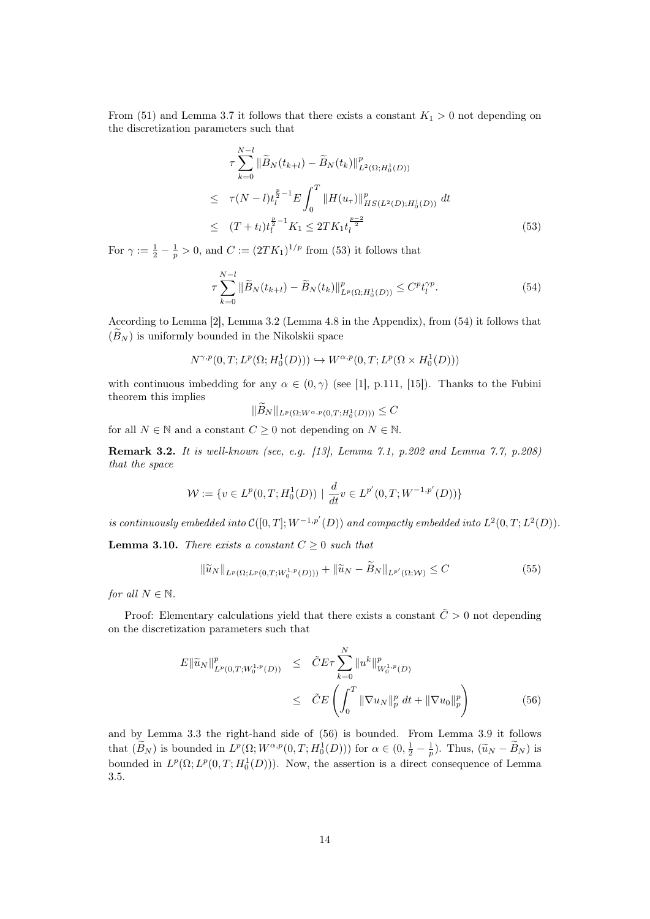From (51) and Lemma 3.7 it follows that there exists a constant  $K_1 > 0$  not depending on the discretization parameters such that

$$
\tau \sum_{k=0}^{N-l} \|\widetilde{B}_N(t_{k+l}) - \widetilde{B}_N(t_k)\|_{L^2(\Omega; H_0^1(D))}^p
$$
\n
$$
\leq \tau (N-l)t_l^{\frac{p}{2}-1} E \int_0^T \|H(u_\tau)\|_{HS(L^2(D); H_0^1(D))}^p dt
$$
\n
$$
\leq (T+t_l)t_l^{\frac{p}{2}-1} K_1 \leq 2TK_1t_l^{\frac{p-2}{2}} \tag{53}
$$

For  $\gamma := \frac{1}{2} - \frac{1}{p} > 0$ , and  $C := (2TK_1)^{1/p}$  from (53) it follows that

$$
\tau \sum_{k=0}^{N-l} \|\widetilde{B}_N(t_{k+l}) - \widetilde{B}_N(t_k)\|_{L^p(\Omega; H_0^1(D))}^p \le C^p t_l^{\gamma p}.
$$
\n(54)

According to Lemma [2], Lemma 3.2 (Lemma 4.8 in the Appendix), from (54) it follows that  $(B_N)$  is uniformly bounded in the Nikolskii space

$$
N^{\gamma,p}(0,T;L^p(\Omega;H^1_0(D)))\hookrightarrow W^{\alpha,p}(0,T;L^p(\Omega\times H^1_0(D)))
$$

with continuous imbedding for any  $\alpha \in (0, \gamma)$  (see [1], p.111, [15]). Thanks to the Fubini theorem this implies

$$
||B_N||_{L^p(\Omega;W^{\alpha,p}(0,T;H^1_0(D)))} \leq C
$$

for all  $N \in \mathbb{N}$  and a constant  $C \geq 0$  not depending on  $N \in \mathbb{N}$ .

Remark 3.2. It is well-known (see, e.g. [13], Lemma 7.1, p.202 and Lemma 7.7, p.208) that the space

$$
\mathcal{W} := \{ v \in L^p(0, T; H_0^1(D)) \mid \frac{d}{dt} v \in L^{p'}(0, T; W^{-1, p'}(D)) \}
$$

is continuously embedded into  $\mathcal{C}([0,T];W^{-1,p'}(D))$  and compactly embedded into  $L^2(0,T;L^2(D))$ .

**Lemma 3.10.** There exists a constant  $C \geq 0$  such that

$$
\|\tilde{u}_N\|_{L^p(\Omega; L^p(0,T; W_0^{1,p}(D)))} + \|\tilde{u}_N - \tilde{B}_N\|_{L^{p'}(\Omega; \mathcal{W})} \le C \tag{55}
$$

for all  $N \in \mathbb{N}$ .

Proof: Elementary calculations yield that there exists a constant  $\tilde{C} > 0$  not depending on the discretization parameters such that

$$
E \|\widetilde{u}_{N}\|_{L^{p}(0,T;W_{0}^{1,p}(D))}^{p} \leq \widetilde{C}E\tau \sum_{k=0}^{N} \|u^{k}\|_{W_{0}^{1,p}(D)}^{p} \leq \widetilde{C}E\left(\int_{0}^{T} \|\nabla u_{N}\|_{p}^{p} dt + \|\nabla u_{0}\|_{p}^{p}\right)
$$
(56)

and by Lemma 3.3 the right-hand side of (56) is bounded. From Lemma 3.9 it follows that  $(\widetilde{B}_N)$  is bounded in  $L^p(\Omega; W^{\alpha, p}(0,T; H_0^1(D)))$  for  $\alpha \in (0, \frac{1}{2} - \frac{1}{p})$ . Thus,  $(\widetilde{u}_N - \widetilde{B}_N)$  is bounded in  $L^p(\Omega; L^p(0,T; H_0^1(D)))$ . Now, the assertion is a direct consequence of Lemma 3.5.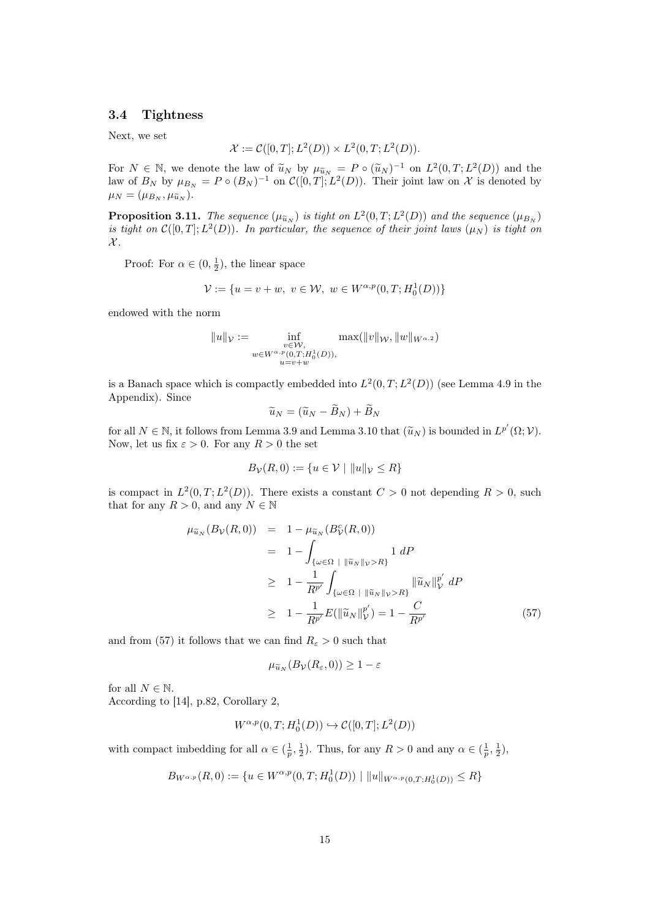## 3.4 Tightness

Next, we set

$$
\mathcal{X} := \mathcal{C}([0,T]; L^2(D)) \times L^2(0,T; L^2(D)).
$$

For  $N \in \mathbb{N}$ , we denote the law of  $\tilde{u}_N$  by  $\mu_{\tilde{u}_N} = P \circ (\tilde{u}_N)^{-1}$  on  $L^2(0,T;L^2(D))$  and the law of  $R_{\tilde{u}_N}$  by  $\mu_{\tilde{u}_N} = P \circ (R_{\tilde{u}_N})^{-1}$  on  $\mathcal{C}([0,T]:L^2(D))$ . Their joint law on  $\mathcal{X}$  is denoted law of  $B_N$  by  $\mu_{B_N} = P \circ (B_N)^{-1}$  on  $\mathcal{C}([0,T]; L^2(D))$ . Their joint law on X is denoted by  $\mu_N = (\mu_{B_N}, \mu_{\widetilde{u}_N}).$ 

**Proposition 3.11.** The sequence  $(\mu_{\widetilde{u}_N})$  is tight on  $L^2(0,T;L^2(D))$  and the sequence  $(\mu_{B_N})$ is tight on  $\mathcal{C}([0,T];L^2(D))$ . In particular, the sequence of their joint laws  $(\mu_N)$  is tight on  $\mathcal{X}.$ 

Proof: For  $\alpha \in (0, \frac{1}{2})$ , the linear space

$$
\mathcal{V} := \{ u = v + w, \ v \in \mathcal{W}, \ w \in W^{\alpha, p}(0, T; H_0^1(D)) \}
$$

endowed with the norm

$$
||u||_{\mathcal{V}} := \inf_{\substack{v \in \mathcal{W}, \\ w \in W^{\alpha, p}(0, T; H_0^1(D)), \\ u = v + w}} \max(||v||_{\mathcal{W}}, ||w||_{W^{\alpha, 2}})
$$

is a Banach space which is compactly embedded into  $L^2(0,T; L^2(D))$  (see Lemma 4.9 in the Appendix). Since

$$
\widetilde{u}_N = (\widetilde{u}_N - \widetilde{B}_N) + \widetilde{B}_N
$$

for all  $N \in \mathbb{N}$ , it follows from Lemma 3.9 and Lemma 3.10 that  $(\widetilde{u}_N)$  is bounded in  $L^{p'}(\Omega; \mathcal{V})$ . Now, let us fix  $\varepsilon > 0$ . For any  $R > 0$  the set

$$
B_{\mathcal{V}}(R,0) := \{ u \in \mathcal{V} \mid ||u||_{\mathcal{V}} \le R \}
$$

is compact in  $L^2(0,T;L^2(D))$ . There exists a constant  $C>0$  not depending  $R>0$ , such that for any  $R > 0$ , and any  $N \in \mathbb{N}$ 

$$
\mu_{\widetilde{u}_N}(B_{\mathcal{V}}(R,0)) = 1 - \mu_{\widetilde{u}_N}(B_{\mathcal{V}}^c(R,0)) \n= 1 - \int_{\{\omega \in \Omega \; | \; \|\widetilde{u}_N\|_{\mathcal{V}} > R\}} 1 \, dP \n\geq 1 - \frac{1}{R^{p'}} \int_{\{\omega \in \Omega \; | \; \|\widetilde{u}_N\|_{\mathcal{V}} > R\}} \|\widetilde{u}_N\|_{\mathcal{V}}^{p'} \, dP \n\geq 1 - \frac{1}{R^{p'}} E(\|\widetilde{u}_N\|_{\mathcal{V}}^{p'}) = 1 - \frac{C}{R^{p'}} \tag{57}
$$

and from (57) it follows that we can find  $R_{\varepsilon} > 0$  such that

$$
\mu_{\widetilde{u}_N}(B_{\mathcal{V}}(R_{\varepsilon},0)) \geq 1-\varepsilon
$$

for all  $N \in \mathbb{N}$ . According to [14], p.82, Corollary 2,

$$
W^{\alpha,p}(0,T;H_0^1(D)) \hookrightarrow \mathcal{C}([0,T];L^2(D))
$$

with compact imbedding for all  $\alpha \in (\frac{1}{p}, \frac{1}{2})$ . Thus, for any  $R > 0$  and any  $\alpha \in (\frac{1}{p}, \frac{1}{2})$ ,

$$
B_{W^{\alpha,p}}(R,0) := \{ u \in W^{\alpha,p}(0,T;H_0^1(D)) \mid ||u||_{W^{\alpha,p}(0,T;H_0^1(D))} \le R \}
$$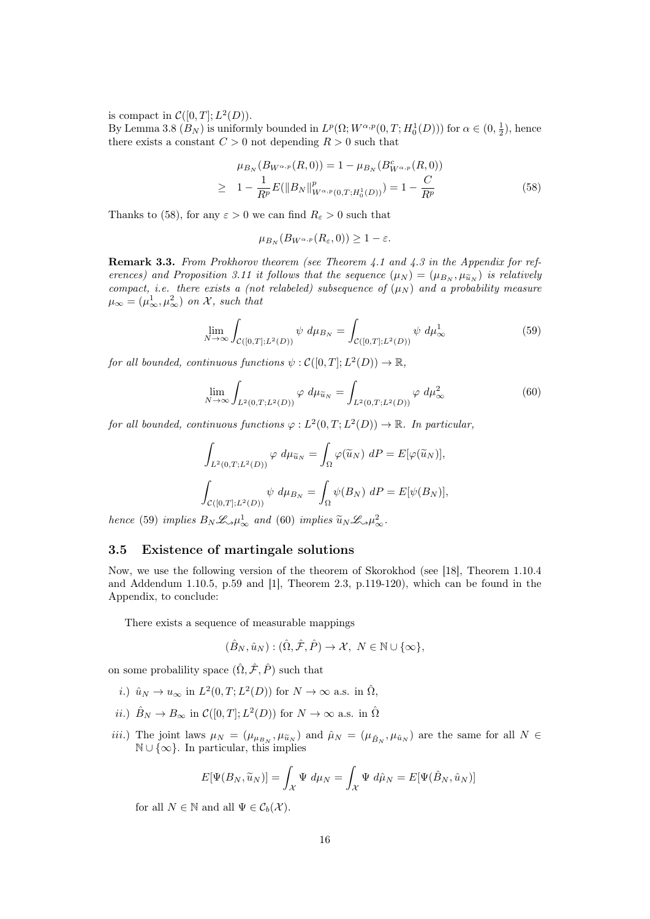is compact in  $\mathcal{C}([0,T];L^2(D)).$ 

By Lemma 3.8  $(B_N)$  is uniformly bounded in  $L^p(\Omega; W^{\alpha,p}(0,T; H_0^1(D)))$  for  $\alpha \in (0, \frac{1}{2})$ , hence there exists a constant  $C > 0$  not depending  $R > 0$  such that

$$
\mu_{B_N}(B_{W^{\alpha,p}}(R,0)) = 1 - \mu_{B_N}(B_{W^{\alpha,p}}^c(R,0))
$$
  
\n
$$
\geq 1 - \frac{1}{R^p} E(||B_N||_{W^{\alpha,p}(0,T;H_0^1(D))}^p) = 1 - \frac{C}{R^p}
$$
\n(58)

Thanks to (58), for any  $\varepsilon > 0$  we can find  $R_{\varepsilon} > 0$  such that

$$
\mu_{B_N}(B_{W^{\alpha,p}}(R_{\varepsilon},0)) \geq 1-\varepsilon.
$$

Remark 3.3. From Prokhorov theorem (see Theorem 4.1 and 4.3 in the Appendix for references) and Proposition 3.11 it follows that the sequence  $(\mu_N) = (\mu_{B_N}, \mu_{\tilde{u}_N})$  is relatively compact, i.e. there exists a (not relabeled) subsequence of  $(\mu_N)$  and a probability measure  $\mu_{\infty} = (\mu_{\infty}^1, \mu_{\infty}^2)$  on X, such that

$$
\lim_{N \to \infty} \int_{\mathcal{C}([0,T];L^2(D))} \psi \, d\mu_{B_N} = \int_{\mathcal{C}([0,T];L^2(D))} \psi \, d\mu_{\infty}^1 \tag{59}
$$

for all bounded, continuous functions  $\psi : \mathcal{C}([0,T]; L^2(D)) \to \mathbb{R}$ ,

$$
\lim_{N \to \infty} \int_{L^2(0,T;L^2(D))} \varphi \, d\mu_{\widetilde{u}_N} = \int_{L^2(0,T;L^2(D))} \varphi \, d\mu_{\infty}^2 \tag{60}
$$

for all bounded, continuous functions  $\varphi : L^2(0,T; L^2(D)) \to \mathbb{R}$ . In particular,

$$
\int_{L^2(0,T;L^2(D))} \varphi \, d\mu_{\widetilde{u}_N} = \int_{\Omega} \varphi(\widetilde{u}_N) \, dP = E[\varphi(\widetilde{u}_N)],
$$
\n
$$
\int_{\mathcal{C}([0,T];L^2(D))} \psi \, d\mu_{B_N} = \int_{\Omega} \psi(B_N) \, dP = E[\psi(B_N)],
$$

hence (59) implies  $B_N \mathcal{L}_{\gamma} \mu_{\infty}^1$  and (60) implies  $\widetilde{u}_N \mathcal{L}_{\gamma} \mu_{\infty}^2$ .

## 3.5 Existence of martingale solutions

Now, we use the following version of the theorem of Skorokhod (see [18], Theorem 1.10.4 and Addendum 1.10.5, p.59 and [1], Theorem 2.3, p.119-120), which can be found in the Appendix, to conclude:

There exists a sequence of measurable mappings

$$
(\hat{B}_N, \hat{u}_N) : (\hat{\Omega}, \hat{\mathcal{F}}, \hat{P}) \to \mathcal{X}, N \in \mathbb{N} \cup \{\infty\},\
$$

on some probalility space  $(\hat{\Omega}, \hat{\mathcal{F}}, \hat{P})$  such that

- i.)  $\hat{u}_N \to u_\infty$  in  $L^2(0,T; L^2(D))$  for  $N \to \infty$  a.s. in  $\hat{\Omega}$ ,
- *ii.*)  $\hat{B}_N \to B_\infty$  in  $\mathcal{C}([0,T]; L^2(D))$  for  $N \to \infty$  a.s. in  $\hat{\Omega}$
- *iii.*) The joint laws  $\mu_N = (\mu_{\mu_{B_N}}, \mu_{\tilde{u}_N})$  and  $\hat{\mu}_N = (\mu_{\hat{B}_N}, \mu_{\hat{u}_N})$  are the same for all  $N \in \mathbb{N}$ .  $\mathbb{N} \cup \{\infty\}$ . In particular, this implies

$$
E[\Psi(B_N, \tilde{u}_N)] = \int_{\mathcal{X}} \Psi \, d\mu_N = \int_{\mathcal{X}} \Psi \, d\hat{\mu}_N = E[\Psi(\hat{B}_N, \hat{u}_N)]
$$

for all  $N \in \mathbb{N}$  and all  $\Psi \in \mathcal{C}_b(\mathcal{X})$ .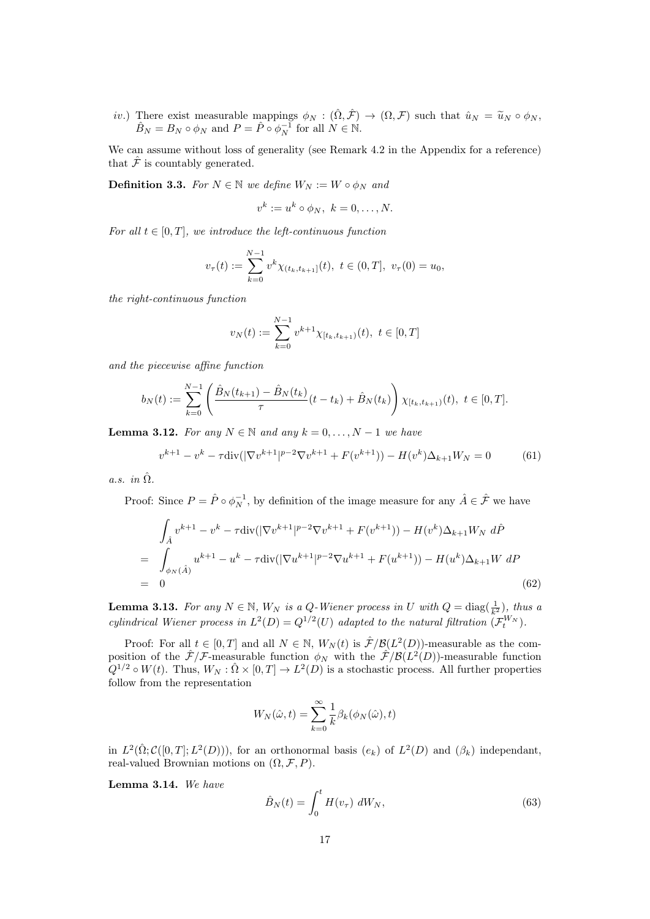*iv.*) There exist measurable mappings  $\phi_N : (\hat{\Omega}, \hat{\mathcal{F}}) \to (\Omega, \mathcal{F})$  such that  $\hat{u}_N = \tilde{u}_N \circ \phi_N$ ,  $\hat{B}_N = B_N \circ \phi_N$  and  $P = \hat{P} \circ \phi_N^{-1}$  for all  $N \in \mathbb{N}$ .

We can assume without loss of generality (see Remark 4.2 in the Appendix for a reference) that  $\hat{\mathcal{F}}$  is countably generated.

**Definition 3.3.** For  $N \in \mathbb{N}$  we define  $W_N := W \circ \phi_N$  and

$$
v^k := u^k \circ \phi_N, \ k = 0, \dots, N.
$$

For all  $t \in [0, T]$ , we introduce the left-continuous function

$$
v_{\tau}(t) := \sum_{k=0}^{N-1} v^k \chi_{(t_k, t_{k+1}]}(t), \ t \in (0, T], \ v_{\tau}(0) = u_0,
$$

the right-continuous function

$$
v_N(t) := \sum_{k=0}^{N-1} v^{k+1} \chi_{[t_k, t_{k+1})}(t), \ t \in [0, T]
$$

and the piecewise affine function

$$
b_N(t) := \sum_{k=0}^{N-1} \left( \frac{\hat{B}_N(t_{k+1}) - \hat{B}_N(t_k)}{\tau} (t - t_k) + \hat{B}_N(t_k) \right) \chi_{[t_k, t_{k+1})}(t), \ t \in [0, T].
$$

**Lemma 3.12.** For any  $N \in \mathbb{N}$  and any  $k = 0, ..., N - 1$  we have

$$
v^{k+1} - v^k - \tau \operatorname{div}(|\nabla v^{k+1}|^{p-2} \nabla v^{k+1} + F(v^{k+1})) - H(v^k) \Delta_{k+1} W_N = 0 \tag{61}
$$

a.s. in  $\hat{\Omega}$ .

Proof: Since  $P = \hat{P} \circ \phi_N^{-1}$ , by definition of the image measure for any  $\hat{A} \in \hat{\mathcal{F}}$  we have

$$
\int_{\hat{A}} v^{k+1} - v^k - \tau \operatorname{div}(|\nabla v^{k+1}|^{p-2} \nabla v^{k+1} + F(v^{k+1})) - H(v^k) \Delta_{k+1} W_N \, d\hat{P}
$$
\n
$$
= \int_{\phi_N(\hat{A})} u^{k+1} - u^k - \tau \operatorname{div}(|\nabla u^{k+1}|^{p-2} \nabla u^{k+1} + F(u^{k+1})) - H(u^k) \Delta_{k+1} W \, dP
$$
\n
$$
= 0
$$
\n(62)

**Lemma 3.13.** For any  $N \in \mathbb{N}$ ,  $W_N$  is a Q-Wiener process in U with  $Q = \text{diag}(\frac{1}{k^2})$ , thus a cylindrical Wiener process in  $L^2(D) = Q^{1/2}(U)$  adapted to the natural filtration  $(\mathcal{F}_t^{W_N})$ .

Proof: For all  $t \in [0, T]$  and all  $N \in \mathbb{N}$ ,  $W_N(t)$  is  $\mathcal{F}/\mathcal{B}(L^2(D))$ -measurable as the composition of the  $\hat{\mathcal{F}}/\mathcal{F}$ -measurable function  $\phi_N$  with the  $\hat{\mathcal{F}}/\mathcal{B}(L^2(D))$ -measurable function  $Q^{1/2} \circ W(t)$ . Thus,  $W_N : \hat{\Omega} \times [0,T] \to L^2(D)$  is a stochastic process. All further properties follow from the representation

$$
W_N(\hat{\omega}, t) = \sum_{k=0}^{\infty} \frac{1}{k} \beta_k(\phi_N(\hat{\omega}), t)
$$

in  $L^2(\hat{\Omega}; \mathcal{C}([0,T]; L^2(D)))$ , for an orthonormal basis  $(e_k)$  of  $L^2(D)$  and  $(\beta_k)$  independant, real-valued Brownian motions on  $(\Omega, \mathcal{F}, P)$ .

Lemma 3.14. We have

$$
\hat{B}_N(t) = \int_0^t H(v_\tau) dW_N,
$$
\n(63)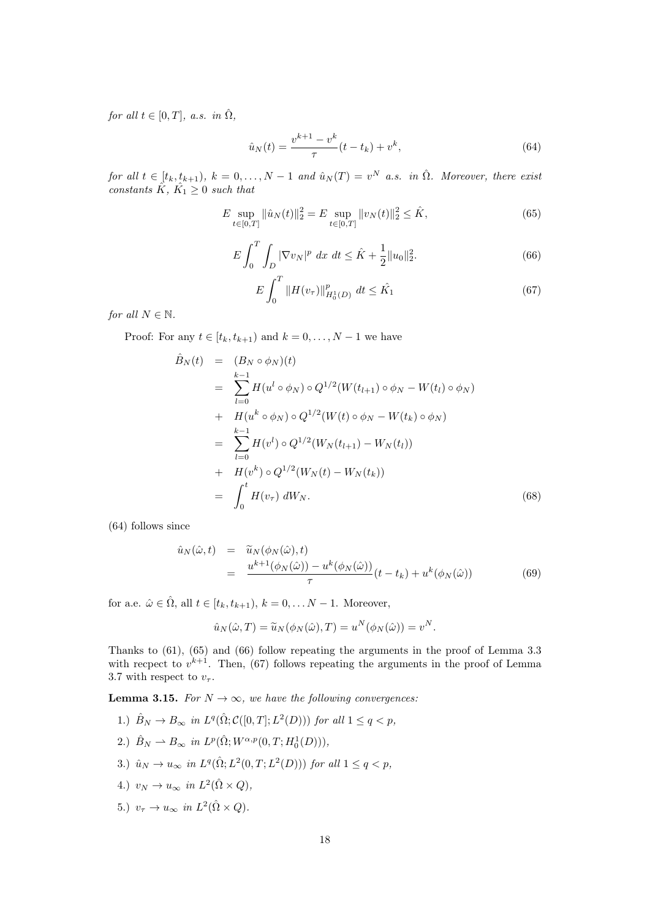for all  $t \in [0, T]$ , a.s. in  $\hat{\Omega}$ ,

$$
\hat{u}_N(t) = \frac{v^{k+1} - v^k}{\tau} (t - t_k) + v^k,
$$
\n(64)

for all  $t \in [t_k, t_{k+1}), k = 0, \ldots, N-1$  and  $\hat{u}_N(T) = v^N$  a.s. in  $\hat{\Omega}$ . Moreover, there exist constants  $\hat{K}$ ,  $\hat{K_1} \geq 0$  such that

$$
E \sup_{t \in [0,T]} \|\hat{u}_N(t)\|_2^2 = E \sup_{t \in [0,T]} \|v_N(t)\|_2^2 \le \hat{K},\tag{65}
$$

$$
E\int_{0}^{T} \int_{D} |\nabla v_{N}|^{p} dx dt \leq \hat{K} + \frac{1}{2} \|u_{0}\|_{2}^{2}.
$$
 (66)

$$
E\int_{0}^{T} \|H(v_{\tau})\|_{H_{0}^{1}(D)}^{p} \, dt \leq \hat{K_{1}} \tag{67}
$$

for all  $N \in \mathbb{N}$ .

Proof: For any  $t \in [t_k, t_{k+1})$  and  $k = 0, \ldots, N-1$  we have

$$
\hat{B}_{N}(t) = (B_{N} \circ \phi_{N})(t)
$$
\n
$$
= \sum_{l=0}^{k-1} H(u^{l} \circ \phi_{N}) \circ Q^{1/2}(W(t_{l+1}) \circ \phi_{N} - W(t_{l}) \circ \phi_{N})
$$
\n
$$
+ H(u^{k} \circ \phi_{N}) \circ Q^{1/2}(W(t) \circ \phi_{N} - W(t_{k}) \circ \phi_{N})
$$
\n
$$
= \sum_{l=0}^{k-1} H(v^{l}) \circ Q^{1/2}(W_{N}(t_{l+1}) - W_{N}(t_{l}))
$$
\n
$$
+ H(v^{k}) \circ Q^{1/2}(W_{N}(t) - W_{N}(t_{k}))
$$
\n
$$
= \int_{0}^{t} H(v_{\tau}) dW_{N}.
$$
\n(68)

(64) follows since

$$
\hat{u}_N(\hat{\omega},t) = \tilde{u}_N(\phi_N(\hat{\omega}),t)
$$
  
= 
$$
\frac{u^{k+1}(\phi_N(\hat{\omega})) - u^k(\phi_N(\hat{\omega}))}{\tau} (t - t_k) + u^k(\phi_N(\hat{\omega}))
$$
 (69)

for a.e.  $\hat{\omega} \in \hat{\Omega}$ , all  $t \in [t_k, t_{k+1}), k = 0, \ldots N-1$ . Moreover,

$$
\hat{u}_N(\hat{\omega},T) = \tilde{u}_N(\phi_N(\hat{\omega}),T) = u^N(\phi_N(\hat{\omega})) = v^N.
$$

Thanks to (61), (65) and (66) follow repeating the arguments in the proof of Lemma 3.3 with recpect to  $v^{k+1}$ . Then, (67) follows repeating the arguments in the proof of Lemma 3.7 with respect to  $v_{\tau}$ .

**Lemma 3.15.** For  $N \to \infty$ , we have the following convergences:

- 1.)  $\hat{B}_N \to B_\infty$  in  $L^q(\hat{\Omega}; \mathcal{C}([0,T]; L^2(D)))$  for all  $1 \leq q < p$ ,
- 2.)  $\hat{B}_N \rightharpoonup B_{\infty}$  in  $L^p(\hat{\Omega}; W^{\alpha,p}(0,T; H^1_0(D))),$
- 3.)  $\hat{u}_N \to u_\infty$  in  $L^q(\hat{\Omega}; L^2(0,T; L^2(D)))$  for all  $1 \le q < p$ ,
- 4.)  $v_N \to u_\infty$  in  $L^2(\hat{\Omega} \times Q)$ ,
- 5.)  $v_{\tau} \to u_{\infty}$  in  $L^2(\hat{\Omega} \times Q)$ .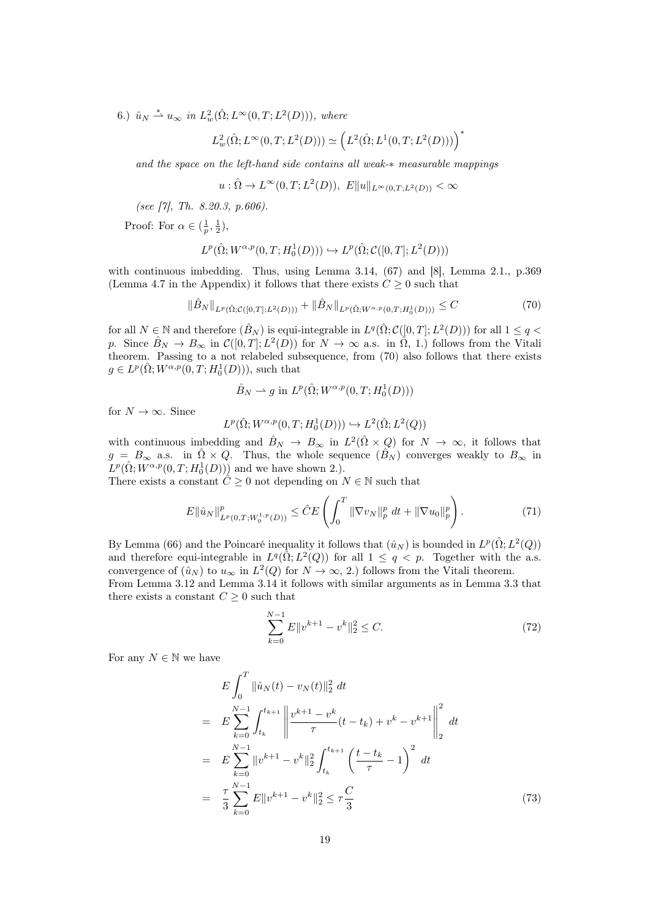6.)  $\hat{u}_N \stackrel{*}{\rightharpoonup} u_\infty$  in  $L^2_w(\hat{\Omega}; L^\infty(0,T; L^2(D))),$  where

$$
L_w^2(\hat{\Omega}; L^{\infty}(0,T; L^2(D))) \simeq \left( L^2(\hat{\Omega}; L^1(0,T; L^2(D))) \right)^*
$$

and the space on the left-hand side contains all weak-∗ measurable mappings

$$
u : \hat{\Omega} \to L^{\infty}(0,T; L^{2}(D)), E||u||_{L^{\infty}(0,T;L^{2}(D))} < \infty
$$

(see [7], Th. 8.20.3, p.606).

Proof: For  $\alpha \in (\frac{1}{p}, \frac{1}{2}),$ 

$$
L^p(\hat{\Omega}; W^{\alpha,p}(0,T;H^1_0(D))) \hookrightarrow L^p(\hat{\Omega};\mathcal{C}([0,T];L^2(D)))
$$

with continuous imbedding. Thus, using Lemma 3.14, (67) and [8], Lemma 2.1., p.369 (Lemma 4.7 in the Appendix) it follows that there exists  $C \geq 0$  such that

$$
\|\hat{B}_N\|_{L^p(\hat{\Omega};\mathcal{C}([0,T];L^2(D)))} + \|\hat{B}_N\|_{L^p(\hat{\Omega};W^{\alpha,p}(0,T;H^1_0(D)))} \leq C \tag{70}
$$

for all  $N \in \mathbb{N}$  and therefore  $(\hat{B}_N)$  is equi-integrable in  $L^q(\hat{\Omega}; \mathcal{C}([0,T]; L^2(D)))$  for all  $1 \leq q$ p. Since  $\hat{B}_N \to B_\infty$  in  $\mathcal{C}([0,T]; L^2(D))$  for  $N \to \infty$  a.s. in  $\hat{\Omega}$ , 1.) follows from the Vitali theorem. Passing to a not relabeled subsequence, from (70) also follows that there exists  $g \in L^p(\hat{\Omega}; W^{\alpha, p}(0,T; H_0^1(D))),$  such that

$$
\hat{B}_N \rightharpoonup g \text{ in } L^p(\hat{\Omega}; W^{\alpha, p}(0,T; H_0^1(D)))
$$

for  $N \to \infty$ . Since

$$
L^p(\hat{\Omega}; W^{\alpha,p}(0,T; H^1_0(D))) \hookrightarrow L^2(\hat{\Omega}; L^2(Q))
$$

with continuous imbedding and  $\hat{B}_N \to B_\infty$  in  $L^2(\hat{\Omega} \times Q)$  for  $N \to \infty$ , it follows that  $g = B_{\infty}$  a.s. in  $\hat{\Omega} \times Q$ . Thus, the whole sequence  $(\hat{B}_N)$  converges weakly to  $B_{\infty}$  in  $L^p(\hat{\Omega}; W^{\alpha,p}(0,T; H^1_0(D)))$  and we have shown 2.).

There exists a constant  $\hat{C} \geq 0$  not depending on  $N \in \mathbb{N}$  such that

$$
E \|\hat{u}_N\|_{L^p(0,T;W_0^{1,p}(D))}^p \leq \hat{C}E \left( \int_0^T \|\nabla v_N\|_p^p dt + \|\nabla u_0\|_p^p \right). \tag{71}
$$

By Lemma (66) and the Poincaré inequality it follows that  $(\hat{u}_N)$  is bounded in  $L^p(\hat{\Omega}; L^2(Q))$ and therefore equi-integrable in  $L^q(\hat{\Omega}; L^2(Q))$  for all  $1 \leq q \leq p$ . Together with the a.s. convergence of  $(\hat{u}_N)$  to  $u_\infty$  in  $L^2(Q)$  for  $N \to \infty$ , 2.) follows from the Vitali theorem. From Lemma 3.12 and Lemma 3.14 it follows with similar arguments as in Lemma 3.3 that there exists a constant  $C \geq 0$  such that

$$
\sum_{k=0}^{N-1} E||v^{k+1} - v^k||_2^2 \le C.
$$
\n(72)

For any  $N \in \mathbb{N}$  we have

$$
E\int_{0}^{T} \|\hat{u}_{N}(t) - v_{N}(t)\|_{2}^{2} dt
$$
\n
$$
= E\sum_{k=0}^{N-1} \int_{t_{k}}^{t_{k+1}} \left\| \frac{v^{k+1} - v^{k}}{\tau} (t - t_{k}) + v^{k} - v^{k+1} \right\|_{2}^{2} dt
$$
\n
$$
= E\sum_{k=0}^{N-1} \|v^{k+1} - v^{k}\|_{2}^{2} \int_{t_{k}}^{t_{k+1}} \left(\frac{t - t_{k}}{\tau} - 1\right)^{2} dt
$$
\n
$$
= \frac{\tau}{3} \sum_{k=0}^{N-1} E\|v^{k+1} - v^{k}\|_{2}^{2} \leq \tau \frac{C}{3}
$$
\n(73)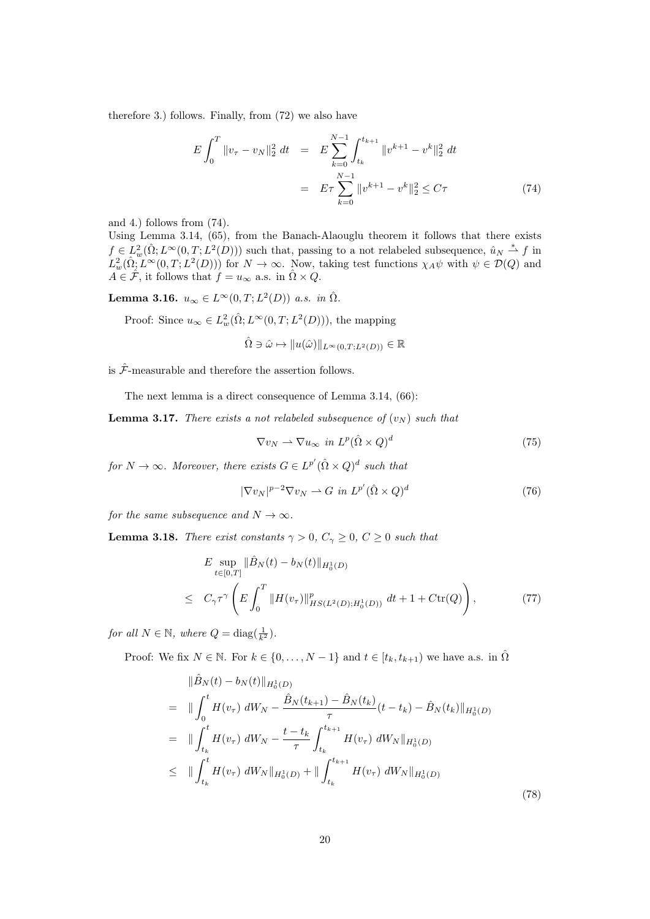therefore 3.) follows. Finally, from (72) we also have

$$
E\int_0^T \|v_\tau - v_N\|_2^2 dt = E\sum_{k=0}^{N-1} \int_{t_k}^{t_{k+1}} \|v^{k+1} - v^k\|_2^2 dt
$$
  

$$
= E\tau \sum_{k=0}^{N-1} \|v^{k+1} - v^k\|_2^2 \le C\tau
$$
 (74)

and 4.) follows from (74).

Using Lemma 3.14, (65), from the Banach-Alaouglu theorem it follows that there exists  $f \in L^2_w(\hat{\Omega}; L^{\infty}(0,T; L^2(D)))$  such that, passing to a not relabeled subsequence,  $\hat{u}_N \stackrel{*}{\rightharpoonup} f$  in  $L^2_w(\hat{\Omega}, L^{\infty}(0,T; L^2(D)))$  for  $N \to \infty$ . Now, taking test functions  $\chi_A \psi$  with  $\psi \in \mathcal{D}(Q)$  and  $A \in \hat{\mathcal{F}}$ , it follows that  $f = u_{\infty}$  a.s. in  $\hat{\Omega} \times Q$ .

**Lemma 3.16.**  $u_{\infty} \in L^{\infty}(0,T; L^2(D))$  a.s. in  $\hat{\Omega}$ .

Proof: Since  $u_{\infty} \in L^2_w(\hat{\Omega}; L^{\infty}(0,T; L^2(D)))$ , the mapping

 $\hat{\Omega} \ni \hat{\omega} \mapsto \|u(\hat{\omega})\|_{L^{\infty}(0,T;L^{2}(D))} \in \mathbb{R}$ 

is  $\hat{\mathcal{F}}$ -measurable and therefore the assertion follows.

The next lemma is a direct consequence of Lemma 3.14, (66):

**Lemma 3.17.** There exists a not relabeled subsequence of  $(v_N)$  such that

$$
\nabla v_N \rightharpoonup \nabla u_\infty \text{ in } L^p(\hat{\Omega} \times Q)^d \tag{75}
$$

for  $N \to \infty$ . Moreover, there exists  $G \in L^{p'}(\hat{\Omega} \times Q)^d$  such that

$$
|\nabla v_N|^{p-2} \nabla v_N \rightharpoonup G \text{ in } L^{p'}(\hat{\Omega} \times Q)^d \tag{76}
$$

for the same subsequence and  $N \to \infty$ .

**Lemma 3.18.** There exist constants  $\gamma > 0$ ,  $C_{\gamma} \geq 0$ ,  $C \geq 0$  such that

$$
E \sup_{t \in [0,T]} \|\hat{B}_N(t) - b_N(t)\|_{H_0^1(D)} \leq C_\gamma \tau^\gamma \left( E \int_0^T \|H(v_\tau)\|_{HS(L^2(D);H_0^1(D))}^p dt + 1 + C \text{tr}(Q) \right),
$$
\n(77)

for all  $N \in \mathbb{N}$ , where  $Q = \text{diag}(\frac{1}{k^2})$ .

Proof: We fix  $N \in \mathbb{N}$ . For  $k \in \{0, ..., N-1\}$  and  $t \in [t_k, t_{k+1})$  we have a.s. in  $\hat{\Omega}$ 

$$
\|\hat{B}_{N}(t) - b_{N}(t)\|_{H_{0}^{1}(D)}\n= \|\int_{0}^{t} H(v_{\tau}) dW_{N} - \frac{\hat{B}_{N}(t_{k+1}) - \hat{B}_{N}(t_{k})}{\tau} (t - t_{k}) - \hat{B}_{N}(t_{k})\|_{H_{0}^{1}(D)}\n= \|\int_{t_{k}}^{t} H(v_{\tau}) dW_{N} - \frac{t - t_{k}}{\tau} \int_{t_{k}}^{t_{k+1}} H(v_{\tau}) dW_{N}\|_{H_{0}^{1}(D)}\n\leq \|\int_{t_{k}}^{t} H(v_{\tau}) dW_{N}\|_{H_{0}^{1}(D)} + \|\int_{t_{k}}^{t_{k+1}} H(v_{\tau}) dW_{N}\|_{H_{0}^{1}(D)}
$$
\n(78)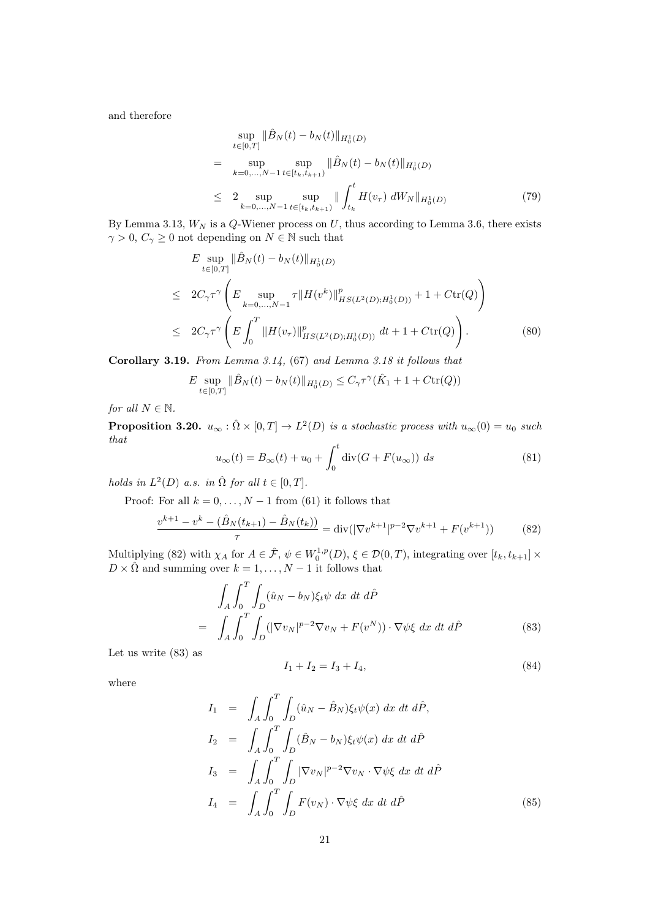and therefore

$$
\sup_{t \in [0,T]} \|\hat{B}_N(t) - b_N(t)\|_{H_0^1(D)} \n= \sup_{k=0,...,N-1} \sup_{t \in [t_k, t_{k+1})} \|\hat{B}_N(t) - b_N(t)\|_{H_0^1(D)} \n\le 2 \sup_{k=0,...,N-1} \sup_{t \in [t_k, t_{k+1})} \|\int_{t_k}^t H(v_\tau) dW_N\|_{H_0^1(D)} \tag{79}
$$

By Lemma 3.13,  $W_N$  is a  $Q$ -Wiener process on  $U$ , thus according to Lemma 3.6, there exists  $\gamma > 0, C_{\gamma} \geq 0$  not depending on  $N \in \mathbb{N}$  such that

$$
E \sup_{t \in [0,T]} \|\hat{B}_N(t) - b_N(t)\|_{H_0^1(D)}
$$
  
\n
$$
\leq 2C_{\gamma} \tau^{\gamma} \left( E \sup_{k=0,\dots,N-1} \tau \|H(v^k)\|_{HS(L^2(D);H_0^1(D))}^p + 1 + C \text{tr}(Q) \right)
$$
  
\n
$$
\leq 2C_{\gamma} \tau^{\gamma} \left( E \int_0^T \|H(v_\tau)\|_{HS(L^2(D);H_0^1(D))}^p dt + 1 + C \text{tr}(Q) \right). \tag{80}
$$

Corollary 3.19. From Lemma 3.14, (67) and Lemma 3.18 it follows that

$$
E \sup_{t \in [0,T]} \|\hat{B}_N(t) - b_N(t)\|_{H_0^1(D)} \le C_\gamma \tau^\gamma (\hat{K}_1 + 1 + C \text{tr}(Q))
$$

for all  $N \in \mathbb{N}$ .

**Proposition 3.20.**  $u_{\infty} : \hat{\Omega} \times [0,T] \to L^2(D)$  is a stochastic process with  $u_{\infty}(0) = u_0$  such that

$$
u_{\infty}(t) = B_{\infty}(t) + u_0 + \int_0^t \operatorname{div}(G + F(u_{\infty})) ds
$$
\n(81)

holds in  $L^2(D)$  a.s. in  $\hat{\Omega}$  for all  $t \in [0, T]$ .

Proof: For all  $k = 0, \ldots, N - 1$  from (61) it follows that

$$
\frac{v^{k+1} - v^k - (\hat{B}_N(t_{k+1}) - \hat{B}_N(t_k))}{\tau} = \text{div}(|\nabla v^{k+1}|^{p-2} \nabla v^{k+1} + F(v^{k+1}))\tag{82}
$$

Multiplying (82) with  $\chi_A$  for  $A \in \hat{\mathcal{F}}, \psi \in W_0^{1,p}(D), \xi \in \mathcal{D}(0,T)$ , integrating over  $[t_k, t_{k+1}] \times$  $D \times \hat{\Omega}$  and summing over  $k = 1, \ldots, N - 1$  it follows that

$$
\int_{A} \int_{0}^{T} \int_{D} (\hat{u}_{N} - b_{N}) \xi_{t} \psi \, dx \, dt \, d\hat{P}
$$
\n
$$
= \int_{A} \int_{0}^{T} \int_{D} (|\nabla v_{N}|^{p-2} \nabla v_{N} + F(v^{N})) \cdot \nabla \psi \xi \, dx \, dt \, d\hat{P}
$$
\n(83)

Let us write (83) as

$$
I_1 + I_2 = I_3 + I_4,\t\t(84)
$$

where

$$
I_1 = \int_A \int_0^T \int_D (\hat{u}_N - \hat{B}_N) \xi_t \psi(x) dx dt d\hat{P},
$$
  
\n
$$
I_2 = \int_A \int_0^T \int_D (\hat{B}_N - b_N) \xi_t \psi(x) dx dt d\hat{P}
$$
  
\n
$$
I_3 = \int_A \int_0^T \int_D |\nabla v_N|^{p-2} \nabla v_N \cdot \nabla \psi \xi dx dt d\hat{P}
$$
  
\n
$$
I_4 = \int_A \int_0^T \int_D F(v_N) \cdot \nabla \psi \xi dx dt d\hat{P}
$$
\n(85)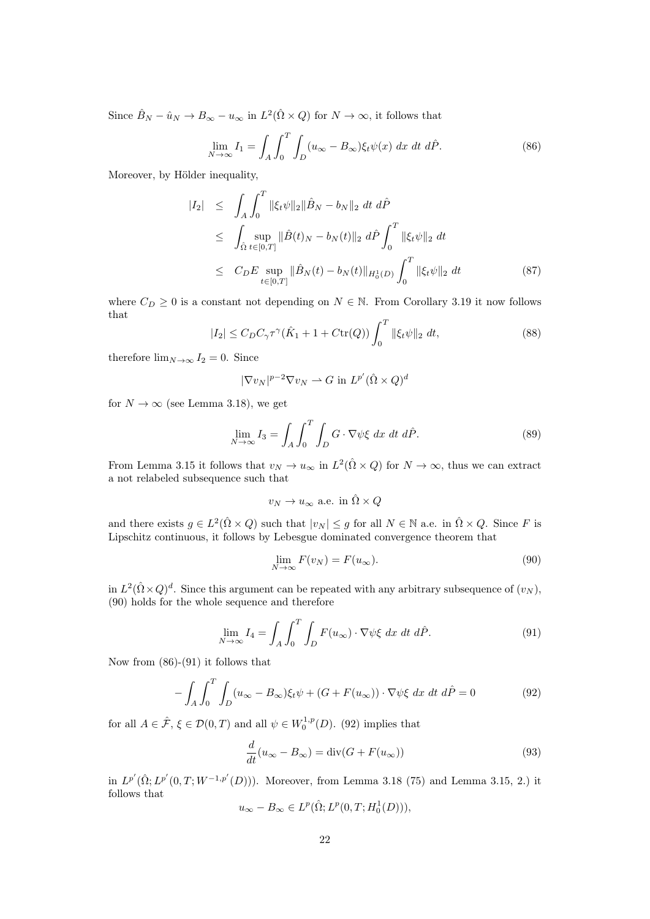Since  $\hat{B}_N - \hat{u}_N \to B_\infty - u_\infty$  in  $L^2(\hat{\Omega} \times Q)$  for  $N \to \infty$ , it follows that

$$
\lim_{N \to \infty} I_1 = \int_A \int_0^T \int_D (u_\infty - B_\infty) \xi_t \psi(x) \, dx \, dt \, d\hat{P}.
$$
 (86)

Moreover, by Hölder inequality,

$$
|I_2| \leq \int_A \int_0^T \|\xi_t \psi\|_2 \|\hat{B}_N - b_N\|_2 dt d\hat{P}
$$
  
\n
$$
\leq \int_{\hat{\Omega}} \sup_{t \in [0,T]} \|\hat{B}(t)_N - b_N(t)\|_2 d\hat{P} \int_0^T \|\xi_t \psi\|_2 dt
$$
  
\n
$$
\leq C_DE \sup_{t \in [0,T]} \|\hat{B}_N(t) - b_N(t)\|_{H_0^1(D)} \int_0^T \|\xi_t \psi\|_2 dt
$$
 (87)

where  $C_D \geq 0$  is a constant not depending on  $N \in \mathbb{N}$ . From Corollary 3.19 it now follows that

$$
|I_2| \le C_D C_\gamma \tau^\gamma (\hat{K}_1 + 1 + C \text{tr}(Q)) \int_0^T ||\xi_t \psi||_2 dt,
$$
 (88)

therefore  $\lim_{N\to\infty} I_2 = 0$ . Since

$$
|\nabla v_N|^{p-2} \nabla v_N \rightharpoonup G \text{ in } L^{p'}(\hat{\Omega} \times Q)^d
$$

for  $N \to \infty$  (see Lemma 3.18), we get

$$
\lim_{N \to \infty} I_3 = \int_A \int_0^T \int_D G \cdot \nabla \psi \xi \, dx \, dt \, d\hat{P}.
$$
\n(89)

From Lemma 3.15 it follows that  $v_N \to u_\infty$  in  $L^2(\hat{\Omega} \times Q)$  for  $N \to \infty$ , thus we can extract a not relabeled subsequence such that

$$
v_N \to u_\infty
$$
 a.e. in  $\hat{\Omega} \times Q$ 

and there exists  $g \in L^2(\hat{\Omega} \times Q)$  such that  $|v_N| \leq g$  for all  $N \in \mathbb{N}$  a.e. in  $\hat{\Omega} \times Q$ . Since F is Lipschitz continuous, it follows by Lebesgue dominated convergence theorem that

$$
\lim_{N \to \infty} F(v_N) = F(u_{\infty}).
$$
\n(90)

in  $L^2(\hat{\Omega}\times Q)^d$ . Since this argument can be repeated with any arbitrary subsequence of  $(v_N)$ , (90) holds for the whole sequence and therefore

$$
\lim_{N \to \infty} I_4 = \int_A \int_0^T \int_D F(u_\infty) \cdot \nabla \psi \xi \, dx \, dt \, d\hat{P}.
$$
 (91)

Now from (86)-(91) it follows that

$$
-\int_{A}\int_{0}^{T}\int_{D}(u_{\infty}-B_{\infty})\xi_{t}\psi+(G+F(u_{\infty}))\cdot\nabla\psi\xi dx dt d\hat{P}=0
$$
\n(92)

for all  $A \in \hat{\mathcal{F}}, \xi \in \mathcal{D}(0,T)$  and all  $\psi \in W_0^{1,p}(D)$ . (92) implies that

$$
\frac{d}{dt}(u_{\infty} - B_{\infty}) = \text{div}(G + F(u_{\infty}))
$$
\n(93)

in  $L^{p'}(\hat{\Omega}; L^{p'}(0,T; W^{-1,p'}(D)))$ . Moreover, from Lemma 3.18 (75) and Lemma 3.15, 2.) it follows that

$$
u_{\infty} - B_{\infty} \in L^p(\hat{\Omega}; L^p(0,T; H_0^1(D))),
$$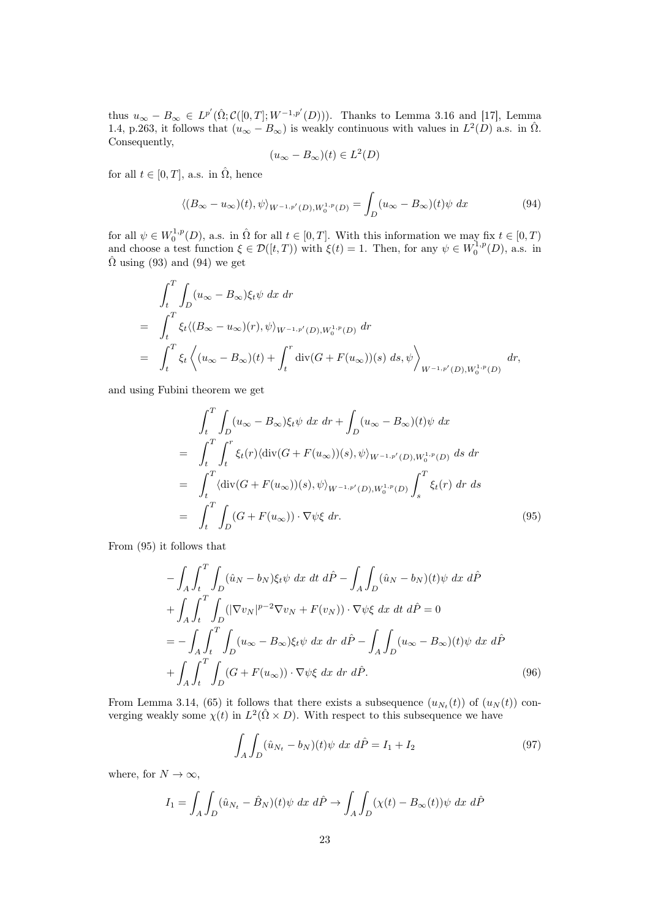thus  $u_{\infty} - B_{\infty} \in L^{p'}(\hat{\Omega}; \mathcal{C}([0,T]; W^{-1,p'}(D)))$ . Thanks to Lemma 3.16 and [17], Lemma 1.4, p.263, it follows that  $(u_{\infty} - B_{\infty})$  is weakly continuous with values in  $L^2(D)$  a.s. in  $\hat{\Omega}$ . Consequently,

$$
(u_{\infty}-B_{\infty})(t) \in L^2(D)
$$

for all  $t \in [0, T]$ , a.s. in  $\hat{\Omega}$ , hence

$$
\langle (B_{\infty} - u_{\infty})(t), \psi \rangle_{W^{-1,p}(D), W_0^{1,p}(D)} = \int_D (u_{\infty} - B_{\infty})(t) \psi \, dx \tag{94}
$$

for all  $\psi \in W_0^{1,p}(D)$ , a.s. in  $\hat{\Omega}$  for all  $t \in [0,T]$ . With this information we may fix  $t \in [0,T)$ and choose a test function  $\xi \in \mathcal{D}([t,T))$  with  $\xi(t) = 1$ . Then, for any  $\psi \in W_0^{1,p}(D)$ , a.s. in  $\hat{\Omega}$  using (93) and (94) we get

$$
\int_{t}^{T} \int_{D} (u_{\infty} - B_{\infty}) \xi_{t} \psi \, dx \, dr
$$
\n
$$
= \int_{t}^{T} \xi_{t} \langle (B_{\infty} - u_{\infty})(r), \psi \rangle_{W^{-1,p'}(D), W_{0}^{1,p}(D)} \, dr
$$
\n
$$
= \int_{t}^{T} \xi_{t} \left\langle (u_{\infty} - B_{\infty})(t) + \int_{t}^{r} \text{div}(G + F(u_{\infty}))(s) \, ds, \psi \right\rangle_{W^{-1,p'}(D), W_{0}^{1,p}(D)} \, dr,
$$

and using Fubini theorem we get

=

$$
\int_{t}^{T} \int_{D} (u_{\infty} - B_{\infty}) \xi_{t} \psi \, dx \, dr + \int_{D} (u_{\infty} - B_{\infty})(t) \psi \, dx
$$
\n
$$
= \int_{t}^{T} \int_{t}^{r} \xi_{t}(r) \langle \operatorname{div}(G + F(u_{\infty}))(s), \psi \rangle_{W^{-1,p'}(D), W_{0}^{1,p}(D)} \, ds \, dr
$$
\n
$$
= \int_{t}^{T} \langle \operatorname{div}(G + F(u_{\infty}))(s), \psi \rangle_{W^{-1,p'}(D), W_{0}^{1,p}(D)} \int_{s}^{T} \xi_{t}(r) \, dr \, ds
$$
\n
$$
= \int_{t}^{T} \int_{D} (G + F(u_{\infty})) \cdot \nabla \psi \xi \, dr. \tag{95}
$$

From (95) it follows that

$$
-\int_{A} \int_{t}^{T} \int_{D} (\hat{u}_{N} - b_{N}) \xi_{t} \psi \, dx \, dt \, d\hat{P} - \int_{A} \int_{D} (\hat{u}_{N} - b_{N})(t) \psi \, dx \, d\hat{P}
$$

$$
+ \int_{A} \int_{t}^{T} \int_{D} (|\nabla v_{N}|^{p-2} \nabla v_{N} + F(v_{N})) \cdot \nabla \psi \xi \, dx \, dt \, d\hat{P} = 0
$$

$$
= - \int_{A} \int_{t}^{T} \int_{D} (u_{\infty} - B_{\infty}) \xi_{t} \psi \, dx \, dr \, d\hat{P} - \int_{A} \int_{D} (u_{\infty} - B_{\infty})(t) \psi \, dx \, d\hat{P}
$$

$$
+ \int_{A} \int_{t}^{T} \int_{D} (G + F(u_{\infty})) \cdot \nabla \psi \xi \, dx \, dr \, d\hat{P}.
$$
(96)

From Lemma 3.14, (65) it follows that there exists a subsequence  $(u_{N_t}(t))$  of  $(u_N(t))$  converging weakly some  $\chi(t)$  in  $L^2(\hat{\Omega} \times D)$ . With respect to this subsequence we have

$$
\int_{A} \int_{D} (\hat{u}_{N_t} - b_N)(t) \psi \, dx \, d\hat{P} = I_1 + I_2 \tag{97}
$$

where, for  $N \to \infty$ ,

$$
I_1 = \int_A \int_D (\hat{u}_{N_t} - \hat{B}_N)(t) \psi \, dx \, d\hat{P} \to \int_A \int_D (\chi(t) - B_\infty(t)) \psi \, dx \, d\hat{P}
$$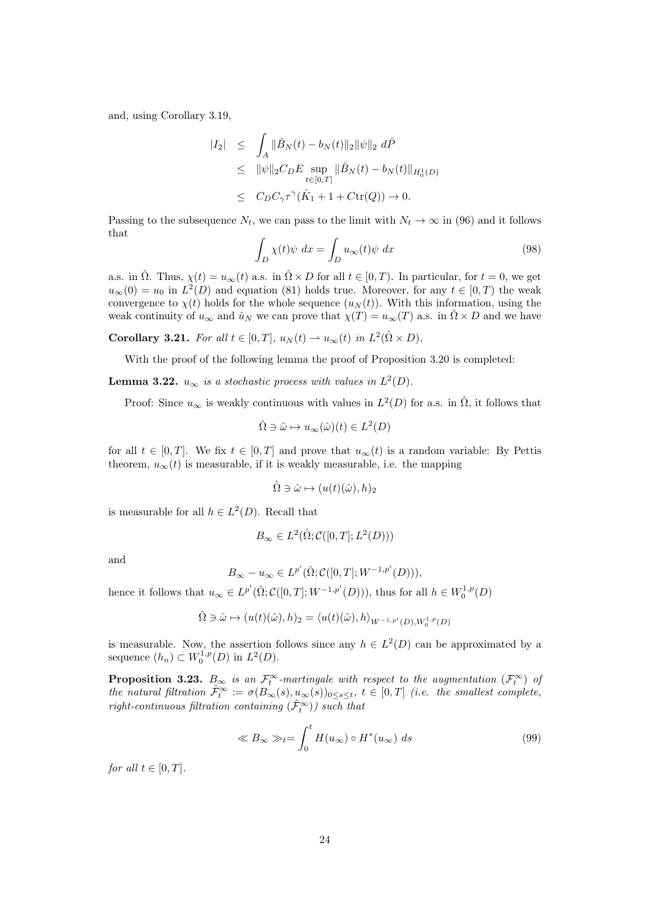and, using Corollary 3.19,

$$
\begin{array}{rcl}\n|I_2| & \leq & \int_A \|\hat{B}_N(t) - b_N(t)\|_2 \|\psi\|_2 \ d\hat{P} \\
& \leq & \|\psi\|_2 C_D E \sup_{t \in [0,T]} \|\hat{B}_N(t) - b_N(t)\|_{H_0^1(D)} \\
& \leq & C_D C_\gamma \tau^\gamma(\hat{K}_1 + 1 + C \text{tr}(Q)) \to 0.\n\end{array}
$$

Passing to the subsequence  $N_t$ , we can pass to the limit with  $N_t \to \infty$  in (96) and it follows that

$$
\int_{D} \chi(t)\psi \ dx = \int_{D} u_{\infty}(t)\psi \ dx \tag{98}
$$

a.s. in  $\hat{\Omega}$ . Thus,  $\chi(t) = u_{\infty}(t)$  a.s. in  $\hat{\Omega} \times D$  for all  $t \in [0, T)$ . In particular, for  $t = 0$ , we get  $u_{\infty}(0) = u_0$  in  $L^2(D)$  and equation (81) holds true. Moreover, for any  $t \in [0, T)$  the weak convergence to  $\chi(t)$  holds for the whole sequence  $(u_N(t))$ . With this information, using the weak continuity of  $u_{\infty}$  and  $\hat{u}_N$  we can prove that  $\chi(T) = u_{\infty}(T)$  a.s. in  $\hat{\Omega} \times D$  and we have

**Corollary 3.21.** For all  $t \in [0,T]$ ,  $u_N(t) \rightharpoonup u_\infty(t)$  in  $L^2(\hat{\Omega} \times D)$ .

With the proof of the following lemma the proof of Proposition 3.20 is completed:

**Lemma 3.22.**  $u_{\infty}$  is a stochastic process with values in  $L^2(D)$ .

Proof: Since  $u_{\infty}$  is weakly continuous with values in  $L^2(D)$  for a.s. in  $\hat{\Omega}$ , it follows that

$$
\hat{\Omega} \ni \hat{\omega} \mapsto u_{\infty}(\hat{\omega})(t) \in L^2(D)
$$

for all  $t \in [0, T]$ . We fix  $t \in [0, T]$  and prove that  $u_{\infty}(t)$  is a random variable: By Pettis theorem,  $u_{\infty}(t)$  is measurable, if it is weakly measurable, i.e. the mapping

$$
\hat{\Omega} \ni \hat{\omega} \mapsto (u(t)(\hat{\omega}), h)_2
$$

is measurable for all  $h \in L^2(D)$ . Recall that

$$
B_{\infty} \in L^2(\hat{\Omega}; \mathcal{C}([0,T]; L^2(D)))
$$

and

$$
B_{\infty} - u_{\infty} \in L^{p'}(\hat{\Omega}; \mathcal{C}([0, T]; W^{-1, p'}(D))),
$$

hence it follows that  $u_{\infty} \in L^{p'}(\hat{\Omega}; \mathcal{C}([0,T]; W^{-1,p'}(D))),$  thus for all  $h \in W_0^{1,p}(D)$ 

$$
\hat{\Omega} \ni \hat{\omega} \mapsto (u(t)(\hat{\omega}), h)_2 = \langle u(t)(\hat{\omega}), h \rangle_{W^{-1,p'}(D), W_0^{1,p}(D)}
$$

is measurable. Now, the assertion follows since any  $h \in L^2(D)$  can be approximated by a sequence  $(h_n) \subset W_0^{1,p}(D)$  in  $L^2(D)$ .

**Proposition 3.23.**  $B_{\infty}$  is an  $\mathcal{F}_t^{\infty}$ -martingale with respect to the augmentation  $(\mathcal{F}_t^{\infty})$  of the natural filtration  $\hat{\mathcal{F}}_t^{\infty} := \sigma(B_{\infty}(s), u_{\infty}(s))_{0 \leq s \leq t}, t \in [0,T]$  (i.e. the smallest complete,  $\textit{right-continuous filtration containing } (\hat{\mathcal{F}}_t^{\infty}) ) \textit{ such that}$ 

$$
\ll B_{\infty} \gg_t = \int_0^t H(u_{\infty}) \circ H^*(u_{\infty}) ds \tag{99}
$$

for all  $t \in [0, T]$ .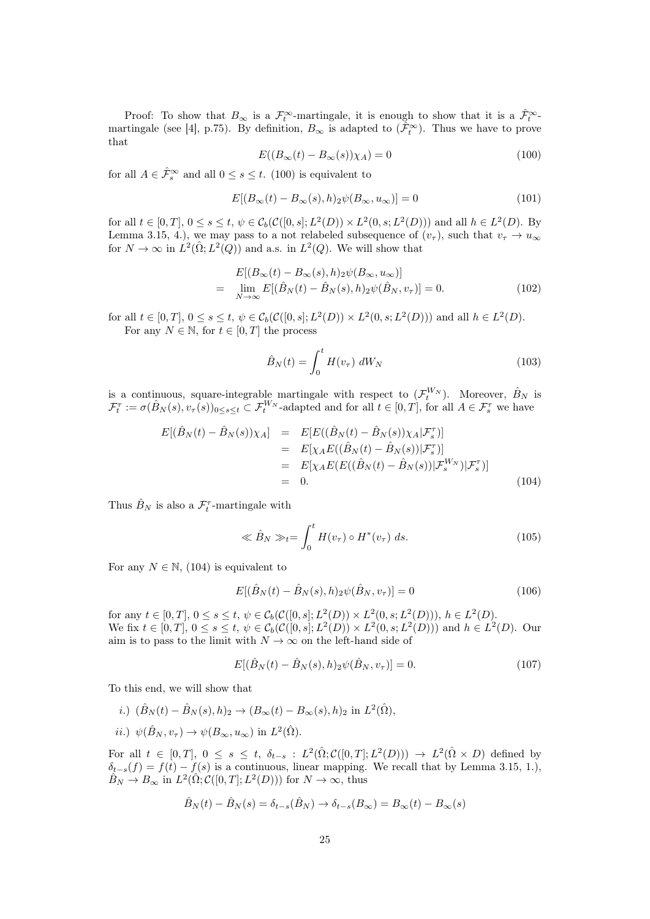Proof: To show that  $B_{\infty}$  is a  $\mathcal{F}_t^{\infty}$ -martingale, it is enough to show that it is a  $\hat{\mathcal{F}}_t^{\infty}$ martingale (see [4], p.75). By definition,  $B_{\infty}$  is adapted to  $(\tilde{\mathcal{F}}_t^{\infty})$ . Thus we have to prove that

$$
E((B_{\infty}(t) - B_{\infty}(s))\chi_A) = 0
$$
\n(100)

for all  $A \in \hat{\mathcal{F}}_s^{\infty}$  and all  $0 \leq s \leq t$ . (100) is equivalent to

$$
E[(B_{\infty}(t) - B_{\infty}(s), h)_2 \psi(B_{\infty}, u_{\infty})] = 0
$$
\n(101)

for all  $t \in [0, T]$ ,  $0 \le s \le t$ ,  $\psi \in C_b(\mathcal{C}([0, s]; L^2(D)) \times L^2(0, s; L^2(D)))$  and all  $h \in L^2(D)$ . By Lemma 3.15, 4.), we may pass to a not relabeled subsequence of  $(v_\tau)$ , such that  $v_\tau \to u_\infty$ for  $N \to \infty$  in  $\dot{L}^2(\hat{\Omega}; L^2(Q))$  and a.s. in  $L^2(Q)$ . We will show that

$$
E[(B_{\infty}(t) - B_{\infty}(s), h)_2 \psi(B_{\infty}, u_{\infty})]
$$
  
= 
$$
\lim_{N \to \infty} E[(\hat{B}_N(t) - \hat{B}_N(s), h)_2 \psi(\hat{B}_N, v_\tau)] = 0.
$$
 (102)

for all  $t \in [0, T]$ ,  $0 \le s \le t$ ,  $\psi \in C_b(\mathcal{C}([0, s]; L^2(D)) \times L^2(0, s; L^2(D)))$  and all  $h \in L^2(D)$ . For any  $N \in \mathbb{N}$ , for  $t \in [0, T]$  the process

$$
\hat{B}_N(t) = \int_0^t H(v_\tau) dW_N \tag{103}
$$

is a continuous, square-integrable martingale with respect to  $(\mathcal{F}_t^{W_N})$ . Moreover,  $\hat{B}_N$  is  $\mathcal{F}_t^{\tau} := \sigma(\hat{B}_N(s), v_{\tau}(s))_{0 \le s \le t} \subset \mathcal{F}_t^{W_N}$ -adapted and for all  $t \in [0, T]$ , for all  $A \in \mathcal{F}_s^{\tau}$  we have

$$
E[(\hat{B}_{N}(t) - \hat{B}_{N}(s))\chi_{A}] = E[E((\hat{B}_{N}(t) - \hat{B}_{N}(s))\chi_{A}|\mathcal{F}_{s}^{T})]
$$
  
\n
$$
= E[\chi_{A}E((\hat{B}_{N}(t) - \hat{B}_{N}(s))|\mathcal{F}_{s}^{T})]
$$
  
\n
$$
= E[\chi_{A}E(E((\hat{B}_{N}(t) - \hat{B}_{N}(s))|\mathcal{F}_{s}^{W_{N}})|\mathcal{F}_{s}^{T})]
$$
  
\n
$$
= 0.
$$
 (104)

Thus  $\hat{B}_N$  is also a  $\mathcal{F}_t^{\tau}$ -martingale with

$$
\ll \hat{B}_N \gg_t = \int_0^t H(v_\tau) \circ H^*(v_\tau) \, ds. \tag{105}
$$

For any  $N \in \mathbb{N}$ , (104) is equivalent to

$$
E[(\hat{B}_N(t) - \hat{B}_N(s), h)_2 \psi(\hat{B}_N, v_\tau)] = 0
$$
\n(106)

for any  $t \in [0, T], 0 \le s \le t, \psi \in C_b(\mathcal{C}([0, s]; L^2(D)) \times L^2(0, s; L^2(D))), h \in L^2(D).$ We fix  $t \in [0, T]$ ,  $0 \le s \le t$ ,  $\psi \in C_b(\mathcal{C}([0, s]; L^2(D)) \times L^2(0, s; L^2(D)))$  and  $h \in L^2(D)$ . Our aim is to pass to the limit with  $N \to \infty$  on the left-hand side of

$$
E[(\hat{B}_N(t) - \hat{B}_N(s), h)_2 \psi(\hat{B}_N, v_\tau)] = 0.
$$
\n(107)

To this end, we will show that

- i.)  $(\hat{B}_N(t) \hat{B}_N(s), h)_2 \to (B_\infty(t) B_\infty(s), h)_2$  in  $L^2(\hat{\Omega}),$
- *ii.*)  $\psi(\hat{B}_N, v_\tau) \to \psi(B_\infty, u_\infty)$  in  $L^2(\hat{\Omega})$ .

For all  $t \in [0,T], 0 \le s \le t$ ,  $\delta_{t-s} : L^2(\hat{\Omega}; C([0,T]; L^2(D))) \to L^2(\hat{\Omega} \times D)$  defined by  $\delta_{t-s}(f) = f(t) - f(s)$  is a continuous, linear mapping. We recall that by Lemma 3.15, 1.),  $\hat{B}_N \to B_\infty$  in  $L^2(\hat{\Omega}; \mathcal{C}([0,T]; L^2(D)))$  for  $N \to \infty$ , thus

$$
\hat{B}_N(t) - \hat{B}_N(s) = \delta_{t-s}(\hat{B}_N) \to \delta_{t-s}(B_\infty) = B_\infty(t) - B_\infty(s)
$$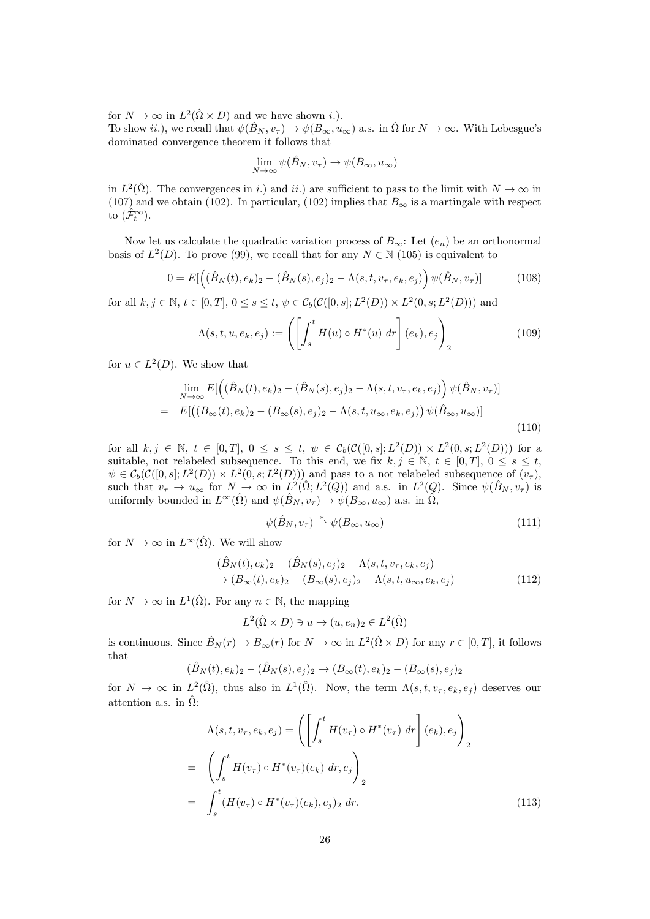for  $N \to \infty$  in  $L^2(\hat{\Omega} \times D)$  and we have shown *i*.). To show ii.), we recall that  $\psi(\hat{B}_N, v_\tau) \to \psi(B_\infty, u_\infty)$  a.s. in  $\hat{\Omega}$  for  $N \to \infty$ . With Lebesgue's dominated convergence theorem it follows that

$$
\lim_{N \to \infty} \psi(\hat{B}_N, v_\tau) \to \psi(B_\infty, u_\infty)
$$

in  $L^2(\hat{\Omega})$ . The convergences in i.) and ii.) are sufficient to pass to the limit with  $N \to \infty$  in (107) and we obtain (102). In particular, (102) implies that  $B_{\infty}$  is a martingale with respect to  $(\hat{\mathcal{F}}_t^{\infty})$ .

Now let us calculate the quadratic variation process of  $B_{\infty}$ : Let  $(e_n)$  be an orthonormal basis of  $L^2(D)$ . To prove (99), we recall that for any  $N \in \mathbb{N}$  (105) is equivalent to

$$
0 = E[ \left( (\hat{B}_N(t), e_k)_2 - (\hat{B}_N(s), e_j)_2 - \Lambda(s, t, v_\tau, e_k, e_j) \right) \psi(\hat{B}_N, v_\tau)] \tag{108}
$$

for all  $k, j \in \mathbb{N}, t \in [0, T], 0 \le s \le t, \psi \in C_b(\mathcal{C}([0, s]; L^2(D)) \times L^2(0, s; L^2(D)))$  and

$$
\Lambda(s,t,u,e_k,e_j) := \left( \left[ \int_s^t H(u) \circ H^*(u) \, dr \right] (e_k), e_j \right)_2 \tag{109}
$$

for  $u \in L^2(D)$ . We show that

$$
\lim_{N \to \infty} E[ \left( (\hat{B}_N(t), e_k)_2 - (\hat{B}_N(s), e_j)_2 - \Lambda(s, t, v_\tau, e_k, e_j) \right) \psi(\hat{B}_N, v_\tau)]
$$
\n
$$
= E[ \left( (B_\infty(t), e_k)_2 - (B_\infty(s), e_j)_2 - \Lambda(s, t, u_\infty, e_k, e_j) \right) \psi(\hat{B}_\infty, u_\infty)]
$$
\n(110)

for all  $k, j \in \mathbb{N}, t \in [0,T], 0 \le s \le t, \psi \in C_b(\mathcal{C}([0,s];L^2(D)) \times L^2(0,s;L^2(D)))$  for a suitable, not relabeled subsequence. To this end, we fix  $k, j \in \mathbb{N}, t \in [0, T], 0 \le s \le t$ ,  $\psi \in C_b(\mathcal{C}([0,s];L^2(D)) \times L^2(0,s;L^2(D)))$  and pass to a not relabeled subsequence of  $(v_\tau)$ , such that  $v_{\tau} \to u_{\infty}$  for  $N \to \infty$  in  $L^2(\hat{\Omega}; L^2(Q))$  and a.s. in  $L^2(Q)$ . Since  $\psi(\hat{B}_N, v_{\tau})$  is uniformly bounded in  $L^{\infty}(\hat{\Omega})$  and  $\psi(\hat{B}_N, v_\tau) \to \psi(B_\infty, u_\infty)$  a.s. in  $\hat{\Omega}$ ,

$$
\psi(\hat{B}_N, v_\tau) \stackrel{*}{\rightharpoonup} \psi(B_\infty, u_\infty) \tag{111}
$$

for  $N \to \infty$  in  $L^{\infty}(\hat{\Omega})$ . We will show

$$
(\hat{B}_N(t), e_k)_2 - (\hat{B}_N(s), e_j)_2 - \Lambda(s, t, v_\tau, e_k, e_j) \n\to (B_\infty(t), e_k)_2 - (B_\infty(s), e_j)_2 - \Lambda(s, t, u_\infty, e_k, e_j)
$$
\n(112)

for  $N \to \infty$  in  $L^1(\hat{\Omega})$ . For any  $n \in \mathbb{N}$ , the mapping

$$
L^2(\hat{\Omega}\times D)\ni u\mapsto (u,e_n)_2\in L^2(\hat{\Omega})
$$

is continuous. Since  $\hat{B}_N(r) \to B_\infty(r)$  for  $N \to \infty$  in  $L^2(\hat{\Omega} \times D)$  for any  $r \in [0, T]$ , it follows that

$$
(\hat{B}_N(t), e_k)_2 - (\hat{B}_N(s), e_j)_2 \to (B_\infty(t), e_k)_2 - (B_\infty(s), e_j)_2
$$

for  $N \to \infty$  in  $L^2(\hat{\Omega})$ , thus also in  $L^1(\hat{\Omega})$ . Now, the term  $\Lambda(s, t, v_\tau, e_k, e_j)$  deserves our attention a.s. in  $\hat{\Omega}$ :

$$
\Lambda(s, t, v_{\tau}, e_k, e_j) = \left( \left[ \int_s^t H(v_{\tau}) \circ H^*(v_{\tau}) dr \right] (e_k), e_j \right)_2
$$
  
= 
$$
\left( \int_s^t H(v_{\tau}) \circ H^*(v_{\tau})(e_k) dr, e_j \right)_2
$$
  
= 
$$
\int_s^t (H(v_{\tau}) \circ H^*(v_{\tau})(e_k), e_j)_2 dr.
$$
 (113)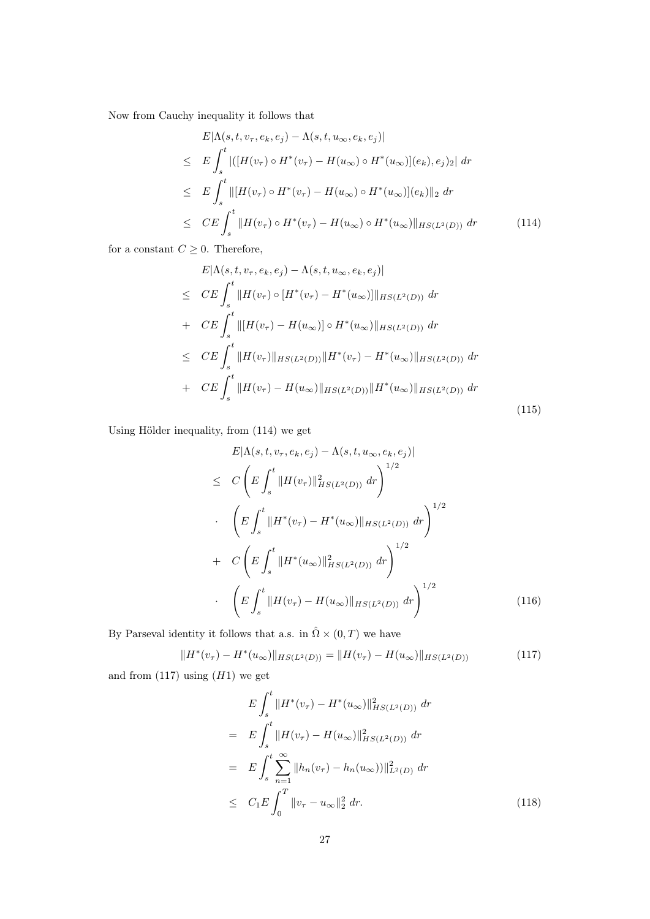Now from Cauchy inequality it follows that

$$
E|\Lambda(s, t, v_{\tau}, e_k, e_j) - \Lambda(s, t, u_{\infty}, e_k, e_j)|
$$
  
\n
$$
\leq E \int_s^t |([H(v_{\tau}) \circ H^*(v_{\tau}) - H(u_{\infty}) \circ H^*(u_{\infty})](e_k), e_j)_2| dr
$$
  
\n
$$
\leq E \int_s^t ||[H(v_{\tau}) \circ H^*(v_{\tau}) - H(u_{\infty}) \circ H^*(u_{\infty})](e_k)||_2 dr
$$
  
\n
$$
\leq CE \int_s^t ||H(v_{\tau}) \circ H^*(v_{\tau}) - H(u_{\infty}) \circ H^*(u_{\infty})||_{HS(L^2(D))} dr
$$
\n(114)

for a constant  $C\geq 0.$  Therefore,

$$
E|\Lambda(s, t, v_{\tau}, e_k, e_j) - \Lambda(s, t, u_{\infty}, e_k, e_j)|
$$
  
\n
$$
\leq CE \int_s^t ||H(v_{\tau}) \circ [H^*(v_{\tau}) - H^*(u_{\infty})]||_{HS(L^2(D))} dr
$$
  
\n
$$
+ CE \int_s^t ||[H(v_{\tau}) - H(u_{\infty})] \circ H^*(u_{\infty})||_{HS(L^2(D))} dr
$$
  
\n
$$
\leq CE \int_s^t ||H(v_{\tau})||_{HS(L^2(D))} ||H^*(v_{\tau}) - H^*(u_{\infty})||_{HS(L^2(D))} dr
$$
  
\n
$$
+ CE \int_s^t ||H(v_{\tau}) - H(u_{\infty})||_{HS(L^2(D))} ||H^*(u_{\infty})||_{HS(L^2(D))} dr
$$
\n(115)

Using Hölder inequality, from (114) we get

$$
E|\Lambda(s, t, v_{\tau}, e_k, e_j) - \Lambda(s, t, u_{\infty}, e_k, e_j)|
$$
  
\n
$$
\leq C \left( E \int_s^t \|H(v_{\tau})\|_{HS(L^2(D))}^2 dr \right)^{1/2}
$$
  
\n
$$
\cdot \left( E \int_s^t \|H^*(v_{\tau}) - H^*(u_{\infty})\|_{HS(L^2(D))} dr \right)^{1/2}
$$
  
\n
$$
+ C \left( E \int_s^t \|H^*(u_{\infty})\|_{HS(L^2(D))}^2 dr \right)^{1/2}
$$
  
\n
$$
\cdot \left( E \int_s^t \|H(v_{\tau}) - H(u_{\infty})\|_{HS(L^2(D))} dr \right)^{1/2}
$$
(116)

By Parseval identity it follows that a.s. in  $\hat{\Omega}\times(0,T)$  we have

$$
||H^*(v_\tau) - H^*(u_\infty)||_{HS(L^2(D))} = ||H(v_\tau) - H(u_\infty)||_{HS(L^2(D))}
$$
\n(117)

and from  $(117)$  using  $(H1)$  we get

$$
E \int_{s}^{t} \|H^{*}(v_{\tau}) - H^{*}(u_{\infty})\|_{HS(L^{2}(D))}^{2} dr
$$
\n
$$
= E \int_{s}^{t} \|H(v_{\tau}) - H(u_{\infty})\|_{HS(L^{2}(D))}^{2} dr
$$
\n
$$
= E \int_{s}^{t} \sum_{n=1}^{\infty} \|h_{n}(v_{\tau}) - h_{n}(u_{\infty}))\|_{L^{2}(D)}^{2} dr
$$
\n
$$
\leq C_{1} E \int_{0}^{T} \|v_{\tau} - u_{\infty}\|_{2}^{2} dr.
$$
\n(118)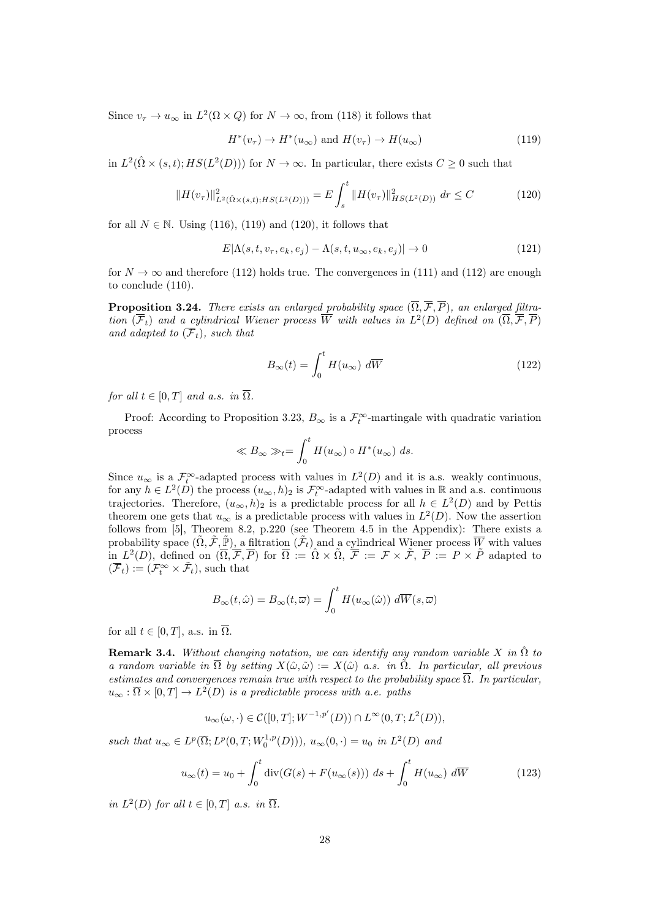Since  $v_{\tau} \to u_{\infty}$  in  $L^2(\Omega \times Q)$  for  $N \to \infty$ , from (118) it follows that

$$
H^*(v_\tau) \to H^*(u_\infty) \text{ and } H(v_\tau) \to H(u_\infty)
$$
\n(119)

in  $L^2(\hat{\Omega} \times (s,t); HS(L^2(D)))$  for  $N \to \infty$ . In particular, there exists  $C \geq 0$  such that

$$
||H(v_{\tau})||_{L^{2}(\hat{\Omega}\times(s,t);HS(L^{2}(D)))}^{2} = E \int_{s}^{t} ||H(v_{\tau})||_{HS(L^{2}(D))}^{2} dr \leq C \qquad (120)
$$

for all  $N \in \mathbb{N}$ . Using (116), (119) and (120), it follows that

$$
E|\Lambda(s,t,v_{\tau},e_k,e_j) - \Lambda(s,t,u_{\infty},e_k,e_j)| \to 0
$$
\n(121)

for  $N \to \infty$  and therefore (112) holds true. The convergences in (111) and (112) are enough to conclude (110).

**Proposition 3.24.** There exists an enlarged probability space  $(\overline{\Omega}, \overline{\mathcal{F}}, \overline{P})$ , an enlarged filtration  $(\overline{F}_t)$  and a cylindrical Wiener process  $\overline{W}$  with values in  $L^2(D)$  defined on  $(\overline{\Omega}, \overline{\mathcal{F}}, \overline{P})$ and adapted to  $(\overline{\mathcal{F}}_t)$ , such that

$$
B_{\infty}(t) = \int_0^t H(u_{\infty}) \, d\overline{W} \tag{122}
$$

for all  $t \in [0, T]$  and a.s. in  $\overline{\Omega}$ .

Proof: According to Proposition 3.23,  $B_{\infty}$  is a  $\mathcal{F}_t^{\infty}$ -martingale with quadratic variation process

$$
\ll B_{\infty} \gg_t = \int_0^t H(u_{\infty}) \circ H^*(u_{\infty}) ds.
$$

Since  $u_{\infty}$  is a  $\mathcal{F}^{\infty}_{t}$ -adapted process with values in  $L^{2}(D)$  and it is a.s. weakly continuous, for any  $h \in L^2(D)$  the process  $(u_\infty, h)_2$  is  $\mathcal{F}_t^\infty$ -adapted with values in R and a.s. continuous trajectories. Therefore,  $(u_{\infty}, h)_2$  is a predictable process for all  $h \in L^2(D)$  and by Pettis theorem one gets that  $u_{\infty}$  is a predictable process with values in  $L^2(D)$ . Now the assertion follows from [5], Theorem 8.2, p.220 (see Theorem 4.5 in the Appendix): There exists a probability space  $(\tilde{\Omega}, \tilde{\mathcal{F}}, \tilde{\mathbb{P}})$ , a filtration  $(\tilde{\mathcal{F}}_t)$  and a cylindrical Wiener process  $\overline{W}$  with values in  $L^2(D)$ , defined on  $(\overline{\Omega}, \overline{\mathcal{F}}, \overline{P})$  for  $\overline{\Omega} := \hat{\Omega} \times \tilde{\Omega}$ ,  $\overline{\mathcal{F}} := \mathcal{F} \times \tilde{\mathcal{F}}$ ,  $\overline{P} := P \times \tilde{P}$  adapted to  $(\overline{\mathcal{F}}_t) := (\mathcal{F}_t^{\infty} \times \tilde{\mathcal{F}}_t)$ , such that

$$
B_{\infty}(t,\hat{\omega}) = B_{\infty}(t,\overline{\omega}) = \int_0^t H(u_{\infty}(\hat{\omega})) \ d\overline{W}(s,\overline{\omega})
$$

for all  $t \in [0, T]$ , a.s. in  $\overline{\Omega}$ .

**Remark 3.4.** Without changing notation, we can identify any random variable X in  $\hat{\Omega}$  to a random variable in  $\overline{\Omega}$  by setting  $X(\hat{\omega}, \tilde{\omega}) := X(\hat{\omega})$  a.s. in  $\tilde{\Omega}$ . In particular, all previous estimates and convergences remain true with respect to the probability space  $\overline{\Omega}$ . In particular,  $u_{\infty} : \overline{\Omega} \times [0,T] \to L^2(D)$  is a predictable process with a.e. paths

$$
u_{\infty}(\omega,\cdot) \in \mathcal{C}([0,T];W^{-1,p'}(D))\cap L^{\infty}(0,T;L^2(D)),
$$

such that  $u_{\infty} \in L^p(\overline{\Omega}; L^p(0,T; W_0^{1,p}(D))), u_{\infty}(0, \cdot) = u_0$  in  $L^2(D)$  and

$$
u_{\infty}(t) = u_0 + \int_0^t \operatorname{div}(G(s) + F(u_{\infty}(s))) \, ds + \int_0^t H(u_{\infty}) \, d\overline{W} \tag{123}
$$

in  $L^2(D)$  for all  $t \in [0,T]$  a.s. in  $\overline{\Omega}$ .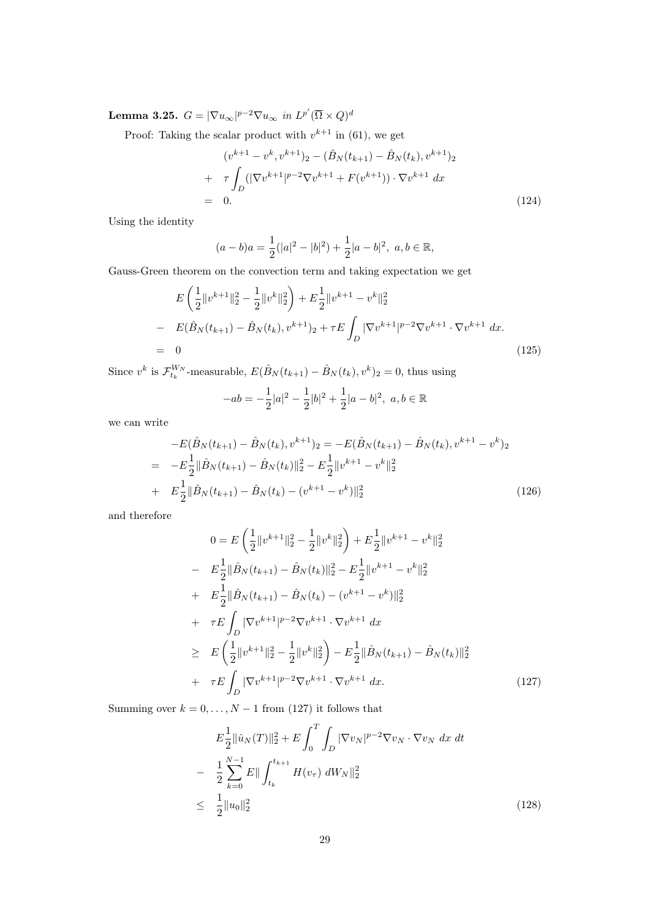Lemma 3.25.  $G = |\nabla u_{\infty}|^{p-2} \nabla u_{\infty}$  in  $L^{p'}(\overline{\Omega} \times Q)^d$ 

Proof: Taking the scalar product with  $v^{k+1}$  in (61), we get

$$
(v^{k+1} - v^k, v^{k+1})_2 - (\hat{B}_N(t_{k+1}) - \hat{B}_N(t_k), v^{k+1})_2
$$
  
+ 
$$
\tau \int_D (|\nabla v^{k+1}|^{p-2} \nabla v^{k+1} + F(v^{k+1})) \cdot \nabla v^{k+1} dx
$$
  
= 0. (124)

Using the identity

$$
(a-b)a = \frac{1}{2}(|a|^2 - |b|^2) + \frac{1}{2}|a-b|^2, \ a, b \in \mathbb{R},
$$

Gauss-Green theorem on the convection term and taking expectation we get

$$
E\left(\frac{1}{2}||v^{k+1}||_{2}^{2}-\frac{1}{2}||v^{k}||_{2}^{2}\right)+E\frac{1}{2}||v^{k+1}-v^{k}||_{2}^{2}
$$
  
\n
$$
-E(\hat{B}_{N}(t_{k+1})-\hat{B}_{N}(t_{k}),v^{k+1})_{2}+\tau E\int_{D}|\nabla v^{k+1}|^{p-2}\nabla v^{k+1}\cdot\nabla v^{k+1} dx.
$$
  
\n
$$
=0
$$
\n(125)

Since  $v^k$  is  $\mathcal{F}_{t_k}^{W_N}$ -measurable,  $E(\hat{B}_N(t_{k+1}) - \hat{B}_N(t_k), v^k)_2 = 0$ , thus using

$$
-ab = -\frac{1}{2}|a|^2 - \frac{1}{2}|b|^2 + \frac{1}{2}|a - b|^2, \ a, b \in \mathbb{R}
$$

we can write

$$
-E(\hat{B}_N(t_{k+1}) - \hat{B}_N(t_k), v^{k+1})_2 = -E(\hat{B}_N(t_{k+1}) - \hat{B}_N(t_k), v^{k+1} - v^k)_2
$$
  
= 
$$
-E\frac{1}{2} \|\hat{B}_N(t_{k+1}) - \hat{B}_N(t_k)\|_2^2 - E\frac{1}{2} \|v^{k+1} - v^k\|_2^2
$$
  
+ 
$$
E\frac{1}{2} \|\hat{B}_N(t_{k+1}) - \hat{B}_N(t_k) - (v^{k+1} - v^k)\|_2^2
$$
(126)

and therefore

$$
0 = E\left(\frac{1}{2}||v^{k+1}||_{2}^{2} - \frac{1}{2}||v^{k}||_{2}^{2}\right) + E\frac{1}{2}||v^{k+1} - v^{k}||_{2}^{2}
$$
  
\n
$$
- E\frac{1}{2}||\hat{B}_{N}(t_{k+1}) - \hat{B}_{N}(t_{k})||_{2}^{2} - E\frac{1}{2}||v^{k+1} - v^{k}||_{2}^{2}
$$
  
\n
$$
+ E\frac{1}{2}||\hat{B}_{N}(t_{k+1}) - \hat{B}_{N}(t_{k}) - (v^{k+1} - v^{k})||_{2}^{2}
$$
  
\n
$$
+ \tau E\int_{D} |\nabla v^{k+1}|^{p-2} \nabla v^{k+1} \cdot \nabla v^{k+1} dx
$$
  
\n
$$
\geq E\left(\frac{1}{2}||v^{k+1}||_{2}^{2} - \frac{1}{2}||v^{k}||_{2}^{2}\right) - E\frac{1}{2}||\hat{B}_{N}(t_{k+1}) - \hat{B}_{N}(t_{k})||_{2}^{2}
$$
  
\n
$$
+ \tau E\int_{D} |\nabla v^{k+1}|^{p-2} \nabla v^{k+1} \cdot \nabla v^{k+1} dx.
$$
 (127)

Summing over  $k = 0, \ldots, N - 1$  from (127) it follows that

$$
E\frac{1}{2}||\hat{u}_N(T)||_2^2 + E\int_0^T \int_D |\nabla v_N|^{p-2} \nabla v_N \cdot \nabla v_N \, dx \, dt
$$
  
\n
$$
- \frac{1}{2} \sum_{k=0}^{N-1} E||\int_{t_k}^{t_{k+1}} H(v_\tau) \, dW_N||_2^2
$$
  
\n
$$
\leq \frac{1}{2}||u_0||_2^2
$$
\n(128)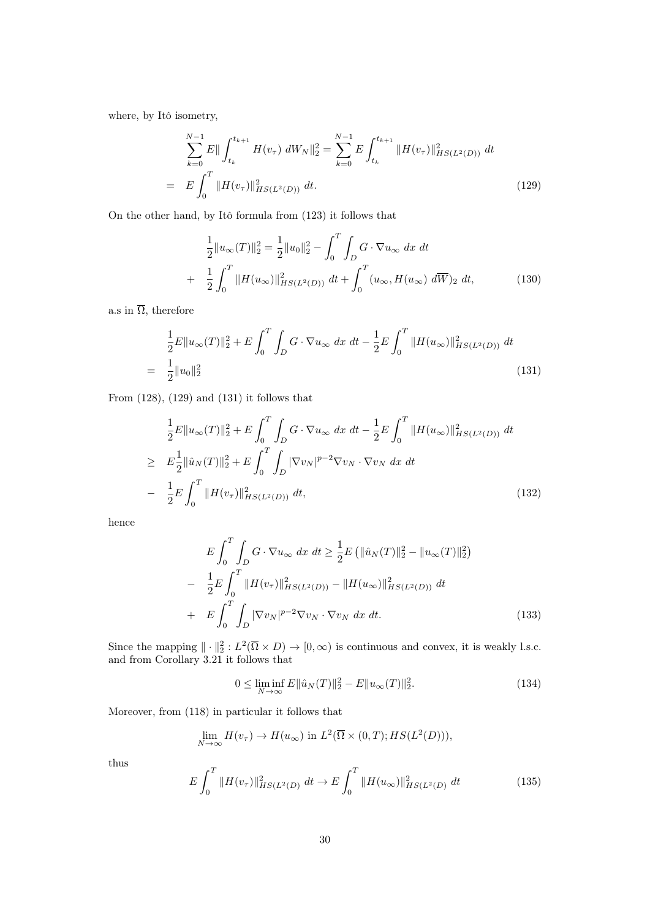where, by Itô isometry,

$$
\sum_{k=0}^{N-1} E\| \int_{t_k}^{t_{k+1}} H(v_\tau) \, dW_N \|_2^2 = \sum_{k=0}^{N-1} E \int_{t_k}^{t_{k+1}} \| H(v_\tau) \|_{HS(L^2(D))}^2 \, dt
$$
\n
$$
= E \int_0^T \| H(v_\tau) \|_{HS(L^2(D))}^2 \, dt. \tag{129}
$$

On the other hand, by Itô formula from (123) it follows that

$$
\frac{1}{2}||u_{\infty}(T)||_{2}^{2} = \frac{1}{2}||u_{0}||_{2}^{2} - \int_{0}^{T} \int_{D} G \cdot \nabla u_{\infty} dx dt
$$

$$
+ \frac{1}{2} \int_{0}^{T} ||H(u_{\infty})||_{HS(L^{2}(D))}^{2} dt + \int_{0}^{T} (u_{\infty}, H(u_{\infty}) d\overline{W})_{2} dt,
$$
(130)

a.s in  $\overline{\Omega}$ , therefore

$$
\frac{1}{2}E\|u_{\infty}(T)\|_{2}^{2} + E\int_{0}^{T}\int_{D}G\cdot\nabla u_{\infty} dx dt - \frac{1}{2}E\int_{0}^{T}\|H(u_{\infty})\|_{HS(L^{2}(D))}^{2} dt
$$
\n
$$
= \frac{1}{2}\|u_{0}\|_{2}^{2}
$$
\n(131)

From (128), (129) and (131) it follows that

$$
\frac{1}{2}E\|u_{\infty}(T)\|_{2}^{2} + E\int_{0}^{T}\int_{D} G \cdot \nabla u_{\infty} dx dt - \frac{1}{2}E\int_{0}^{T} \|H(u_{\infty})\|_{HS(L^{2}(D))}^{2} dt
$$
\n
$$
\geq E\frac{1}{2}\|\hat{u}_{N}(T)\|_{2}^{2} + E\int_{0}^{T}\int_{D} |\nabla v_{N}|^{p-2} \nabla v_{N} \cdot \nabla v_{N} dx dt
$$
\n
$$
- \frac{1}{2}E\int_{0}^{T} \|H(v_{\tau})\|_{HS(L^{2}(D))}^{2} dt, \qquad (132)
$$

hence

$$
E\int_{0}^{T} \int_{D} G \cdot \nabla u_{\infty} dx dt \ge \frac{1}{2} E \left( \| \hat{u}_{N}(T) \|_{2}^{2} - \| u_{\infty}(T) \|_{2}^{2} \right)
$$

$$
- \frac{1}{2} E \int_{0}^{T} \| H(v_{\tau}) \|_{HS(L^{2}(D))}^{2} - \| H(u_{\infty}) \|_{HS(L^{2}(D))}^{2} dt
$$

$$
+ E \int_{0}^{T} \int_{D} |\nabla v_{N}|^{p-2} \nabla v_{N} \cdot \nabla v_{N} dx dt.
$$
(133)

Since the mapping  $\|\cdot\|_2^2: L^2(\overline{\Omega} \times D) \to [0, \infty)$  is continuous and convex, it is weakly l.s.c. and from Corollary 3.21 it follows that

$$
0 \le \liminf_{N \to \infty} E \|\hat{u}_N(T)\|_2^2 - E \|u_\infty(T)\|_2^2.
$$
 (134)

Moreover, from (118) in particular it follows that

$$
\lim_{N \to \infty} H(v_{\tau}) \to H(u_{\infty}) \text{ in } L^2(\overline{\Omega} \times (0,T); HS(L^2(D))),
$$

thus

$$
E\int_0^T \|H(v_\tau)\|_{HS(L^2(D)}^2 \, dt \to E\int_0^T \|H(u_\infty)\|_{HS(L^2(D)}^2 \, dt \tag{135}
$$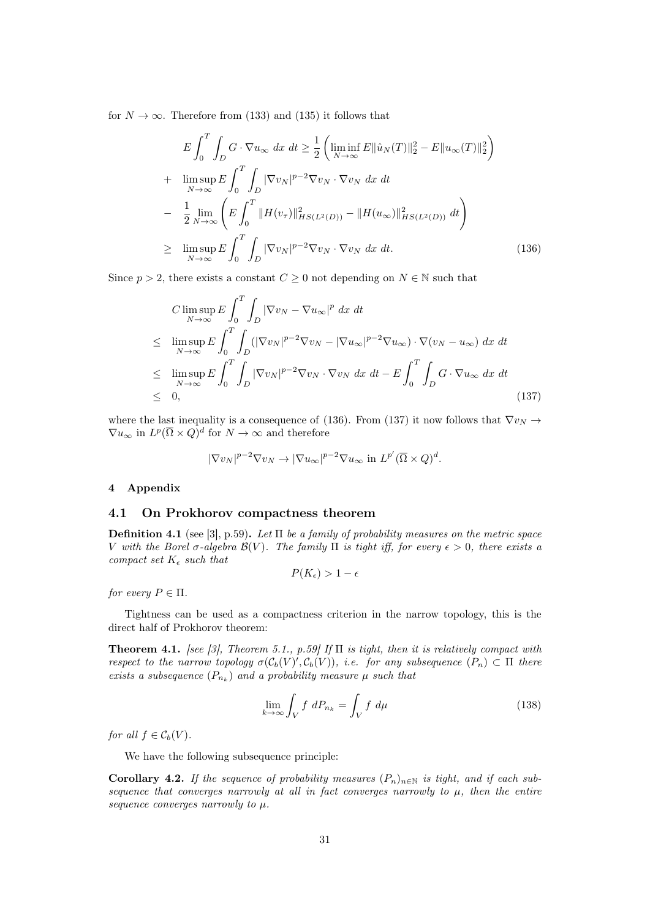for  $N \to \infty$ . Therefore from (133) and (135) it follows that

$$
E \int_{0}^{T} \int_{D} G \cdot \nabla u_{\infty} dx dt \geq \frac{1}{2} \left( \liminf_{N \to \infty} E \|\hat{u}_{N}(T)\|_{2}^{2} - E \|u_{\infty}(T)\|_{2}^{2} \right)
$$
  
+ 
$$
\limsup_{N \to \infty} E \int_{0}^{T} \int_{D} |\nabla v_{N}|^{p-2} \nabla v_{N} \cdot \nabla v_{N} dx dt
$$
  
- 
$$
\frac{1}{2} \lim_{N \to \infty} \left( E \int_{0}^{T} \|H(v_{\tau})\|_{HS(L^{2}(D))}^{2} - \|H(u_{\infty})\|_{HS(L^{2}(D))}^{2} dt \right)
$$
  

$$
\geq \limsup_{N \to \infty} E \int_{0}^{T} \int_{D} |\nabla v_{N}|^{p-2} \nabla v_{N} \cdot \nabla v_{N} dx dt.
$$
 (136)

Since  $p > 2$ , there exists a constant  $C \geq 0$  not depending on  $N \in \mathbb{N}$  such that

$$
C \limsup_{N \to \infty} E \int_0^T \int_D |\nabla v_N - \nabla u_\infty|^p dx dt
$$
  
\n
$$
\leq \limsup_{N \to \infty} E \int_0^T \int_D (|\nabla v_N|^{p-2} \nabla v_N - |\nabla u_\infty|^{p-2} \nabla u_\infty) \cdot \nabla (v_N - u_\infty) dx dt
$$
  
\n
$$
\leq \limsup_{N \to \infty} E \int_0^T \int_D |\nabla v_N|^{p-2} \nabla v_N \cdot \nabla v_N dx dt - E \int_0^T \int_D G \cdot \nabla u_\infty dx dt
$$
  
\n
$$
\leq 0,
$$
\n(137)

where the last inequality is a consequence of (136). From (137) it now follows that  $\nabla v_N \rightarrow$  $\nabla u_{\infty}$  in  $L^p(\overline{\Omega}\times Q)^d$  for  $N\to\infty$  and therefore

$$
|\nabla v_N|^{p-2} \nabla v_N \to |\nabla u_\infty|^{p-2} \nabla u_\infty \text{ in } L^{p'}(\overline{\Omega} \times Q)^d.
$$

## 4 Appendix

#### 4.1 On Prokhorov compactness theorem

**Definition 4.1** (see [3], p.59). Let  $\Pi$  be a family of probability measures on the metric space V with the Borel σ-algebra  $\mathcal{B}(V)$ . The family  $\Pi$  is tight iff, for every  $\epsilon > 0$ , there exists a compact set  $K_{\epsilon}$  such that

$$
P(K_{\epsilon}) > 1 - \epsilon
$$

for every  $P \in \Pi$ .

Tightness can be used as a compactness criterion in the narrow topology, this is the direct half of Prokhorov theorem:

**Theorem 4.1.** [see [3], Theorem 5.1., p.59] If  $\Pi$  is tight, then it is relatively compact with respect to the narrow topology  $\sigma(\mathcal{C}_b(V), \mathcal{C}_b(V))$ , i.e. for any subsequence  $(P_n) \subset \Pi$  there exists a subsequence  $(P_{n_k})$  and a probability measure  $\mu$  such that

$$
\lim_{k \to \infty} \int_{V} f \, dP_{n_k} = \int_{V} f \, d\mu \tag{138}
$$

for all  $f \in C_b(V)$ .

We have the following subsequence principle:

**Corollary 4.2.** If the sequence of probability measures  $(P_n)_{n\in\mathbb{N}}$  is tight, and if each subsequence that converges narrowly at all in fact converges narrowly to  $\mu$ , then the entire sequence converges narrowly to  $\mu$ .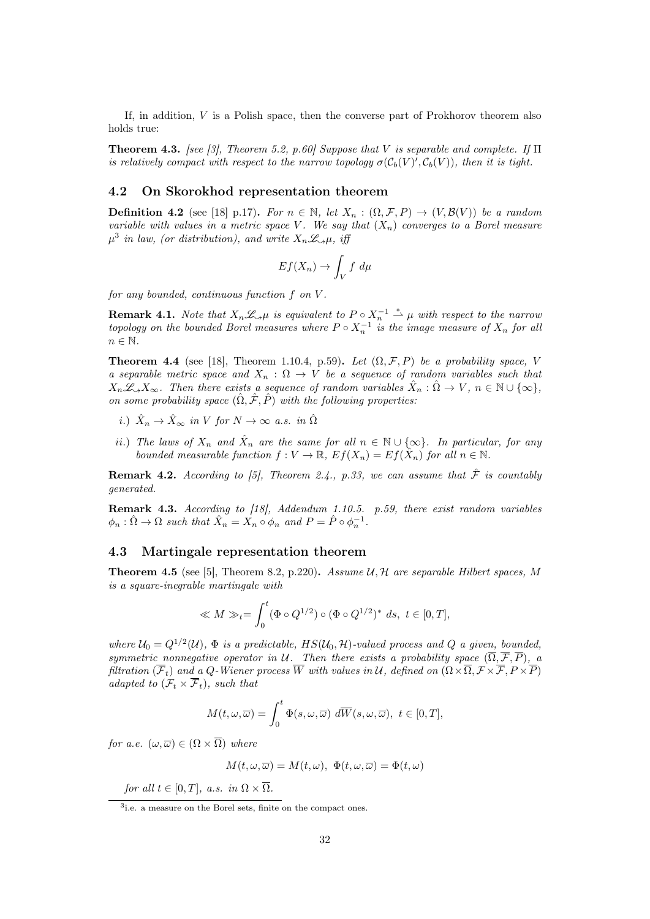If, in addition, V is a Polish space, then the converse part of Prokhorov theorem also holds true:

**Theorem 4.3.** [see [3], Theorem 5.2, p.60] Suppose that V is separable and complete. If  $\Pi$ is relatively compact with respect to the narrow topology  $\sigma(\mathcal{C}_b(V)', \mathcal{C}_b(V))$ , then it is tight.

## 4.2 On Skorokhod representation theorem

**Definition 4.2** (see [18] p.17). For  $n \in \mathbb{N}$ , let  $X_n : (\Omega, \mathcal{F}, P) \to (V, \mathcal{B}(V))$  be a random variable with values in a metric space V. We say that  $(X_n)$  converges to a Borel measure  $\mu^3$  in law, (or distribution), and write  $X_n \mathcal{L}_{\alpha} \mu$ , iff

$$
Ef(X_n) \to \int_V f \, d\mu
$$

for any bounded, continuous function f on V .

**Remark 4.1.** Note that  $X_n \mathcal{L}_{\gamma} \mu$  is equivalent to  $P \circ X_n^{-1} \stackrel{*}{\rightharpoonup} \mu$  with respect to the narrow topology on the bounded Borel measures where  $P \circ X_n^{-1}$  is the image measure of  $X_n$  for all  $n \in \mathbb{N}$ .

**Theorem 4.4** (see [18], Theorem 1.10.4, p.59). Let  $(\Omega, \mathcal{F}, P)$  be a probability space, V a separable metric space and  $X_n : \Omega \to V$  be a sequence of random variables such that  $X_n\mathscr{L}_{\alpha}X_{\infty}$ . Then there exists a sequence of random variables  $\hat{X}_n : \hat{\Omega} \to V$ ,  $n \in \mathbb{N} \cup \{\infty\}$ , on some probability space  $(\hat{\Omega}, \hat{\mathcal{F}}, \hat{P})$  with the following properties:

- i.)  $\hat{X}_n \to \hat{X}_{\infty}$  in V for  $N \to \infty$  a.s. in  $\hat{\Omega}$
- ii.) The laws of  $X_n$  and  $\hat{X}_n$  are the same for all  $n \in \mathbb{N} \cup \{\infty\}$ . In particular, for any bounded measurable function  $f: V \to \mathbb{R}, E f(X_n) = Ef(\hat{X}_n)$  for all  $n \in \mathbb{N}$ .

**Remark 4.2.** According to [5], Theorem 2.4., p.33, we can assume that  $\hat{\mathcal{F}}$  is countably generated.

Remark 4.3. According to [18], Addendum 1.10.5. p.59, there exist random variables  $\phi_n : \hat{\Omega} \to \Omega$  such that  $\hat{X}_n = X_n \circ \phi_n$  and  $P = \hat{P} \circ \phi_n^{-1}$ .

### 4.3 Martingale representation theorem

**Theorem 4.5** (see [5], Theorem 8.2, p.220). Assume  $U, H$  are separable Hilbert spaces, M is a square-inegrable martingale with

$$
\ll M \gg_t = \int_0^t (\Phi \circ Q^{1/2}) \circ (\Phi \circ Q^{1/2})^* ds, t \in [0, T],
$$

where  $\mathcal{U}_0 = Q^{1/2}(\mathcal{U})$ ,  $\Phi$  is a predictable,  $HS(\mathcal{U}_0, \mathcal{H})$ -valued process and Q a given, bounded, symmetric nonnegative operator in U. Then there exists a probability space  $(\overline{\Omega}, \overline{\mathcal{F}}, \overline{P})$ , a filtration  $(\overline{\mathcal{F}}_t)$  and a Q-Wiener process W with values in U, defined on  $( \Omega \times \overline{\Omega}, \mathcal{F} \times \overline{\mathcal{F}}, P \times \overline{P})$ adapted to  $(\mathcal{F}_t \times \overline{\mathcal{F}}_t)$ , such that

$$
M(t,\omega,\overline{\omega}) = \int_0^t \Phi(s,\omega,\overline{\omega}) \, d\overline{W}(s,\omega,\overline{\omega}), \ t \in [0,T],
$$

for a.e.  $(\omega, \overline{\omega}) \in (\Omega \times \overline{\Omega})$  where

$$
M(t, \omega, \overline{\omega}) = M(t, \omega), \ \Phi(t, \omega, \overline{\omega}) = \Phi(t, \omega)
$$

for all  $t \in [0, T]$ , a.s. in  $\Omega \times \overline{\Omega}$ .

<sup>3</sup> i.e. a measure on the Borel sets, finite on the compact ones.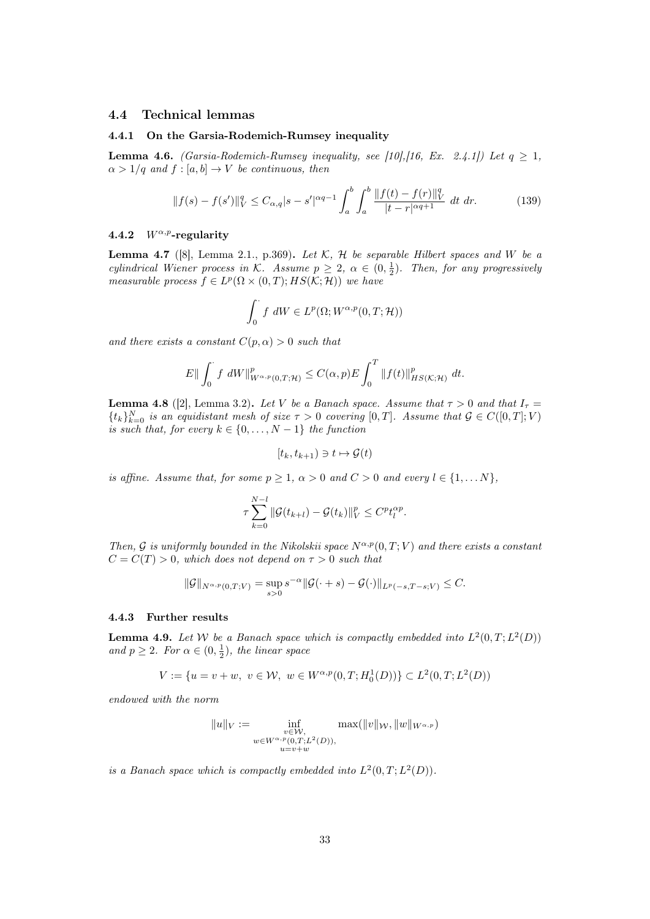### 4.4 Technical lemmas

#### 4.4.1 On the Garsia-Rodemich-Rumsey inequality

**Lemma 4.6.** (Garsia-Rodemich-Rumsey inequality, see [10],[16, Ex. 2.4.1]) Let  $q \ge 1$ ,  $\alpha > 1/q$  and  $f : [a, b] \rightarrow V$  be continuous, then

$$
||f(s) - f(s')||_V^q \le C_{\alpha, q} |s - s'|^{\alpha q - 1} \int_a^b \int_a^b \frac{||f(t) - f(r)||_V^q}{|t - r|^{\alpha q + 1}} dt dr.
$$
 (139)

#### 4.4.2  $W^{\alpha,p}$ -regularity

**Lemma 4.7** ([8], Lemma 2.1., p.369). Let  $K$ ,  $H$  be separable Hilbert spaces and W be a cylindrical Wiener process in K. Assume  $p \geq 2$ ,  $\alpha \in (0, \frac{1}{2})$ . Then, for any progressively measurable process  $f \in L^p(\Omega \times (0,T); HS(K; \mathcal{H}))$  we have

$$
\int_0^{\cdot} f \, dW \in L^p(\Omega; W^{\alpha, p}(0,T; \mathcal{H}))
$$

and there exists a constant  $C(p, \alpha) > 0$  such that

$$
E||\int_0^{\cdot} f dW||_{W^{\alpha,p}(0,T;\mathcal{H})}^p \leq C(\alpha,p)E \int_0^T ||f(t)||_{HS(\mathcal{K};\mathcal{H})}^p dt.
$$

**Lemma 4.8** ([2], Lemma 3.2). Let V be a Banach space. Assume that  $\tau > 0$  and that  $I_{\tau} =$  $\{t_k\}_{k=0}^N$  is an equidistant mesh of size  $\tau > 0$  covering  $[0, T]$ . Assume that  $\mathcal{G} \in C([0, T]; V)$ is such that, for every  $k \in \{0, \ldots, N-1\}$  the function

$$
[t_k, t_{k+1}) \ni t \mapsto \mathcal{G}(t)
$$

is affine. Assume that, for some  $p \geq 1$ ,  $\alpha > 0$  and  $C > 0$  and every  $l \in \{1, \dots N\}$ ,

$$
\tau \sum_{k=0}^{N-l} \|\mathcal{G}(t_{k+l}) - \mathcal{G}(t_k)\|_{V}^p \leq C^p t_l^{\alpha p}.
$$

Then, G is uniformly bounded in the Nikolskii space  $N^{\alpha,p}(0,T;V)$  and there exists a constant  $C = C(T) > 0$ , which does not depend on  $\tau > 0$  such that

$$
\|\mathcal{G}\|_{N^{\alpha,p}(0,T;V)} = \sup_{s>0} s^{-\alpha} \|\mathcal{G}(\cdot+s) - \mathcal{G}(\cdot)\|_{L^p(-s,T-s;V)} \leq C.
$$

#### 4.4.3 Further results

**Lemma 4.9.** Let W be a Banach space which is compactly embedded into  $L^2(0,T; L^2(D))$ and  $p \geq 2$ . For  $\alpha \in (0, \frac{1}{2})$ , the linear space

$$
V := \{ u = v + w, \ v \in \mathcal{W}, \ w \in W^{\alpha, p}(0, T; H_0^1(D)) \} \subset L^2(0, T; L^2(D))
$$

endowed with the norm

$$
||u||_V := \inf_{\substack{v \in W, \\ w \in W^{\alpha, p}(0,T;L^2(D)), \\ u = v + w}} \max(||v||_W, ||w||_{W^{\alpha, p}})
$$

is a Banach space which is compactly embedded into  $L^2(0,T; L^2(D))$ .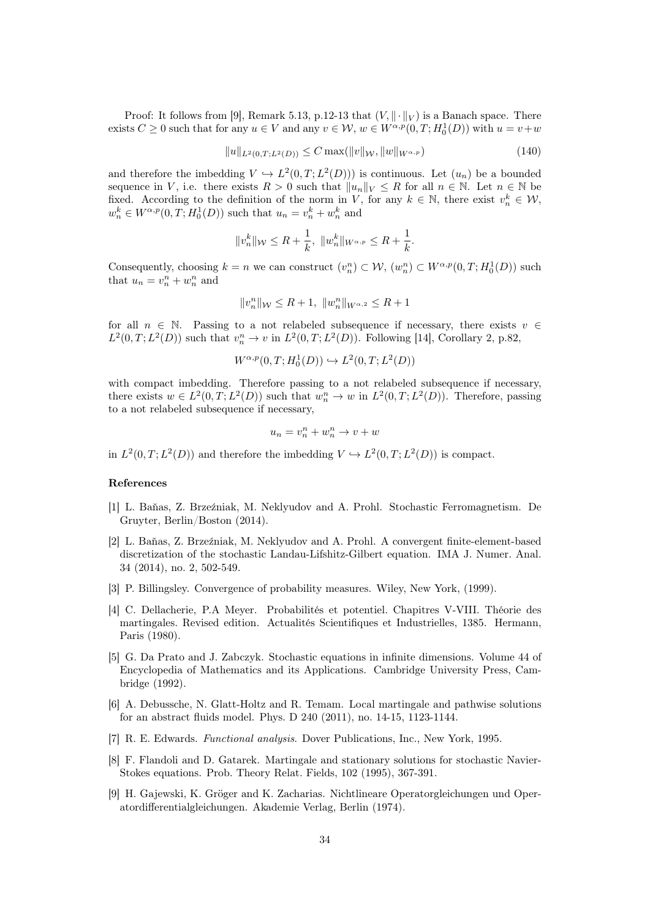Proof: It follows from [9], Remark 5.13, p.12-13 that  $(V, \|\cdot\|_V)$  is a Banach space. There exists  $C \ge 0$  such that for any  $u \in V$  and any  $v \in W$ ,  $w \in W^{\alpha,p}(0,T; H_0^1(D))$  with  $u = v + w$ 

$$
||u||_{L^{2}(0,T;L^{2}(D))} \leq C \max(||v||_{W}, ||w||_{W^{\alpha,p}})
$$
\n(140)

and therefore the imbedding  $V \hookrightarrow L^2(0,T; L^2(D))$  is continuous. Let  $(u_n)$  be a bounded sequence in V, i.e. there exists  $R > 0$  such that  $||u_n||_V \leq R$  for all  $n \in \mathbb{N}$ . Let  $n \in \mathbb{N}$  be fixed. According to the definition of the norm in V, for any  $k \in \mathbb{N}$ , there exist  $v_n^k \in \mathcal{W}$ ,  $w_n^k \in W^{\alpha,p}(0,T;H_0^1(D))$  such that  $u_n = v_n^k + w_n^k$  and

$$
||v^k_n||_{\mathcal W}\leq R+\frac{1}{k},\ ||w^k_n||_{W^{\alpha,p}}\leq R+\frac{1}{k}.
$$

Consequently, choosing  $k = n$  we can construct  $(v_n^n) \subset W$ ,  $(w_n^n) \subset W^{\alpha, p}(0, T; H_0^1(D))$  such that  $u_n = v_n^n + w_n^n$  and

$$
||v_{n}^{n}||_{\mathcal{W}} \leq R + 1, ||w_{n}^{n}||_{W^{\alpha,2}} \leq R + 1
$$

for all  $n \in \mathbb{N}$ . Passing to a not relabeled subsequence if necessary, there exists  $v \in$  $L^2(0,T;L^2(D))$  such that  $v_n^n \to v$  in  $L^2(0,T;L^2(D))$ . Following [14], Corollary 2, p.82,

$$
W^{\alpha,p}(0,T;H_0^1(D)) \hookrightarrow L^2(0,T;L^2(D))
$$

with compact imbedding. Therefore passing to a not relabeled subsequence if necessary, there exists  $w \in L^2(0,T;L^2(D))$  such that  $w_n^n \to w$  in  $L^2(0,T;L^2(D))$ . Therefore, passing to a not relabeled subsequence if necessary,

$$
u_n = v_n^n + w_n^n \to v + w
$$

in  $L^2(0,T; L^2(D))$  and therefore the imbedding  $V \hookrightarrow L^2(0,T; L^2(D))$  is compact.

#### References

- [1] L. Baňas, Z. Brzeźniak, M. Neklyudov and A. Prohl. Stochastic Ferromagnetism. De Gruyter, Berlin/Boston (2014).
- [2] L. Baňas, Z. Brzeźniak, M. Neklyudov and A. Prohl. A convergent finite-element-based discretization of the stochastic Landau-Lifshitz-Gilbert equation. IMA J. Numer. Anal. 34 (2014), no. 2, 502-549.
- [3] P. Billingsley. Convergence of probability measures. Wiley, New York, (1999).
- [4] C. Dellacherie, P.A Meyer. Probabilités et potentiel. Chapitres V-VIII. Théorie des martingales. Revised edition. Actualités Scientifiques et Industrielles, 1385. Hermann, Paris (1980).
- [5] G. Da Prato and J. Zabczyk. Stochastic equations in infinite dimensions. Volume 44 of Encyclopedia of Mathematics and its Applications. Cambridge University Press, Cambridge (1992).
- [6] A. Debussche, N. Glatt-Holtz and R. Temam. Local martingale and pathwise solutions for an abstract fluids model. Phys. D 240 (2011), no. 14-15, 1123-1144.
- [7] R. E. Edwards. Functional analysis. Dover Publications, Inc., New York, 1995.
- [8] F. Flandoli and D. Gatarek. Martingale and stationary solutions for stochastic Navier-Stokes equations. Prob. Theory Relat. Fields, 102 (1995), 367-391.
- [9] H. Gajewski, K. Gröger and K. Zacharias. Nichtlineare Operatorgleichungen und Operatordifferentialgleichungen. Akademie Verlag, Berlin (1974).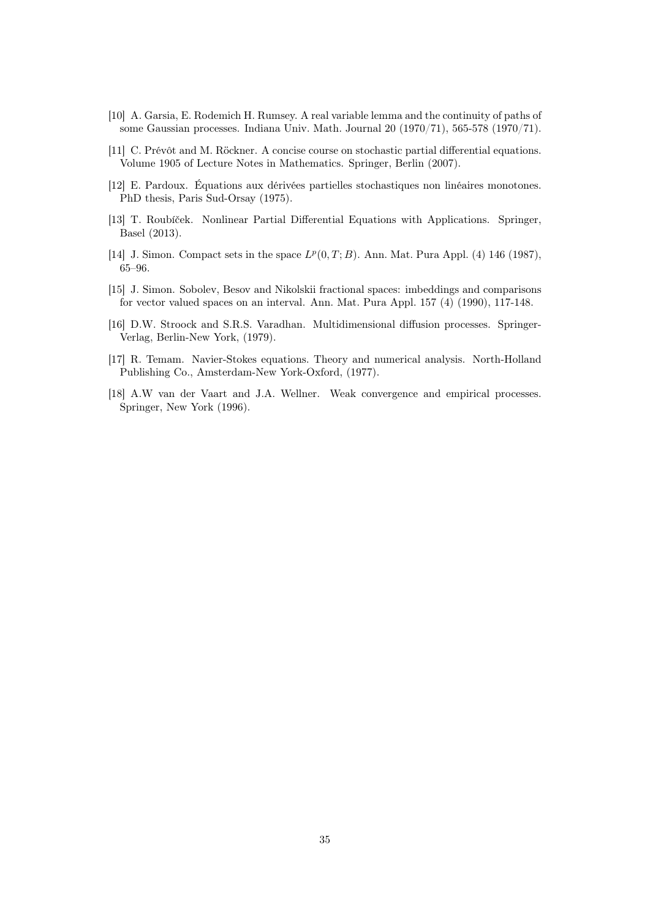- [10] A. Garsia, E. Rodemich H. Rumsey. A real variable lemma and the continuity of paths of some Gaussian processes. Indiana Univ. Math. Journal 20 (1970/71), 565-578 (1970/71).
- [11] C. Prévôt and M. Röckner. A concise course on stochastic partial differential equations. Volume 1905 of Lecture Notes in Mathematics. Springer, Berlin (2007).
- [12] E. Pardoux. Équations aux dérivées partielles stochastiques non linéaires monotones. PhD thesis, Paris Sud-Orsay (1975).
- [13] T. Roubíček. Nonlinear Partial Differential Equations with Applications. Springer, Basel (2013).
- [14] J. Simon. Compact sets in the space  $L^p(0,T;B)$ . Ann. Mat. Pura Appl. (4) 146 (1987), 65–96.
- [15] J. Simon. Sobolev, Besov and Nikolskii fractional spaces: imbeddings and comparisons for vector valued spaces on an interval. Ann. Mat. Pura Appl. 157 (4) (1990), 117-148.
- [16] D.W. Stroock and S.R.S. Varadhan. Multidimensional diffusion processes. Springer-Verlag, Berlin-New York, (1979).
- [17] R. Temam. Navier-Stokes equations. Theory and numerical analysis. North-Holland Publishing Co., Amsterdam-New York-Oxford, (1977).
- [18] A.W van der Vaart and J.A. Wellner. Weak convergence and empirical processes. Springer, New York (1996).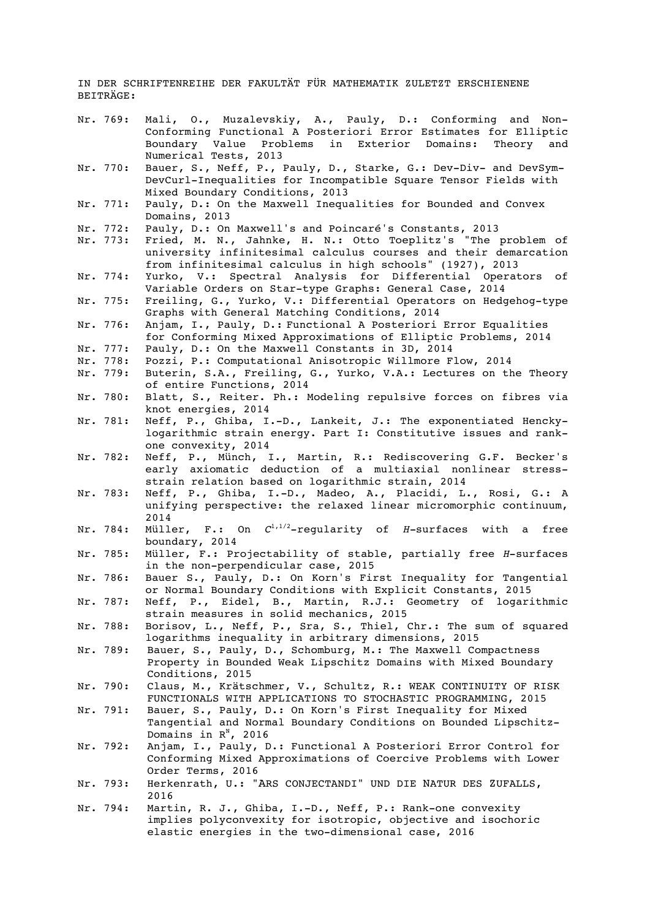IN DER SCHRIFTENREIHE DER FAKULTÄT FÜR MATHEMATIK ZULETZT ERSCHIENENE BEITRÄGE:

- Nr. 769: Mali, O., Muzalevskiy, A., Pauly, D.: Conforming and Non-Conforming Functional A Posteriori Error Estimates for Elliptic Boundary Value Problems in Exterior Domains: Theory and Numerical Tests, 2013
- Nr. 770: Bauer, S., Neff, P., Pauly, D., Starke, G.: Dev-Div- and DevSym-DevCurl-Inequalities for Incompatible Square Tensor Fields with Mixed Boundary Conditions, 2013
- Nr. 771: Pauly, D.: On the Maxwell Inequalities for Bounded and Convex Domains, 2013
- Nr. 772: Pauly, D.: On Maxwell's and Poincaré's Constants, 2013
- Nr. 773: Fried, M. N., Jahnke, H. N.: Otto Toeplitz's "The problem of university infinitesimal calculus courses and their demarcation from infinitesimal calculus in high schools" (1927), 2013
- Nr. 774: Yurko, V.: Spectral Analysis for Differential Operators of Variable Orders on Star-type Graphs: General Case, 2014
- Nr. 775: Freiling, G., Yurko, V.: Differential Operators on Hedgehog-type Graphs with General Matching Conditions, 2014
- Nr. 776: Anjam, I., Pauly, D.: Functional A Posteriori Error Equalities for Conforming Mixed Approximations of Elliptic Problems, 2014
- Nr. 777: Pauly, D.: On the Maxwell Constants in 3D, 2014<br>Nr. 778: Pozzi, P.: Computational Anisotropic Willmore F
- Nr. 778: Pozzi, P.: Computational Anisotropic Willmore Flow, 2014<br>Nr. 779: Buterin, S.A., Freiling, G., Yurko, V.A.: Lectures on th
- Buterin, S.A., Freiling, G., Yurko, V.A.: Lectures on the Theory of entire Functions, 2014
- Nr. 780: Blatt, S., Reiter. Ph.: Modeling repulsive forces on fibres via knot energies, 2014
- Nr. 781: Neff, P., Ghiba, I.-D., Lankeit, J.: The exponentiated Henckylogarithmic strain energy. Part I: Constitutive issues and rankone convexity, 2014
- Nr. 782: Neff, P., Münch, I., Martin, R.: Rediscovering G.F. Becker's early axiomatic deduction of a multiaxial nonlinear stressstrain relation based on logarithmic strain, 2014
- Nr. 783: Neff, P., Ghiba, I.-D., Madeo, A., Placidi, L., Rosi, G.: A unifying perspective: the relaxed linear micromorphic continuum, 2014
- Nr. 784: Müller, F.: On  $C^{1/1/2}$ -regularity of *H*-surfaces with a free boundary, 2014
- Nr. 785: Müller, F.: Projectability of stable, partially free *H*-surfaces in the non-perpendicular case, 2015
- Nr. 786: Bauer S., Pauly, D.: On Korn's First Inequality for Tangential or Normal Boundary Conditions with Explicit Constants, 2015
- Nr. 787: Neff, P., Eidel, B., Martin, R.J.: Geometry of logarithmic strain measures in solid mechanics, 2015
- Nr. 788: Borisov, L., Neff, P., Sra, S., Thiel, Chr.: The sum of squared logarithms inequality in arbitrary dimensions, 2015
- Nr. 789: Bauer, S., Pauly, D., Schomburg, M.: The Maxwell Compactness Property in Bounded Weak Lipschitz Domains with Mixed Boundary Conditions, 2015
- Nr. 790: Claus, M., Krätschmer, V., Schultz, R.: WEAK CONTINUITY OF RISK FUNCTIONALS WITH APPLICATIONS TO STOCHASTIC PROGRAMMING, 2015
- Nr. 791: Bauer, S., Pauly, D.: On Korn's First Inequality for Mixed Tangential and Normal Boundary Conditions on Bounded Lipschitz-Domains in  $R^N$ , 2016
- Nr. 792: Anjam, I., Pauly, D.: Functional A Posteriori Error Control for Conforming Mixed Approximations of Coercive Problems with Lower Order Terms, 2016
- Nr. 793: Herkenrath, U.: "ARS CONJECTANDI" UND DIE NATUR DES ZUFALLS, 2016
- Nr. 794: Martin, R. J., Ghiba, I.-D., Neff, P.: Rank-one convexity implies polyconvexity for isotropic, objective and isochoric elastic energies in the two-dimensional case, 2016